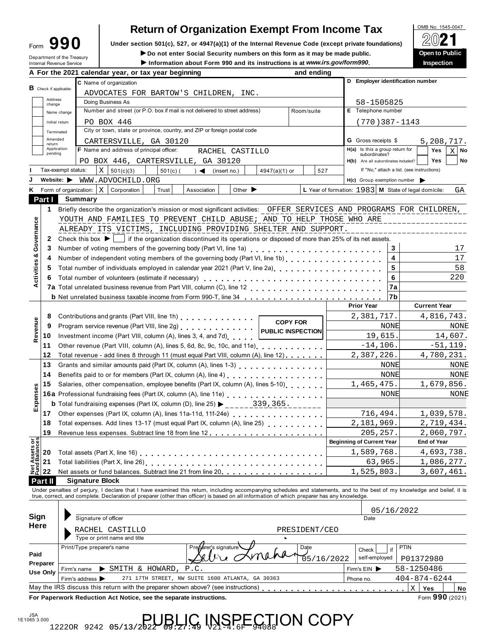| orm | 990 |  |
|-----|-----|--|
|     |     |  |

## **Return of Organization Exempt From Income Tax**

Form  $\mathbf{990}$  Under section 501(c), 527, or 4947(a)(1) of the Internal Revenue Code (except private foundations)  $\Box$   $\Box$   $\Box$   $\Box$ 

**IDED 1999 11 Department of the Treasury**<br>
Information about Form 990 and its instructions is at www.irs.gov/form990.<br>
Inspection<br>
Inspection

|                                |                          | Department of the Treasury<br>Internal Revenue Service | ► Do not enter Social Security numbers on this form as it may be made public.<br>Information about Form 990 and its instructions is at www.irs.gov/form990.                                                                       |                                                      |                                            |            | <b>Open to Public</b><br>Inspection |         |      |  |
|--------------------------------|--------------------------|--------------------------------------------------------|-----------------------------------------------------------------------------------------------------------------------------------------------------------------------------------------------------------------------------------|------------------------------------------------------|--------------------------------------------|------------|-------------------------------------|---------|------|--|
|                                |                          |                                                        | A For the 2021 calendar year, or tax year beginning<br>and ending                                                                                                                                                                 |                                                      |                                            |            |                                     |         |      |  |
|                                |                          |                                                        | C Name of organization                                                                                                                                                                                                            | D Employer identification number                     |                                            |            |                                     |         |      |  |
|                                | $B$ Check if applicable: |                                                        | ADVOCATES FOR BARTOW'S CHILDREN, INC.                                                                                                                                                                                             |                                                      |                                            |            |                                     |         |      |  |
|                                | Address<br>change        |                                                        | Doing Business As                                                                                                                                                                                                                 | 58-1505825                                           |                                            |            |                                     |         |      |  |
|                                |                          | Name change                                            | Number and street (or P.O. box if mail is not delivered to street address)<br>Room/suite                                                                                                                                          | E Telephone number                                   |                                            |            |                                     |         |      |  |
|                                |                          | Initial return                                         | PO BOX 446                                                                                                                                                                                                                        | $(770)$ 387 - 1143                                   |                                            |            |                                     |         |      |  |
|                                |                          | Terminated                                             | City or town, state or province, country, and ZIP or foreign postal code                                                                                                                                                          |                                                      |                                            |            |                                     |         |      |  |
|                                | Amended                  |                                                        | CARTERSVILLE, GA 30120                                                                                                                                                                                                            | <b>G</b> Gross receipts \$                           |                                            |            | 5,208,717.                          |         |      |  |
|                                | return<br>Application    |                                                        | <b>F</b> Name and address of principal officer:<br>RACHEL CASTILLO                                                                                                                                                                | H(a) Is this a group return for                      |                                            |            | Yes                                 | хI      | No   |  |
|                                | pending                  |                                                        |                                                                                                                                                                                                                                   | subordinates?                                        |                                            |            | <b>Yes</b>                          |         | No   |  |
|                                |                          | Tax-exempt status:                                     | PO BOX 446, CARTERSVILLE, GA 30120<br>$X \mid 501(c)(3)$                                                                                                                                                                          | H(b) Are all subordinates included?                  | If "No," attach a list. (see instructions) |            |                                     |         |      |  |
|                                |                          | Website: $\blacktriangleright$                         | 527<br>$501(c)$ (<br>$4947(a)(1)$ or<br>$\rightarrow$<br>(insert no.)                                                                                                                                                             |                                                      |                                            |            |                                     |         |      |  |
|                                |                          |                                                        | WWW.ADVOCHILD.ORG<br>Other $\blacktriangleright$                                                                                                                                                                                  | $H(c)$ Group exemption number                        |                                            |            |                                     |         |      |  |
|                                |                          | <b>K</b> Form of organization:                         | X<br>Corporation<br>Trust<br>Association                                                                                                                                                                                          | L Year of formation: 1983 M State of legal domicile: |                                            |            |                                     |         | GА   |  |
|                                | Part I                   | Summary                                                |                                                                                                                                                                                                                                   |                                                      |                                            |            |                                     |         |      |  |
|                                | 1.                       |                                                        | Briefly describe the organization's mission or most significant activities: OFFER SERVICES AND PROGRAMS FOR CHILDREN,                                                                                                             |                                                      |                                            |            |                                     |         |      |  |
|                                |                          |                                                        | YOUTH AND FAMILIES TO PREVENT CHILD ABUSE; AND TO HELP THOSE WHO ARE                                                                                                                                                              |                                                      |                                            |            |                                     |         |      |  |
|                                |                          |                                                        | ALREADY ITS VICTIMS, INCLUDING PROVIDING SHELTER AND SUPPORT.                                                                                                                                                                     |                                                      |                                            |            |                                     |         |      |  |
| Governance                     | 2                        |                                                        | Check this box $\blacktriangleright$   if the organization discontinued its operations or disposed of more than 25% of its net assets.                                                                                            |                                                      |                                            |            |                                     |         |      |  |
| න්                             | 3                        |                                                        | Number of voting members of the governing body (Part VI, line 1a)<br>                                                                                                                                                             |                                                      | 3                                          |            |                                     |         | 17   |  |
|                                | 4                        |                                                        | Number of independent voting members of the governing body (Part VI, line 1b)                                                                                                                                                     |                                                      | 4                                          |            |                                     |         | 17   |  |
| Activities                     | 5                        |                                                        | Total number of individuals employed in calendar year 2021 (Part V, line 2a)                                                                                                                                                      |                                                      | 5                                          |            |                                     |         | 58   |  |
|                                | 6                        |                                                        | Total number of volunteers (estimate if necessary)                                                                                                                                                                                |                                                      | 6                                          |            |                                     |         | 220  |  |
|                                |                          |                                                        |                                                                                                                                                                                                                                   |                                                      | 7a                                         |            |                                     |         |      |  |
|                                |                          |                                                        | <b>b</b> Net unrelated business taxable income from Form 990-T, line 34                                                                                                                                                           |                                                      | l7b                                        |            |                                     |         |      |  |
|                                |                          |                                                        |                                                                                                                                                                                                                                   | <b>Prior Year</b>                                    |                                            |            | <b>Current Year</b>                 |         |      |  |
|                                | 8                        |                                                        | Contributions and grants (Part VIII, line 1h)<br><b>COPY FOR</b>                                                                                                                                                                  | 2,381,717.                                           |                                            | 4,816,743. |                                     |         |      |  |
|                                | 9                        |                                                        | Program service revenue (Part VIII, line 2g)<br><b>PUBLIC INSPECTION</b>                                                                                                                                                          |                                                      | NONE                                       |            |                                     |         | NONE |  |
| Revenue                        | 10                       |                                                        | Investment income (Part VIII, column (A), lines 3, 4, and 7d)                                                                                                                                                                     | 19,615.                                              |                                            |            |                                     | 14,607. |      |  |
|                                | 11                       |                                                        | Other revenue (Part VIII, column (A), lines 5, 6d, 8c, 9c, 10c, and 11e)                                                                                                                                                          | $-14, 106.$                                          |                                            |            | $-51,119.$                          |         |      |  |
|                                | 12                       |                                                        | Total revenue - add lines 8 through 11 (must equal Part VIII, column (A), line 12)                                                                                                                                                | 2,387,226.                                           |                                            |            | 4,780,231.                          |         |      |  |
|                                | 13                       |                                                        | Grants and similar amounts paid (Part IX, column (A), lines 1-3) [10] [20] Canada and similar and SI and SI and SI and SI and SI and SI and SI and SI and SI and SI and SI and SI and SI and SI and SI and SI and SI and SI an    |                                                      | NONE                                       |            |                                     |         | NONE |  |
|                                | 14                       |                                                        | Benefits paid to or for members (Part IX, column (A), line 4)                                                                                                                                                                     |                                                      | NONE                                       |            |                                     |         | NONE |  |
|                                | 15                       |                                                        | Salaries, other compensation, employee benefits (Part IX, column (A), lines 5-10)                                                                                                                                                 | 1,465,475.                                           |                                            |            | 1,679,856.                          |         |      |  |
|                                |                          |                                                        | 16a Professional fundraising fees (Part IX, column (A), line 11e)                                                                                                                                                                 |                                                      | NONE                                       |            |                                     |         | NONE |  |
| Expenses                       |                          |                                                        | <b>b</b> Total fundraising expenses (Part IX, column (D), line 25)<br>339, 365.                                                                                                                                                   |                                                      |                                            |            |                                     |         |      |  |
|                                | 17                       |                                                        | Other expenses (Part IX, column (A), lines 11a-11d, 11f-24e)                                                                                                                                                                      | 716,494.                                             |                                            |            | 1,039,578.                          |         |      |  |
|                                | 18                       |                                                        | Total expenses. Add lines 13-17 (must equal Part IX, column (A), line 25)                                                                                                                                                         | 2,181,969.                                           |                                            |            | 2,719,434.                          |         |      |  |
|                                | 19                       |                                                        |                                                                                                                                                                                                                                   | 205,257.                                             |                                            |            | 2,060,797.                          |         |      |  |
|                                |                          |                                                        |                                                                                                                                                                                                                                   | <b>Beginning of Current Year</b>                     |                                            |            | <b>End of Year</b>                  |         |      |  |
| Net Assets or<br>Fund Balances | 20                       |                                                        |                                                                                                                                                                                                                                   | 1,589,768.                                           |                                            |            | 4,693,738.                          |         |      |  |
|                                | 21                       |                                                        |                                                                                                                                                                                                                                   | 63,965                                               |                                            |            | 1,086,277.                          |         |      |  |
|                                | 22                       |                                                        | Net assets or fund balances. Subtract line 21 from line 20.                                                                                                                                                                       | 1,525,803.                                           |                                            |            | 3,607,461.                          |         |      |  |
|                                | Part II                  |                                                        | <b>Signature Block</b>                                                                                                                                                                                                            |                                                      |                                            |            |                                     |         |      |  |
|                                |                          |                                                        | Under penalties of perjury, I declare that I have examined this return, including accompanying schedules and statements, and to the best of my knowledge and belief, it is<br>true, correct, and complete. Declaration of prepare |                                                      |                                            |            |                                     |         |      |  |
|                                |                          |                                                        |                                                                                                                                                                                                                                   |                                                      |                                            |            |                                     |         |      |  |
|                                |                          |                                                        |                                                                                                                                                                                                                                   |                                                      | 05/16/2022                                 |            |                                     |         |      |  |
| Sign                           |                          |                                                        | Signature of officer                                                                                                                                                                                                              | Date                                                 |                                            |            |                                     |         |      |  |
| Here                           |                          |                                                        | PRESIDENT/CEO<br>RACHEL CASTILLO                                                                                                                                                                                                  |                                                      |                                            |            |                                     |         |      |  |
|                                |                          |                                                        | Type or print name and title                                                                                                                                                                                                      |                                                      |                                            |            |                                     |         |      |  |
|                                |                          |                                                        | Print/Type preparer's name<br>Preoarer's signature<br>Date                                                                                                                                                                        | Check                                                | <b>PTIN</b><br>if                          |            |                                     |         |      |  |
| Paid                           |                          |                                                        | 05/16/2022                                                                                                                                                                                                                        | self-employed                                        | P01372980                                  |            |                                     |         |      |  |
|                                | Preparer                 | Firm's name                                            | $\blacktriangleright$ SMITH & HOWARD, P.C.                                                                                                                                                                                        | Firm's EIN                                           | 58-1250486                                 |            |                                     |         |      |  |
|                                | <b>Use Only</b>          | Firm's address $\blacktriangleright$                   | 271 17TH STREET, NW SUITE 1600 ATLANTA, GA 30363                                                                                                                                                                                  | Phone no.                                            | $404 - 874 - 6244$                         |            |                                     |         |      |  |
|                                |                          |                                                        | May the IRS discuss this return with the preparer shown above? (see instructions)                                                                                                                                                 |                                                      | Χ                                          | Yes        |                                     |         | No   |  |
|                                |                          |                                                        | For Paperwork Reduction Act Notice, see the separate instructions.                                                                                                                                                                |                                                      |                                            |            | Form 990 (2021)                     |         |      |  |
|                                |                          |                                                        |                                                                                                                                                                                                                                   |                                                      |                                            |            |                                     |         |      |  |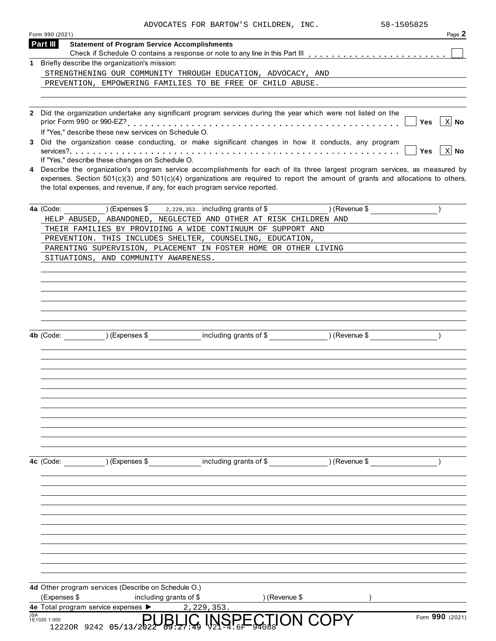|  | ADVOCATES FOR BARTOW'S CHILDREN, INC. | 58-1505825 |
|--|---------------------------------------|------------|

|                             |                                                      | ADVOCATES FOR BARTOW'S CHILDREN, INC.                                                                                                                                                                                                                                                                                                             |               | 58-1505825<br>Page 2      |
|-----------------------------|------------------------------------------------------|---------------------------------------------------------------------------------------------------------------------------------------------------------------------------------------------------------------------------------------------------------------------------------------------------------------------------------------------------|---------------|---------------------------|
| Form 990 (2021)<br>Part III | <b>Statement of Program Service Accomplishments</b>  |                                                                                                                                                                                                                                                                                                                                                   |               |                           |
|                             |                                                      |                                                                                                                                                                                                                                                                                                                                                   |               |                           |
|                             | 1 Briefly describe the organization's mission:       |                                                                                                                                                                                                                                                                                                                                                   |               |                           |
|                             |                                                      | STRENGTHENING OUR COMMUNITY THROUGH EDUCATION, ADVOCACY, AND                                                                                                                                                                                                                                                                                      |               |                           |
|                             |                                                      | PREVENTION, EMPOWERING FAMILIES TO BE FREE OF CHILD ABUSE.                                                                                                                                                                                                                                                                                        |               |                           |
|                             |                                                      | 2 Did the organization undertake any significant program services during the year which were not listed on the                                                                                                                                                                                                                                    |               |                           |
|                             | If "Yes," describe these new services on Schedule O. |                                                                                                                                                                                                                                                                                                                                                   |               | $\vert x \vert$ No<br>Yes |
|                             |                                                      | 3 Did the organization cease conducting, or make significant changes in how it conducts, any program                                                                                                                                                                                                                                              |               | X No<br><b>Yes</b>        |
|                             | If "Yes," describe these changes on Schedule O.      |                                                                                                                                                                                                                                                                                                                                                   |               |                           |
|                             |                                                      | 4 Describe the organization's program service accomplishments for each of its three largest program services, as measured by<br>expenses. Section $501(c)(3)$ and $501(c)(4)$ organizations are required to report the amount of grants and allocations to others,<br>the total expenses, and revenue, if any, for each program service reported. |               |                           |
|                             |                                                      | 4a (Code: ) (Expenses \$2,229,353. including grants of \$20, 12 (Revenue \$1)                                                                                                                                                                                                                                                                     |               |                           |
|                             |                                                      | HELP ABUSED, ABANDONED, NEGLECTED AND OTHER AT RISK CHILDREN AND                                                                                                                                                                                                                                                                                  |               |                           |
|                             |                                                      | THEIR FAMILIES BY PROVIDING A WIDE CONTINUUM OF SUPPORT AND<br>PREVENTION. THIS INCLUDES SHELTER, COUNSELING, EDUCATION,                                                                                                                                                                                                                          |               |                           |
|                             |                                                      | PARENTING SUPERVISION, PLACEMENT IN FOSTER HOME OR OTHER LIVING                                                                                                                                                                                                                                                                                   |               |                           |
|                             | SITUATIONS, AND COMMUNITY AWARENESS.                 |                                                                                                                                                                                                                                                                                                                                                   |               |                           |
|                             |                                                      |                                                                                                                                                                                                                                                                                                                                                   |               |                           |
|                             |                                                      |                                                                                                                                                                                                                                                                                                                                                   |               |                           |
|                             |                                                      |                                                                                                                                                                                                                                                                                                                                                   |               |                           |
|                             |                                                      |                                                                                                                                                                                                                                                                                                                                                   |               |                           |
|                             |                                                      |                                                                                                                                                                                                                                                                                                                                                   |               |                           |
|                             |                                                      |                                                                                                                                                                                                                                                                                                                                                   |               |                           |
| 4b (Code:                   | ) (Expenses \$                                       | including grants of \$                                                                                                                                                                                                                                                                                                                            | ) (Revenue \$ |                           |
|                             |                                                      |                                                                                                                                                                                                                                                                                                                                                   |               |                           |
|                             |                                                      |                                                                                                                                                                                                                                                                                                                                                   |               |                           |
|                             |                                                      |                                                                                                                                                                                                                                                                                                                                                   |               |                           |
|                             |                                                      |                                                                                                                                                                                                                                                                                                                                                   |               |                           |
|                             |                                                      |                                                                                                                                                                                                                                                                                                                                                   |               |                           |
|                             |                                                      |                                                                                                                                                                                                                                                                                                                                                   |               |                           |
|                             |                                                      |                                                                                                                                                                                                                                                                                                                                                   |               |                           |
|                             |                                                      |                                                                                                                                                                                                                                                                                                                                                   |               |                           |
|                             |                                                      |                                                                                                                                                                                                                                                                                                                                                   |               |                           |
| 4c (Code:                   | ) (Expenses \$                                       | including grants of \$                                                                                                                                                                                                                                                                                                                            | ) (Revenue \$ |                           |
|                             |                                                      |                                                                                                                                                                                                                                                                                                                                                   |               |                           |
|                             |                                                      |                                                                                                                                                                                                                                                                                                                                                   |               |                           |
|                             |                                                      |                                                                                                                                                                                                                                                                                                                                                   |               |                           |
|                             |                                                      |                                                                                                                                                                                                                                                                                                                                                   |               |                           |
|                             |                                                      |                                                                                                                                                                                                                                                                                                                                                   |               |                           |
|                             |                                                      |                                                                                                                                                                                                                                                                                                                                                   |               |                           |
|                             |                                                      |                                                                                                                                                                                                                                                                                                                                                   |               |                           |
|                             | 4d Other program services (Describe on Schedule O.)  |                                                                                                                                                                                                                                                                                                                                                   |               |                           |
| (Expenses \$                | including grants of \$                               | ) (Revenue \$                                                                                                                                                                                                                                                                                                                                     |               |                           |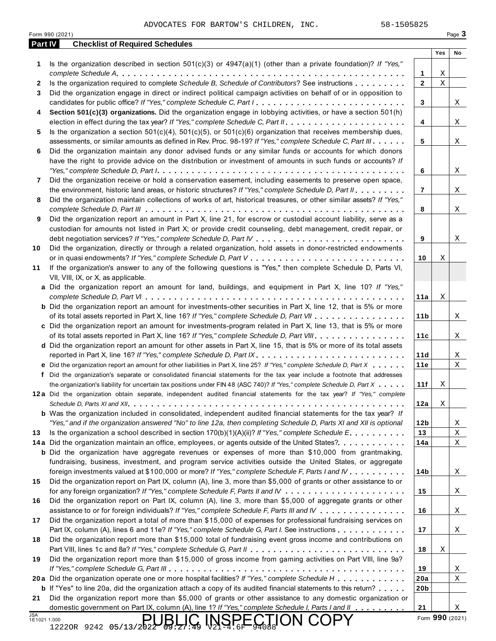|                | 58-1505825<br>ADVOCATES FOR BARTOW'S CHILDREN, INC.<br>Form 990 (2021)                                                                                                                                                                                                                                                                                                                                                                                                                                       |                 |                 | Page 3 |
|----------------|--------------------------------------------------------------------------------------------------------------------------------------------------------------------------------------------------------------------------------------------------------------------------------------------------------------------------------------------------------------------------------------------------------------------------------------------------------------------------------------------------------------|-----------------|-----------------|--------|
| <b>Part IV</b> | <b>Checklist of Required Schedules</b>                                                                                                                                                                                                                                                                                                                                                                                                                                                                       |                 | Yes             | No     |
| 1              | Is the organization described in section $501(c)(3)$ or $4947(a)(1)$ (other than a private foundation)? If "Yes,"                                                                                                                                                                                                                                                                                                                                                                                            |                 |                 |        |
|                |                                                                                                                                                                                                                                                                                                                                                                                                                                                                                                              | 1               | Χ               |        |
| 2              | Is the organization required to complete Schedule B, Schedule of Contributors? See instructions                                                                                                                                                                                                                                                                                                                                                                                                              | $\mathbf{2}$    | $\rm X$         |        |
| 3              | Did the organization engage in direct or indirect political campaign activities on behalf of or in opposition to                                                                                                                                                                                                                                                                                                                                                                                             |                 |                 |        |
|                | candidates for public office? If "Yes," complete Schedule C, Part I                                                                                                                                                                                                                                                                                                                                                                                                                                          | 3               |                 | X      |
| 4              | Section 501(c)(3) organizations. Did the organization engage in lobbying activities, or have a section 501(h)                                                                                                                                                                                                                                                                                                                                                                                                |                 |                 |        |
|                |                                                                                                                                                                                                                                                                                                                                                                                                                                                                                                              | 4               |                 | Χ      |
| 5              | Is the organization a section $501(c)(4)$ , $501(c)(5)$ , or $501(c)(6)$ organization that receives membership dues,                                                                                                                                                                                                                                                                                                                                                                                         |                 |                 |        |
|                | assessments, or similar amounts as defined in Rev. Proc. 98-19? If "Yes," complete Schedule C, Part III                                                                                                                                                                                                                                                                                                                                                                                                      | 5               |                 | X      |
| 6              | Did the organization maintain any donor advised funds or any similar funds or accounts for which donors                                                                                                                                                                                                                                                                                                                                                                                                      |                 |                 |        |
|                | have the right to provide advice on the distribution or investment of amounts in such funds or accounts? If<br>"Yes," complete Schedule D, Part $l_1, \ldots, l_k, \ldots, l_k, \ldots, l_k, \ldots, l_k, \ldots, l_k, \ldots, l_k, \ldots, l_k, \ldots, l_k, \ldots, l_k, \ldots, l_k, \ldots, l_k, \ldots, l_k, \ldots, l_k, \ldots, l_k, \ldots, l_k, \ldots, l_k, \ldots, l_k, \ldots, l_k, \ldots, l_k, \ldots, l_k, \ldots, l_k, \ldots, l_k, \ldots, l_k, \ldots, l_k, \ldots, l_k, \ldots, l_k, \ld$ | 6               |                 |        |
| 7              | Did the organization receive or hold a conservation easement, including easements to preserve open space,                                                                                                                                                                                                                                                                                                                                                                                                    |                 |                 | X      |
|                | the environment, historic land areas, or historic structures? If "Yes," complete Schedule D, Part II.                                                                                                                                                                                                                                                                                                                                                                                                        | $\overline{7}$  |                 | X      |
| 8              | Did the organization maintain collections of works of art, historical treasures, or other similar assets? If "Yes,"                                                                                                                                                                                                                                                                                                                                                                                          |                 |                 |        |
|                |                                                                                                                                                                                                                                                                                                                                                                                                                                                                                                              | 8               |                 | Χ      |
| 9              | Did the organization report an amount in Part X, line 21, for escrow or custodial account liability, serve as a                                                                                                                                                                                                                                                                                                                                                                                              |                 |                 |        |
|                | custodian for amounts not listed in Part X; or provide credit counseling, debt management, credit repair, or                                                                                                                                                                                                                                                                                                                                                                                                 |                 |                 |        |
|                |                                                                                                                                                                                                                                                                                                                                                                                                                                                                                                              | 9               |                 | Χ      |
| 10             | Did the organization, directly or through a related organization, hold assets in donor-restricted endowments                                                                                                                                                                                                                                                                                                                                                                                                 |                 |                 |        |
|                |                                                                                                                                                                                                                                                                                                                                                                                                                                                                                                              | 10              | Χ               |        |
| 11             | If the organization's answer to any of the following questions is "Yes," then complete Schedule D, Parts VI,                                                                                                                                                                                                                                                                                                                                                                                                 |                 |                 |        |
|                | VII, VIII, IX, or X, as applicable.                                                                                                                                                                                                                                                                                                                                                                                                                                                                          |                 |                 |        |
|                | a Did the organization report an amount for land, buildings, and equipment in Part X, line 10? If "Yes,"                                                                                                                                                                                                                                                                                                                                                                                                     |                 |                 |        |
|                |                                                                                                                                                                                                                                                                                                                                                                                                                                                                                                              | 11a             | Χ               |        |
|                | <b>b</b> Did the organization report an amount for investments-other securities in Part X, line 12, that is 5% or more                                                                                                                                                                                                                                                                                                                                                                                       |                 |                 |        |
|                | of its total assets reported in Part X, line 16? If "Yes," complete Schedule D, Part VII                                                                                                                                                                                                                                                                                                                                                                                                                     | 11 <sub>b</sub> |                 | X      |
|                | c Did the organization report an amount for investments-program related in Part X, line 13, that is 5% or more                                                                                                                                                                                                                                                                                                                                                                                               |                 |                 |        |
|                | of its total assets reported in Part X, line 16? If "Yes," complete Schedule D, Part VIII                                                                                                                                                                                                                                                                                                                                                                                                                    | 11c             |                 | Χ      |
|                | d Did the organization report an amount for other assets in Part X, line 15, that is 5% or more of its total assets                                                                                                                                                                                                                                                                                                                                                                                          |                 |                 |        |
|                |                                                                                                                                                                                                                                                                                                                                                                                                                                                                                                              | 11d             |                 | X      |
|                | e Did the organization report an amount for other liabilities in Part X, line 25? If "Yes," complete Schedule D, Part X                                                                                                                                                                                                                                                                                                                                                                                      | 11e             |                 | Χ      |
|                | f Did the organization's separate or consolidated financial statements for the tax year include a footnote that addresses                                                                                                                                                                                                                                                                                                                                                                                    |                 |                 |        |
|                | the organization's liability for uncertain tax positions under FIN 48 (ASC 740)? If "Yes," complete Schedule D, Part X                                                                                                                                                                                                                                                                                                                                                                                       | 11f             | Χ               |        |
|                | 12a Did the organization obtain separate, independent audited financial statements for the tax year? If "Yes," complete                                                                                                                                                                                                                                                                                                                                                                                      | 12a             | Χ               |        |
|                | <b>b</b> Was the organization included in consolidated, independent audited financial statements for the tax year? If                                                                                                                                                                                                                                                                                                                                                                                        |                 |                 |        |
|                | "Yes," and if the organization answered "No" to line 12a, then completing Schedule D, Parts XI and XII is optional                                                                                                                                                                                                                                                                                                                                                                                           | 12b             |                 | X      |
| 13             | Is the organization a school described in section $170(b)(1)(A)(ii)$ ? If "Yes," complete Schedule E.                                                                                                                                                                                                                                                                                                                                                                                                        | 13              |                 | Χ      |
|                | 14a Did the organization maintain an office, employees, or agents outside of the United States?.                                                                                                                                                                                                                                                                                                                                                                                                             | 14a             |                 | X      |
|                | <b>b</b> Did the organization have aggregate revenues or expenses of more than \$10,000 from grantmaking,                                                                                                                                                                                                                                                                                                                                                                                                    |                 |                 |        |
|                | fundraising, business, investment, and program service activities outside the United States, or aggregate                                                                                                                                                                                                                                                                                                                                                                                                    |                 |                 |        |
|                | foreign investments valued at \$100,000 or more? If "Yes," complete Schedule F, Parts I and IV                                                                                                                                                                                                                                                                                                                                                                                                               | 14b             |                 | Χ      |
| 15             | Did the organization report on Part IX, column (A), line 3, more than \$5,000 of grants or other assistance to or                                                                                                                                                                                                                                                                                                                                                                                            |                 |                 |        |
|                |                                                                                                                                                                                                                                                                                                                                                                                                                                                                                                              | 15              |                 | Χ      |
| 16             | Did the organization report on Part IX, column (A), line 3, more than \$5,000 of aggregate grants or other                                                                                                                                                                                                                                                                                                                                                                                                   |                 |                 |        |
|                | assistance to or for foreign individuals? If "Yes," complete Schedule F, Parts III and IV                                                                                                                                                                                                                                                                                                                                                                                                                    | 16              |                 | Χ      |
| 17             | Did the organization report a total of more than \$15,000 of expenses for professional fundraising services on                                                                                                                                                                                                                                                                                                                                                                                               |                 |                 |        |
|                | Part IX, column (A), lines 6 and 11e? If "Yes," complete Schedule G, Part I. See instructions                                                                                                                                                                                                                                                                                                                                                                                                                | 17              |                 | X      |
| 18             | Did the organization report more than \$15,000 total of fundraising event gross income and contributions on                                                                                                                                                                                                                                                                                                                                                                                                  |                 |                 |        |
|                |                                                                                                                                                                                                                                                                                                                                                                                                                                                                                                              | 18              | Χ               |        |
| 19             | Did the organization report more than \$15,000 of gross income from gaming activities on Part VIII, line 9a?                                                                                                                                                                                                                                                                                                                                                                                                 |                 |                 |        |
|                |                                                                                                                                                                                                                                                                                                                                                                                                                                                                                                              | 19              |                 | X      |
|                | 20a Did the organization operate one or more hospital facilities? If "Yes," complete Schedule H                                                                                                                                                                                                                                                                                                                                                                                                              | 20a             |                 | Χ      |
|                | <b>b</b> If "Yes" to line 20a, did the organization attach a copy of its audited financial statements to this return?                                                                                                                                                                                                                                                                                                                                                                                        | 20 <sub>b</sub> |                 |        |
| 21             | Did the organization report more than \$5,000 of grants or other assistance to any domestic organization or<br>domestic government on Part IX, column (A), line 1? If "Yes," complete Schedule I, Parts I and II                                                                                                                                                                                                                                                                                             | 21              |                 |        |
| <b>JSA</b>     |                                                                                                                                                                                                                                                                                                                                                                                                                                                                                                              |                 |                 | Χ      |
| 1E1021 1.000   | INSPECTION COPY<br>12220R 9242 05/13/2022<br>09:27:49                                                                                                                                                                                                                                                                                                                                                                                                                                                        |                 | Form 990 (2021) |        |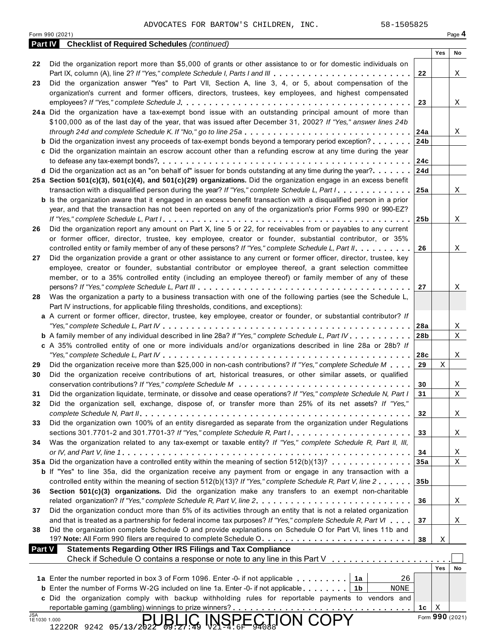|                            | 58-1505825<br>ADVOCATES FOR BARTOW'S CHILDREN, INC.<br>Form 990 (2021)                                                                                                                                                           |                        |     | Page 4          |
|----------------------------|----------------------------------------------------------------------------------------------------------------------------------------------------------------------------------------------------------------------------------|------------------------|-----|-----------------|
|                            | <b>Checklist of Required Schedules (continued)</b><br><b>Part IV</b>                                                                                                                                                             |                        |     |                 |
|                            |                                                                                                                                                                                                                                  |                        | Yes | No              |
| 22                         | Did the organization report more than \$5,000 of grants or other assistance to or for domestic individuals on<br>Part IX, column (A), line 2? If "Yes," complete Schedule I, Parts I and III                                     | 22                     |     | X               |
| 23                         | Did the organization answer "Yes" to Part VII, Section A, line 3, 4, or 5, about compensation of the                                                                                                                             |                        |     |                 |
|                            | organization's current and former officers, directors, trustees, key employees, and highest compensated                                                                                                                          |                        |     |                 |
|                            |                                                                                                                                                                                                                                  | 23                     |     | X               |
|                            | 24a Did the organization have a tax-exempt bond issue with an outstanding principal amount of more than<br>\$100,000 as of the last day of the year, that was issued after December 31, 2002? If "Yes," answer lines 24b         |                        |     |                 |
|                            | through 24d and complete Schedule K. If "No," go to line 25a                                                                                                                                                                     | 24a                    |     | X               |
|                            | <b>b</b> Did the organization invest any proceeds of tax-exempt bonds beyond a temporary period exception?                                                                                                                       | 24 <sub>b</sub>        |     |                 |
|                            | c Did the organization maintain an escrow account other than a refunding escrow at any time during the year                                                                                                                      |                        |     |                 |
|                            |                                                                                                                                                                                                                                  | 24c                    |     |                 |
|                            | <b>d</b> Did the organization act as an "on behalf of" issuer for bonds outstanding at any time during the year?                                                                                                                 | 24d                    |     |                 |
|                            | 25a Section 501(c)(3), 501(c)(4), and 501(c)(29) organizations. Did the organization engage in an excess benefit<br>transaction with a disqualified person during the year? If "Yes," complete Schedule L, Part I.               | 25a                    |     | X               |
|                            | <b>b</b> Is the organization aware that it engaged in an excess benefit transaction with a disqualified person in a prior                                                                                                        |                        |     |                 |
|                            | year, and that the transaction has not been reported on any of the organization's prior Forms 990 or 990-EZ?                                                                                                                     |                        |     |                 |
|                            |                                                                                                                                                                                                                                  | 25b                    |     | X               |
| 26                         | Did the organization report any amount on Part X, line 5 or 22, for receivables from or payables to any current                                                                                                                  |                        |     |                 |
|                            | or former officer, director, trustee, key employee, creator or founder, substantial contributor, or 35%                                                                                                                          |                        |     |                 |
| 27                         | controlled entity or family member of any of these persons? If "Yes," complete Schedule L, Part II.<br>Did the organization provide a grant or other assistance to any current or former officer, director, trustee, key         | 26                     |     | X               |
|                            | employee, creator or founder, substantial contributor or employee thereof, a grant selection committee                                                                                                                           |                        |     |                 |
|                            | member, or to a 35% controlled entity (including an employee thereof) or family member of any of these                                                                                                                           |                        |     |                 |
|                            |                                                                                                                                                                                                                                  | 27                     |     | Χ               |
| 28                         | Was the organization a party to a business transaction with one of the following parties (see the Schedule L,                                                                                                                    |                        |     |                 |
|                            | Part IV instructions, for applicable filing thresholds, conditions, and exceptions):                                                                                                                                             |                        |     |                 |
|                            | a A current or former officer, director, trustee, key employee, creator or founder, or substantial contributor? If                                                                                                               |                        |     |                 |
|                            | <b>b</b> A family member of any individual described in line 28a? If "Yes," complete Schedule L, Part IV.                                                                                                                        | 28a<br>28 <sub>b</sub> |     | Χ<br>X          |
|                            | c A 35% controlled entity of one or more individuals and/or organizations described in line 28a or 28b? If                                                                                                                       |                        |     |                 |
|                            |                                                                                                                                                                                                                                  | 28c                    |     | X               |
| 29                         | Did the organization receive more than \$25,000 in non-cash contributions? If "Yes," complete Schedule M                                                                                                                         | 29                     | Χ   |                 |
| 30                         | Did the organization receive contributions of art, historical treasures, or other similar assets, or qualified                                                                                                                   |                        |     |                 |
|                            | Did the organization liquidate, terminate, or dissolve and cease operations? If "Yes," complete Schedule N, Part I                                                                                                               | 30                     |     | Χ               |
| 31<br>32                   | Did the organization sell, exchange, dispose of, or transfer more than 25% of its net assets? If "Yes,"                                                                                                                          | 31                     |     | X               |
|                            |                                                                                                                                                                                                                                  | 32                     |     | X               |
| 33                         | Did the organization own 100% of an entity disregarded as separate from the organization under Regulations                                                                                                                       |                        |     |                 |
|                            | sections 301.7701-2 and 301.7701-3? If "Yes," complete Schedule R, Part /                                                                                                                                                        | 33                     |     | X               |
| 34                         | Was the organization related to any tax-exempt or taxable entity? If "Yes," complete Schedule R, Part II, III,                                                                                                                   |                        |     |                 |
|                            | 35a Did the organization have a controlled entity within the meaning of section 512(b)(13)?                                                                                                                                      | 34                     |     | X               |
|                            | <b>b</b> If "Yes" to line 35a, did the organization receive any payment from or engage in any transaction with a                                                                                                                 | 35a                    |     | X               |
|                            | controlled entity within the meaning of section 512(b)(13)? If "Yes," complete Schedule R, Part V, line 2                                                                                                                        | 35 <sub>b</sub>        |     |                 |
| 36                         | Section 501(c)(3) organizations. Did the organization make any transfers to an exempt non-charitable                                                                                                                             |                        |     |                 |
|                            | related organization? If "Yes," complete Schedule R, Part V, line 2.                                                                                                                                                             | 36                     |     | X               |
| 37                         | Did the organization conduct more than 5% of its activities through an entity that is not a related organization                                                                                                                 |                        |     |                 |
|                            | and that is treated as a partnership for federal income tax purposes? If "Yes," complete Schedule R, Part VI                                                                                                                     | 37                     |     | X               |
| 38                         | Did the organization complete Schedule O and provide explanations on Schedule O for Part VI, lines 11b and<br>19? Note: All Form 990 filers are required to complete Schedule O.                                                 | 38                     | Χ   |                 |
| <b>Part V</b>              | <b>Statements Regarding Other IRS Filings and Tax Compliance</b>                                                                                                                                                                 |                        |     |                 |
|                            |                                                                                                                                                                                                                                  |                        |     |                 |
|                            |                                                                                                                                                                                                                                  |                        | Yes | No              |
|                            | 26<br>1a Enter the number reported in box 3 of Form 1096. Enter -0- if not applicable<br>1a                                                                                                                                      |                        |     |                 |
|                            | <b>b</b> Enter the number of Forms W-2G included on line 1a. Enter -0- if not applicable $\ldots$ , $\ldots$<br>1b<br>NONE<br>c Did the organization comply with backup withholding rules for reportable payments to vendors and |                        |     |                 |
|                            |                                                                                                                                                                                                                                  | 1c                     | X   |                 |
| <b>JSA</b><br>1E1030 1.000 | <b>INSPECTION COPY</b>                                                                                                                                                                                                           |                        |     | Form 990 (2021) |
|                            | 12220R 9242 05/13/2022 $\frac{1}{2}$ .                                                                                                                                                                                           |                        |     |                 |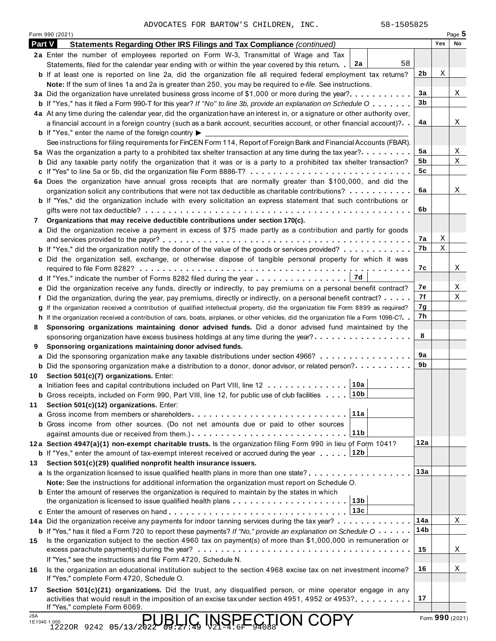|               | ADVOCATES FOR BARTOW'S CHILDREN, INC.<br>58-1505825<br>Form 990 (2021)                                                                                                                     |                |                 | Page $5$ |
|---------------|--------------------------------------------------------------------------------------------------------------------------------------------------------------------------------------------|----------------|-----------------|----------|
| <b>Part V</b> | Statements Regarding Other IRS Filings and Tax Compliance (continued)                                                                                                                      |                | Yes             | No       |
|               | 2a Enter the number of employees reported on Form W-3, Transmittal of Wage and Tax                                                                                                         |                |                 |          |
|               | 58<br>Statements, filed for the calendar year ending with or within the year covered by this return. [2a                                                                                   |                |                 |          |
|               | <b>b</b> If at least one is reported on line 2a, did the organization file all required federal employment tax returns?                                                                    | 2 <sub>b</sub> | Χ               |          |
|               | Note: If the sum of lines 1a and 2a is greater than 250, you may be required to e-file. See instructions.                                                                                  | 3a             |                 | X        |
|               | <b>b</b> If "Yes," has it filed a Form 990-T for this year? If "No" to line 3b, provide an explanation on Schedule O                                                                       | 3b             |                 |          |
|               | 4a At any time during the calendar year, did the organization have an interest in, or a signature or other authority over,                                                                 |                |                 |          |
|               | a financial account in a foreign country (such as a bank account, securities account, or other financial account)?                                                                         | 4a             |                 | X        |
|               | <b>b</b> If "Yes," enter the name of the foreign country $\blacktriangleright$                                                                                                             |                |                 |          |
|               | See instructions for filing requirements for FinCEN Form 114, Report of Foreign Bank and Financial Accounts (FBAR).                                                                        |                |                 |          |
|               | 5a Was the organization a party to a prohibited tax shelter transaction at any time during the tax year?                                                                                   | 5а             |                 | Χ        |
|               | <b>b</b> Did any taxable party notify the organization that it was or is a party to a prohibited tax shelter transaction?                                                                  | 5b             |                 | X        |
|               |                                                                                                                                                                                            | 5c             |                 |          |
|               | 6a Does the organization have annual gross receipts that are normally greater than \$100,000, and did the                                                                                  |                |                 |          |
|               | organization solicit any contributions that were not tax deductible as charitable contributions?                                                                                           | 6a             |                 | X        |
|               | <b>b</b> If "Yes," did the organization include with every solicitation an express statement that such contributions or                                                                    | 6b             |                 |          |
| 7             | Organizations that may receive deductible contributions under section 170(c).                                                                                                              |                |                 |          |
|               | a Did the organization receive a payment in excess of \$75 made partly as a contribution and partly for goods                                                                              |                |                 |          |
|               |                                                                                                                                                                                            | 7a             | Χ               |          |
|               | <b>b</b> If "Yes," did the organization notify the donor of the value of the goods or services provided?                                                                                   | 7b             | X               |          |
|               | c Did the organization sell, exchange, or otherwise dispose of tangible personal property for which it was                                                                                 |                |                 |          |
|               |                                                                                                                                                                                            | 7c             |                 | X        |
|               |                                                                                                                                                                                            |                |                 |          |
|               | e Did the organization receive any funds, directly or indirectly, to pay premiums on a personal benefit contract?                                                                          | 7e             |                 | X        |
|               | f Did the organization, during the year, pay premiums, directly or indirectly, on a personal benefit contract?                                                                             | 7f             |                 | Χ        |
|               | g If the organization received a contribution of qualified intellectual property, did the organization file Form 8899 as required?                                                         | 7g             |                 |          |
|               | h If the organization received a contribution of cars, boats, airplanes, or other vehicles, did the organization file a Form 1098-C?. .                                                    | 7h             |                 |          |
| 8             | Sponsoring organizations maintaining donor advised funds. Did a donor advised fund maintained by the<br>sponsoring organization have excess business holdings at any time during the year? | 8              |                 |          |
| 9             | Sponsoring organizations maintaining donor advised funds.                                                                                                                                  |                |                 |          |
|               | a Did the sponsoring organization make any taxable distributions under section 4966?                                                                                                       | 9а             |                 |          |
|               | <b>b</b> Did the sponsoring organization make a distribution to a donor, donor advisor, or related person?                                                                                 | 9b             |                 |          |
| 10            | Section 501(c)(7) organizations. Enter:                                                                                                                                                    |                |                 |          |
|               | 10a<br>a Initiation fees and capital contributions included on Part VIII, line 12                                                                                                          |                |                 |          |
|               | 10b<br><b>b</b> Gross receipts, included on Form 990, Part VIII, line 12, for public use of club facilities                                                                                |                |                 |          |
| 11            | Section 501(c)(12) organizations. Enter:                                                                                                                                                   |                |                 |          |
|               | 11a<br>a Gross income from members or shareholders                                                                                                                                         |                |                 |          |
|               | <b>b</b> Gross income from other sources. (Do not net amounts due or paid to other sources<br> 11b                                                                                         |                |                 |          |
|               | 12a Section 4947(a)(1) non-exempt charitable trusts. Is the organization filing Form 990 in lieu of Form 1041?                                                                             | 12a            |                 |          |
|               | <b>b</b> If "Yes," enter the amount of tax-exempt interest received or accrued during the year  [12b                                                                                       |                |                 |          |
| 13            | Section 501(c)(29) qualified nonprofit health insurance issuers.                                                                                                                           |                |                 |          |
|               | a Is the organization licensed to issue qualified health plans in more than one state?                                                                                                     | 13a            |                 |          |
|               | Note: See the instructions for additional information the organization must report on Schedule O.                                                                                          |                |                 |          |
|               | <b>b</b> Enter the amount of reserves the organization is required to maintain by the states in which                                                                                      |                |                 |          |
|               | 13 <sub>b</sub>                                                                                                                                                                            |                |                 |          |
|               | 13c<br>c Enter the amount of reserves on hand                                                                                                                                              |                |                 |          |
|               | 14a Did the organization receive any payments for indoor tanning services during the tax year?                                                                                             | 14a            |                 | X        |
|               | <b>b</b> If "Yes," has it filed a Form 720 to report these payments? If "No," provide an explanation on Schedule $0 \cdot \cdot \cdot \cdot$                                               | 14b            |                 |          |
| 15            | Is the organization subject to the section 4960 tax on payment(s) of more than \$1,000,000 in remuneration or<br>excess parachute payment(s) during the year?                              | 15             |                 | Χ        |
|               | If "Yes," see the instructions and file Form 4720, Schedule N.                                                                                                                             |                |                 |          |
| 16            | Is the organization an educational institution subject to the section 4968 excise tax on net investment income?                                                                            | 16             |                 | Χ        |
|               | If "Yes," complete Form 4720, Schedule O.                                                                                                                                                  |                |                 |          |
| 17            | Section 501(c)(21) organizations. Did the trust, any disqualified person, or mine operator engage in any                                                                                   |                |                 |          |
|               | activities that would result in the imposition of an excise tax under section 4951, 4952 or 4953?                                                                                          | 17             |                 |          |
| <b>JSA</b>    | If "Yes," complete Form 6069.                                                                                                                                                              |                |                 |          |
|               | <b>JBLIC INSPECTION COPY</b><br>1.000<br>1222OR 9242 05/13/2022<br>1E1040 1.000                                                                                                            |                | Form 990 (2021) |          |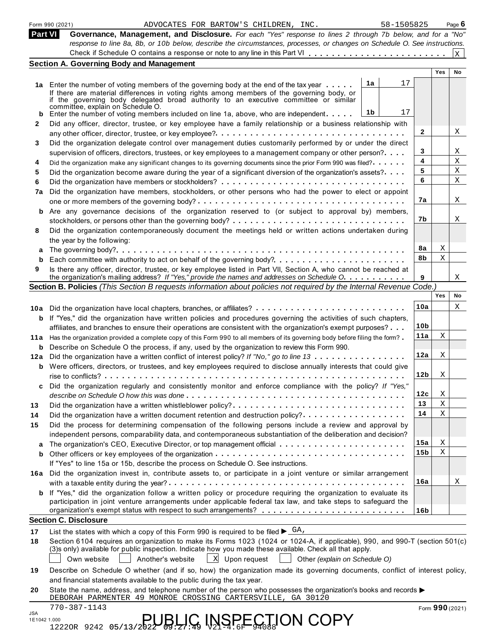|              | Form 990 (2021)<br>58-1505825<br>ADVOCATES FOR BARTOW'S CHILDREN, INC.                                                                                                                                                                                                                                                            |                        |             | Page $6$        |
|--------------|-----------------------------------------------------------------------------------------------------------------------------------------------------------------------------------------------------------------------------------------------------------------------------------------------------------------------------------|------------------------|-------------|-----------------|
| Part VI      | Governance, Management, and Disclosure. For each "Yes" response to lines 2 through 7b below, and for a "No"<br>response to line 8a, 8b, or 10b below, describe the circumstances, processes, or changes on Schedule O. See instructions.                                                                                          |                        |             |                 |
|              | Check if Schedule O contains a response or note to any line in this Part VI                                                                                                                                                                                                                                                       |                        |             | $\vert x \vert$ |
|              | <b>Section A. Governing Body and Management</b>                                                                                                                                                                                                                                                                                   |                        |             |                 |
|              |                                                                                                                                                                                                                                                                                                                                   |                        | Yes         | No              |
|              | 1a<br>17<br>1a Enter the number of voting members of the governing body at the end of the tax year<br>If there are material differences in voting rights among members of the governing body, or<br>if the governing body delegated broad authority to an executive committee or similar<br>committée, explain on Schedule O.     |                        |             |                 |
|              | 1b<br>17<br><b>b</b> Enter the number of voting members included on line 1a, above, who are independent. $\ldots$ .                                                                                                                                                                                                               |                        |             |                 |
| $\mathbf{2}$ | Did any officer, director, trustee, or key employee have a family relationship or a business relationship with                                                                                                                                                                                                                    |                        |             |                 |
|              |                                                                                                                                                                                                                                                                                                                                   | 2                      |             | Χ               |
| 3            | Did the organization delegate control over management duties customarily performed by or under the direct                                                                                                                                                                                                                         |                        |             |                 |
|              | supervision of officers, directors, trustees, or key employees to a management company or other person?                                                                                                                                                                                                                           | 3<br>4                 |             | Χ<br>Χ          |
| 4            | Did the organization make any significant changes to its governing documents since the prior Form 990 was filed?                                                                                                                                                                                                                  | 5                      |             | Χ               |
| 5            | Did the organization become aware during the year of a significant diversion of the organization's assets?                                                                                                                                                                                                                        | 6                      |             | Χ               |
| 6<br>7a      | Did the organization have members, stockholders, or other persons who had the power to elect or appoint                                                                                                                                                                                                                           |                        |             |                 |
|              |                                                                                                                                                                                                                                                                                                                                   | 7а                     |             | Χ               |
| b            | Are any governance decisions of the organization reserved to (or subject to approval by) members,                                                                                                                                                                                                                                 |                        |             |                 |
|              |                                                                                                                                                                                                                                                                                                                                   | 7b                     |             | Χ               |
| 8            | Did the organization contemporaneously document the meetings held or written actions undertaken during                                                                                                                                                                                                                            |                        |             |                 |
|              | the year by the following:                                                                                                                                                                                                                                                                                                        |                        |             |                 |
| a            |                                                                                                                                                                                                                                                                                                                                   | 8a                     | Χ           |                 |
| b            | Each committee with authority to act on behalf of the governing body?                                                                                                                                                                                                                                                             | 8b                     | $\mathbf X$ |                 |
| 9            | Is there any officer, director, trustee, or key employee listed in Part VII, Section A, who cannot be reached at                                                                                                                                                                                                                  |                        |             |                 |
|              | the organization's mailing address? If "Yes," provide the names and addresses on Schedule O.                                                                                                                                                                                                                                      | 9                      |             | X               |
|              | Section B. Policies (This Section B requests information about policies not required by the Internal Revenue Code.)                                                                                                                                                                                                               |                        | Yes         | No              |
|              |                                                                                                                                                                                                                                                                                                                                   | 10a                    |             | Χ               |
|              | 10a Did the organization have local chapters, branches, or affiliates?                                                                                                                                                                                                                                                            |                        |             |                 |
|              | <b>b</b> If "Yes," did the organization have written policies and procedures governing the activities of such chapters,<br>affiliates, and branches to ensure their operations are consistent with the organization's exempt purposes?                                                                                            | 10 <sub>b</sub>        |             |                 |
|              | 11a Has the organization provided a complete copy of this Form 990 to all members of its governing body before filing the form?                                                                                                                                                                                                   | 11a                    | Χ           |                 |
|              | <b>b</b> Describe on Schedule O the process, if any, used by the organization to review this Form 990.                                                                                                                                                                                                                            |                        |             |                 |
|              | 12a Did the organization have a written conflict of interest policy? If "No," go to line 13                                                                                                                                                                                                                                       | 12a                    | Χ           |                 |
|              | <b>b</b> Were officers, directors, or trustees, and key employees required to disclose annually interests that could give                                                                                                                                                                                                         |                        |             |                 |
|              |                                                                                                                                                                                                                                                                                                                                   | 12 <sub>b</sub>        | Χ           |                 |
| c            | Did the organization regularly and consistently monitor and enforce compliance with the policy? If "Yes,"                                                                                                                                                                                                                         |                        |             |                 |
|              |                                                                                                                                                                                                                                                                                                                                   | 12с                    | Χ           |                 |
| 13           | Did the organization have a written whistleblower policy?                                                                                                                                                                                                                                                                         | 13                     | X           |                 |
| 14           | Did the organization have a written document retention and destruction policy?                                                                                                                                                                                                                                                    | 14                     | X           |                 |
| 15           | Did the process for determining compensation of the following persons include a review and approval by                                                                                                                                                                                                                            |                        |             |                 |
|              | independent persons, comparability data, and contemporaneous substantiation of the deliberation and decision?                                                                                                                                                                                                                     |                        |             |                 |
| а            |                                                                                                                                                                                                                                                                                                                                   | 15a<br>15 <sub>b</sub> | Χ<br>X      |                 |
| b            | If "Yes" to line 15a or 15b, describe the process on Schedule O. See instructions.                                                                                                                                                                                                                                                |                        |             |                 |
|              | 16a Did the organization invest in, contribute assets to, or participate in a joint venture or similar arrangement                                                                                                                                                                                                                |                        |             |                 |
|              |                                                                                                                                                                                                                                                                                                                                   | 16a                    |             | Χ               |
| b            | If "Yes," did the organization follow a written policy or procedure requiring the organization to evaluate its                                                                                                                                                                                                                    |                        |             |                 |
|              | participation in joint venture arrangements under applicable federal tax law, and take steps to safeguard the                                                                                                                                                                                                                     |                        |             |                 |
|              |                                                                                                                                                                                                                                                                                                                                   | 16b                    |             |                 |
|              | <b>Section C. Disclosure</b>                                                                                                                                                                                                                                                                                                      |                        |             |                 |
|              | List the states with which a copy of this Form 990 is required to be filed $\blacktriangleright \frac{GA}{A}$                                                                                                                                                                                                                     |                        |             |                 |
| 18           | Section 6104 requires an organization to make its Forms 1023 (1024 or 1024-A, if applicable), 990, and 990-T (section 501(c)<br>(3)s only) available for public inspection. Indicate how you made these available. Check all that apply.<br>Own website<br>Another's website<br>  X Upon request<br>Other (explain on Schedule O) |                        |             |                 |
|              | Describe on Schedule O whether (and if so, how) the organization made its governing documents, conflict of interest policy,                                                                                                                                                                                                       |                        |             |                 |
| 19           | and financial statements available to the public during the tax year.                                                                                                                                                                                                                                                             |                        |             |                 |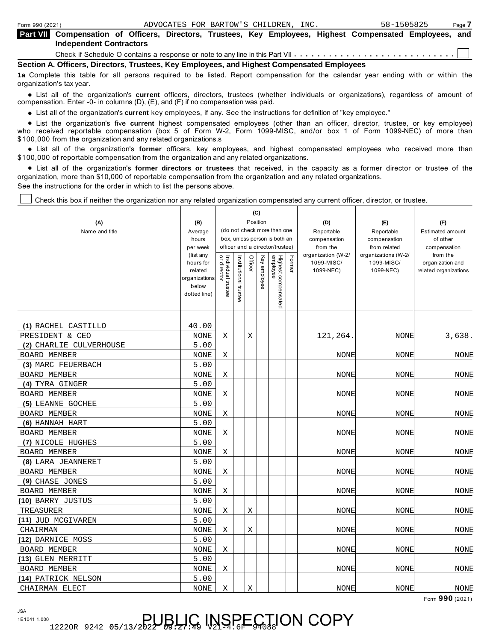| Form 990 (2021)                                                                            |                                                                                                                                             |  |  |  |  |  | ADVOCATES FOR BARTOW'S CHILDREN, INC. |  | 58-1505825 |  | Page 7 |
|--------------------------------------------------------------------------------------------|---------------------------------------------------------------------------------------------------------------------------------------------|--|--|--|--|--|---------------------------------------|--|------------|--|--------|
|                                                                                            | Part VII Compensation of Officers, Directors, Trustees, Key Employees, Highest Compensated Employees, and<br><b>Independent Contractors</b> |  |  |  |  |  |                                       |  |            |  |        |
|                                                                                            |                                                                                                                                             |  |  |  |  |  |                                       |  |            |  |        |
| Section A. Officers, Directors, Trustees, Key Employees, and Highest Compensated Employees |                                                                                                                                             |  |  |  |  |  |                                       |  |            |  |        |

**1a** Complete this table for all persons required to be listed. Report compensation for the calendar year ending with or within the organization's tax year.

anization's lax year.<br>● List all of the organization's **current** officers, directors, trustees (whether individuals or organizations), regardless of amount of<br>nnensation Enter -0- in columns (D) (E) and (E) if no compensa compensation. Enter -0- in columns (D), (E), and (F) if no compensation was paid.

• List all of the organization's current key employees, if any. See the instructions for definition of "key employee."

■ List all of the organization's **current** key employees, if any. See the instructions for definition of "key employee."<br>■ List the organization's five current highest compensated employees (other than an officer, direct who received reportable compensation (box 5 of Form W-2, Form 1099-MISC, and/or box 1 of Form 1099-NEC) of more than<br>\$100,000 from the organization and any related organizations.s

\$100,000 from the organization and any related organizations.s<br>● List all of the organization's **former** officers, key employees, and highest compensated employees who received more than<br>\$100,000 of reportabl \$100,000 of reportable compensation from the organization and any related organizations.

% List all of the organization's **former directors or trustees** that received, in the capacity as a former director or trustee of the organization, more than \$10,000 of reportable compensation from the organization and any related organizations. See the instructions for the order in which to list the persons above.

Check this box if neither the organization nor any related organization compensated any current officer, director, or trustee.

|                         |                       |                                   |                                                                  | (C)      |              |                                 |        |                                |                                     |                          |
|-------------------------|-----------------------|-----------------------------------|------------------------------------------------------------------|----------|--------------|---------------------------------|--------|--------------------------------|-------------------------------------|--------------------------|
| (A)                     | (B)                   |                                   |                                                                  | Position |              |                                 |        | (D)                            | (E)                                 | (F)                      |
| Name and title          | Average               |                                   |                                                                  |          |              | (do not check more than one     |        | Reportable                     | Reportable                          | <b>Estimated amount</b>  |
|                         | hours                 |                                   | box, unless person is both an<br>officer and a director/trustee) |          |              |                                 |        | compensation                   | compensation                        | of other                 |
|                         | per week<br>(list any |                                   |                                                                  |          |              |                                 |        | from the<br>organization (W-2/ | from related<br>organizations (W-2/ | compensation<br>from the |
|                         | hours for             | Individual trustee<br>or director | Institutional trustee                                            | Officer  | Key employee |                                 | Former | 1099-MISC/                     | 1099-MISC/                          | organization and         |
|                         | related               |                                   |                                                                  |          |              |                                 |        | 1099-NEC)                      | 1099-NEC)                           | related organizations    |
|                         | organizations         |                                   |                                                                  |          |              |                                 |        |                                |                                     |                          |
|                         | below                 |                                   |                                                                  |          |              |                                 |        |                                |                                     |                          |
|                         | dotted line)          |                                   |                                                                  |          |              | Highest compensated<br>employee |        |                                |                                     |                          |
|                         |                       |                                   |                                                                  |          |              |                                 |        |                                |                                     |                          |
|                         |                       |                                   |                                                                  |          |              |                                 |        |                                |                                     |                          |
| (1) RACHEL CASTILLO     | 40.00                 |                                   |                                                                  |          |              |                                 |        |                                |                                     |                          |
| PRESIDENT & CEO         | <b>NONE</b>           | Χ                                 |                                                                  | Χ        |              |                                 |        | 121,264.                       | <b>NONE</b>                         | 3,638.                   |
| (2) CHARLIE CULVERHOUSE | 5.00                  |                                   |                                                                  |          |              |                                 |        |                                |                                     |                          |
| <b>BOARD MEMBER</b>     | <b>NONE</b>           | Χ                                 |                                                                  |          |              |                                 |        | NONE                           | <b>NONE</b>                         | NONE                     |
| (3) MARC FEUERBACH      | 5.00                  |                                   |                                                                  |          |              |                                 |        |                                |                                     |                          |
| <b>BOARD MEMBER</b>     | <b>NONE</b>           | Χ                                 |                                                                  |          |              |                                 |        | NONE                           | NONE                                | <b>NONE</b>              |
| (4) TYRA GINGER         | 5.00                  |                                   |                                                                  |          |              |                                 |        |                                |                                     |                          |
| <b>BOARD MEMBER</b>     | <b>NONE</b>           | X                                 |                                                                  |          |              |                                 |        | <b>NONE</b>                    | <b>NONE</b>                         | NONE                     |
| (5) LEANNE GOCHEE       | 5.00                  |                                   |                                                                  |          |              |                                 |        |                                |                                     |                          |
| <b>BOARD MEMBER</b>     | <b>NONE</b>           | Χ                                 |                                                                  |          |              |                                 |        | <b>NONE</b>                    | <b>NONE</b>                         | NONE                     |
| (6) HANNAH HART         | 5.00                  |                                   |                                                                  |          |              |                                 |        |                                |                                     |                          |
| <b>BOARD MEMBER</b>     | <b>NONE</b>           | Χ                                 |                                                                  |          |              |                                 |        | <b>NONE</b>                    | <b>NONE</b>                         | <b>NONE</b>              |
| (7) NICOLE HUGHES       | 5.00                  |                                   |                                                                  |          |              |                                 |        |                                |                                     |                          |
| <b>BOARD MEMBER</b>     | <b>NONE</b>           | X                                 |                                                                  |          |              |                                 |        | <b>NONE</b>                    | <b>NONE</b>                         | <b>NONE</b>              |
| (8) LARA JEANNERET      | 5.00                  |                                   |                                                                  |          |              |                                 |        |                                |                                     |                          |
| <b>BOARD MEMBER</b>     | <b>NONE</b>           | Χ                                 |                                                                  |          |              |                                 |        | <b>NONE</b>                    | <b>NONE</b>                         | <b>NONE</b>              |
| (9) CHASE JONES         | 5.00                  |                                   |                                                                  |          |              |                                 |        |                                |                                     |                          |
| <b>BOARD MEMBER</b>     | <b>NONE</b>           | Χ                                 |                                                                  |          |              |                                 |        | <b>NONE</b>                    | <b>NONE</b>                         | <b>NONE</b>              |
| (10) BARRY JUSTUS       | 5.00                  |                                   |                                                                  |          |              |                                 |        |                                |                                     |                          |
| TREASURER               | <b>NONE</b>           | Χ                                 |                                                                  | Χ        |              |                                 |        | <b>NONE</b>                    | <b>NONE</b>                         | <b>NONE</b>              |
| (11) JUD MCGIVAREN      | 5.00                  |                                   |                                                                  |          |              |                                 |        |                                |                                     |                          |
| CHAIRMAN                | <b>NONE</b>           | Χ                                 |                                                                  | X        |              |                                 |        | <b>NONE</b>                    | NONE                                | <b>NONE</b>              |
| (12) DARNICE MOSS       | 5.00                  |                                   |                                                                  |          |              |                                 |        |                                |                                     |                          |
| BOARD MEMBER            | <b>NONE</b>           | Χ                                 |                                                                  |          |              |                                 |        | NONE                           | <b>NONE</b>                         | <b>NONE</b>              |
| (13) GLEN MERRITT       | 5.00                  |                                   |                                                                  |          |              |                                 |        |                                |                                     |                          |
| <b>BOARD MEMBER</b>     | <b>NONE</b>           | Χ                                 |                                                                  |          |              |                                 |        | NONE                           | NONE                                | <b>NONE</b>              |
| (14) PATRICK NELSON     | 5.00                  |                                   |                                                                  |          |              |                                 |        |                                |                                     |                          |
| CHAIRMAN ELECT          | <b>NONE</b>           | Χ                                 |                                                                  | Χ        |              |                                 |        | <b>NONE</b>                    | <b>NONE</b>                         | <b>NONE</b>              |
|                         |                       |                                   |                                                                  |          |              |                                 |        |                                |                                     | Form 990 (2021)          |

JSA 1E1041 1.000

# 12220R 9242 05/13/2022 09:27 49 V2194.6F CODY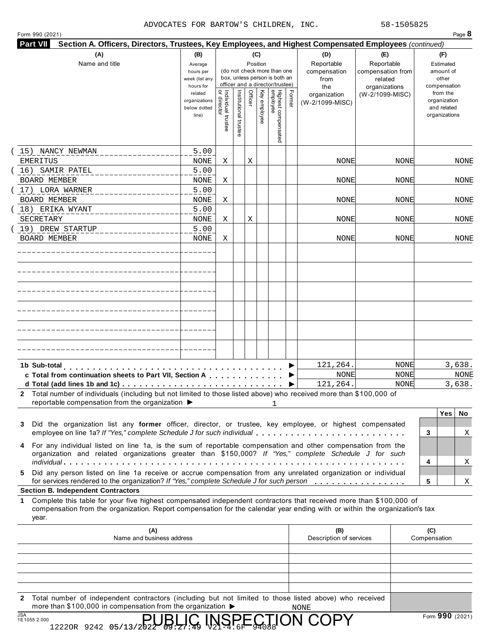#### ADVOCATES FOR BARTOW'S CHILDREN, INC. 58-1505825

Form 990 (2021) Page **8 Part VII Section A. Officers, Directors, Trustees, Key Employees, and Highest Compensated Employees** *(continued)* **(A) (B) (C) (D) (E) (F)** Name and title **Average** Position Reportable Reportable Estimated (do not check more than one compensation compensation from amount of hours per box, unless person is both an week (list any from related other officer and a director/trustee)<br> $\frac{1}{2}$ <br> $\frac{1}{6}$ <br> $\frac{1}{6}$ <br> $\frac{1}{6}$ <br> $\frac{1}{6}$ <br> $\frac{1}{6}$ <br> $\frac{1}{6}$ <br> $\frac{1}{6}$ <br> $\frac{1}{6}$ hours for compensation the organizations Officer Former or director Institutional trustee<br>Individual trustee Institutional Key employee from the related employee Highest compensated organization (W-2/1099-MISC) organizations organization (W-2/1099-MISC) and related below dotted line) organizations (15) NANCY NEWMAN 5.00 EMERITUS  $NONE$   $X$   $X$ NONE NONE NONE (16) SAMIR PATEL 5.00 BOARD MEMBER NONE | X NONE NONE NONE (17) LORA WARNER 5.00 BOARD MEMBER NONE NONE NONE NONE | X ERIKA WYANT ( 18) 5.00 SECRETARY  $NONE$   $X$   $X$ NONE NONE NONE NONE (19) DREW STARTUP 5.00 BOARD MEMBER NONE | X NONE NONE NONE \_\_\_\_\_\_\_\_\_\_\_\_\_\_\_\_\_\_\_\_\_\_\_\_\_\_\_ m m m m m m m m m m m m m m m m m m m m m m m m m m m m m m m m m m m m m m <sup>I</sup> **c**<br> **c** Total from continuation sheets to Part VII, Section A<br> **c** Total from continuation sheets to Part VII, Section A<br>
Total number of individuals (including but not limited to these listed above) who received **d**<br> **d** Total from continuation sheets to Part VII, Section A<br> **d** Total (add lines 1b and 1c)<br>
Total number of individuals (including but not limited to those listed above) who received **1b Sub-total** 121,264. NONE 3,638. NONE NONE NONE For any individual state of the two metals of the sum of reportable compensation from the organization ist any former officer, director, or trustee, key employee, or highest compensated employee on line 1a? *If "Yes," comp* 121,264. NONE 3,638. **2** Total number of individuals (including but not limited to those listed above) who received more than \$100,000 of **Yes No** reportable compensation from the organization  $\blacktriangleright$ 1 **i**<br> **i** Did the organization list any former officer, director, or trustee, key employee, or highest compensated<br>
employee on line 1a? *If "Yes," complete Schedule J for such individual*<br> **For any individual listed on lin 3** Did the organization list any **former** officer, director, or trustee, key employee, or highest compensated Did the organization list any **former** officer, director, or trustee, key employee, or highest compensated<br>employee on line 1a? *If "Yes," complete Schedule J for such individual*<br>For any individual listed on line 1a, is t X **4** For any individual listed on line 1a, is the sum of reportable compensation and other compensation from the organization and related organizations greater than \$150,000? *If "Yes," complete Schedule J for such* X **5** Did any person listed on line 1a receive or accrue compensation from any unrelated organization or individual for services rendered to the organization? If "Yes," complete Schedule J for such person X **Section B. Independent Contractors 1** Complete this table for your five highest compensated independent contractors that received more than \$100,000 of compensation from the organization. Report compensation for the calendar year ending with or within the organization's tax year.

| (A)<br>Name and business address                                                | (B)<br>Description of services | (C)<br>Compensation                                                                                    |
|---------------------------------------------------------------------------------|--------------------------------|--------------------------------------------------------------------------------------------------------|
|                                                                                 |                                |                                                                                                        |
|                                                                                 |                                |                                                                                                        |
|                                                                                 |                                |                                                                                                        |
|                                                                                 |                                |                                                                                                        |
|                                                                                 |                                |                                                                                                        |
| $\mathbf{2}$                                                                    |                                |                                                                                                        |
| more than \$100,000 in compensation from the organization $\blacktriangleright$ | NONE                           | $\sim$ $\sim$                                                                                          |
|                                                                                 |                                | Total number of independent contractors (including but not limited to those listed above) who received |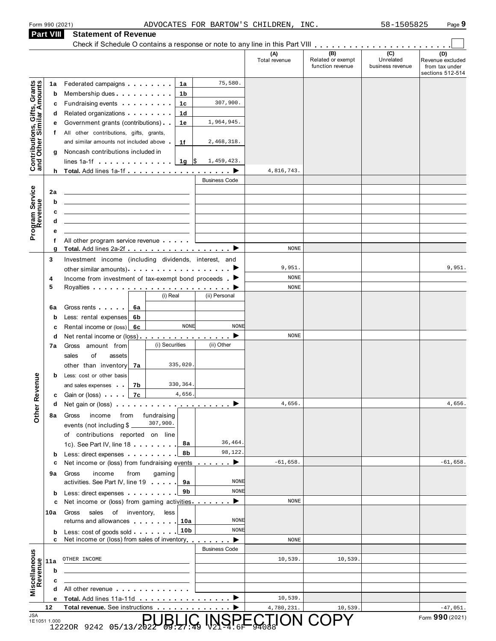#### Form 990 (2021) Page **9** ADVOCATES FOR BARTOW'S CHILDREN, INC. 58-1505825

| <b>Statement of Revenue</b> |  |
|-----------------------------|--|
|                             |  |

| Form 990 (2021)                                           |         | ADVOCATES FOR BARTOW'S CHILDREN, INC.                                                                                                                                                                                                                                                 |                      |                                              | 58-1505825                                        | Page 9                                                        |
|-----------------------------------------------------------|---------|---------------------------------------------------------------------------------------------------------------------------------------------------------------------------------------------------------------------------------------------------------------------------------------|----------------------|----------------------------------------------|---------------------------------------------------|---------------------------------------------------------------|
| Part VIII                                                 |         | <b>Statement of Revenue</b>                                                                                                                                                                                                                                                           |                      |                                              |                                                   |                                                               |
|                                                           |         |                                                                                                                                                                                                                                                                                       |                      |                                              |                                                   |                                                               |
|                                                           |         |                                                                                                                                                                                                                                                                                       | (A)<br>Total revenue | (B)<br>Related or exempt<br>function revenue | $\overline{(c)}$<br>Unrelated<br>business revenue | (D)<br>Revenue excluded<br>from tax under<br>sections 512-514 |
|                                                           | 1a      | 75,580.<br>Federated campaigns <b>Federated</b><br>1a                                                                                                                                                                                                                                 |                      |                                              |                                                   |                                                               |
| Contributions, Gifts, Grants<br>and Other Similar Amounts | b       | Membership dues<br>1b                                                                                                                                                                                                                                                                 |                      |                                              |                                                   |                                                               |
|                                                           | с       | 307,900.<br>Fundraising events <b>Exercise State Inc.</b><br>1c                                                                                                                                                                                                                       |                      |                                              |                                                   |                                                               |
|                                                           | d       | Related organizations <b>contains</b> and the Related organizations and all the Relations of the Relations of the Relations of the Relations of Relations and Relations of Relations and Relations are relations of Relations and R<br>1d                                             |                      |                                              |                                                   |                                                               |
|                                                           | е       | Government grants (contributions)<br>1,964,945.<br>1e                                                                                                                                                                                                                                 |                      |                                              |                                                   |                                                               |
|                                                           | f       | All other contributions, gifts, grants,<br>and similar amounts not included above<br>2,468,318.<br>1f                                                                                                                                                                                 |                      |                                              |                                                   |                                                               |
|                                                           | g       | Noncash contributions included in                                                                                                                                                                                                                                                     |                      |                                              |                                                   |                                                               |
|                                                           |         | lines 1a-1f $\ldots$ , $\ldots$ , $\frac{1}{9}$ \$<br>1,459,423.                                                                                                                                                                                                                      |                      |                                              |                                                   |                                                               |
|                                                           |         |                                                                                                                                                                                                                                                                                       | 4,816,743.           |                                              |                                                   |                                                               |
|                                                           |         | <b>Business Code</b>                                                                                                                                                                                                                                                                  |                      |                                              |                                                   |                                                               |
|                                                           | 2a      |                                                                                                                                                                                                                                                                                       |                      |                                              |                                                   |                                                               |
|                                                           | b       |                                                                                                                                                                                                                                                                                       |                      |                                              |                                                   |                                                               |
| Program Service<br>Revenue                                | c       |                                                                                                                                                                                                                                                                                       |                      |                                              |                                                   |                                                               |
|                                                           | d       | <u> 1989 - John Stein, amerikansk politiker (</u>                                                                                                                                                                                                                                     |                      |                                              |                                                   |                                                               |
|                                                           | е       |                                                                                                                                                                                                                                                                                       |                      |                                              |                                                   |                                                               |
|                                                           | f<br>g  | All other program service revenue<br>Total. Add lines 2a-2f ▶                                                                                                                                                                                                                         | <b>NONE</b>          |                                              |                                                   |                                                               |
|                                                           | 3       | Investment income (including dividends, interest, and                                                                                                                                                                                                                                 |                      |                                              |                                                   |                                                               |
|                                                           |         |                                                                                                                                                                                                                                                                                       | 9,951.               |                                              |                                                   | 9,951.                                                        |
|                                                           | 4       | Income from investment of tax-exempt bond proceeds $\blacktriangleright$                                                                                                                                                                                                              | <b>NONE</b>          |                                              |                                                   |                                                               |
|                                                           | 5       |                                                                                                                                                                                                                                                                                       | <b>NONE</b>          |                                              |                                                   |                                                               |
|                                                           |         | (i) Real<br>(ii) Personal                                                                                                                                                                                                                                                             |                      |                                              |                                                   |                                                               |
|                                                           | 6a      | Gross rents<br>6a                                                                                                                                                                                                                                                                     |                      |                                              |                                                   |                                                               |
|                                                           | b       | Less: rental expenses<br>6b                                                                                                                                                                                                                                                           |                      |                                              |                                                   |                                                               |
|                                                           | c       | <b>NONE</b><br><b>NONE</b><br>Rental income or (loss) 6c                                                                                                                                                                                                                              | <b>NONE</b>          |                                              |                                                   |                                                               |
|                                                           | d<br>7a | Net rental income or (loss) ▶<br>(i) Securities<br>(ii) Other<br>Gross amount from                                                                                                                                                                                                    |                      |                                              |                                                   |                                                               |
|                                                           |         | sales<br>οf<br>assets                                                                                                                                                                                                                                                                 |                      |                                              |                                                   |                                                               |
|                                                           |         | 335,020.<br>other than inventory<br>7a                                                                                                                                                                                                                                                |                      |                                              |                                                   |                                                               |
|                                                           | b       | Less: cost or other basis                                                                                                                                                                                                                                                             |                      |                                              |                                                   |                                                               |
|                                                           |         | 330,364.<br>7b<br>and sales expenses                                                                                                                                                                                                                                                  |                      |                                              |                                                   |                                                               |
| <b>Other Revenue</b>                                      | c       | 4,656.<br>Gain or (loss)<br>7c                                                                                                                                                                                                                                                        |                      |                                              |                                                   |                                                               |
|                                                           | d       | Net gain or (loss) $\cdots$ $\cdots$ $\cdots$ $\cdots$ $\cdots$ $\cdots$                                                                                                                                                                                                              | 4,656.               |                                              |                                                   | 4,656.                                                        |
|                                                           | 8а      | income<br>fundraising<br>Gross<br>from                                                                                                                                                                                                                                                |                      |                                              |                                                   |                                                               |
|                                                           |         | 307,900.<br>events (not including $$$ $\overline{ }$                                                                                                                                                                                                                                  |                      |                                              |                                                   |                                                               |
|                                                           |         | of contributions reported on line<br>36,464<br>8а<br>1c). See Part IV, line 18                                                                                                                                                                                                        |                      |                                              |                                                   |                                                               |
|                                                           | b       | 98,122<br>8b<br>Less: direct expenses extending the state of the state of the state of the state of the state of the state of                                                                                                                                                         |                      |                                              |                                                   |                                                               |
|                                                           | с       | Net income or (loss) from fundraising events $\ldots$                                                                                                                                                                                                                                 | $-61,658.$           |                                              |                                                   | $-61,658.$                                                    |
|                                                           | 9а      | income<br>from<br>gaming<br>Gross                                                                                                                                                                                                                                                     |                      |                                              |                                                   |                                                               |
|                                                           |         | activities. See Part IV, line 19<br><b>NONE</b><br>9а                                                                                                                                                                                                                                 |                      |                                              |                                                   |                                                               |
|                                                           | b       | <b>NONE</b><br>9b<br>Less: direct expenses                                                                                                                                                                                                                                            |                      |                                              |                                                   |                                                               |
|                                                           | с       | Net income or (loss) from gaming activities                                                                                                                                                                                                                                           | <b>NONE</b>          |                                              |                                                   |                                                               |
|                                                           | 10a     | sales<br>of inventory,<br>Gross<br>less                                                                                                                                                                                                                                               |                      |                                              |                                                   |                                                               |
|                                                           |         | <b>NONE</b><br>returns and allowances and the state of the state of the state of the state of the state of the state of the state of the state of the state of the state of the state of the state of the state of the state of the state of<br>10a<br>10 <sub>b</sub><br><b>NONE</b> |                      |                                              |                                                   |                                                               |
|                                                           | b<br>c  | Less: cost of goods sold<br>Net income or (loss) from sales of inventory extended by                                                                                                                                                                                                  | <b>NONE</b>          |                                              |                                                   |                                                               |
|                                                           |         | <b>Business Code</b>                                                                                                                                                                                                                                                                  |                      |                                              |                                                   |                                                               |
|                                                           | 11a     | OTHER INCOME                                                                                                                                                                                                                                                                          | 10,539.              | 10,539                                       |                                                   |                                                               |
|                                                           | b       |                                                                                                                                                                                                                                                                                       |                      |                                              |                                                   |                                                               |
| Revenue                                                   | с       |                                                                                                                                                                                                                                                                                       |                      |                                              |                                                   |                                                               |
| Miscellaneous                                             | d       | All other revenue                                                                                                                                                                                                                                                                     |                      |                                              |                                                   |                                                               |
|                                                           | е       | Total. Add lines 11a-11d                                                                                                                                                                                                                                                              | 10,539.              |                                              |                                                   |                                                               |
|                                                           | 12      | Total revenue. See instructions                                                                                                                                                                                                                                                       | 4,780,231.           | 10,539<br>ION COP                            |                                                   | $-47,051.$<br>Form 990 (2021)                                 |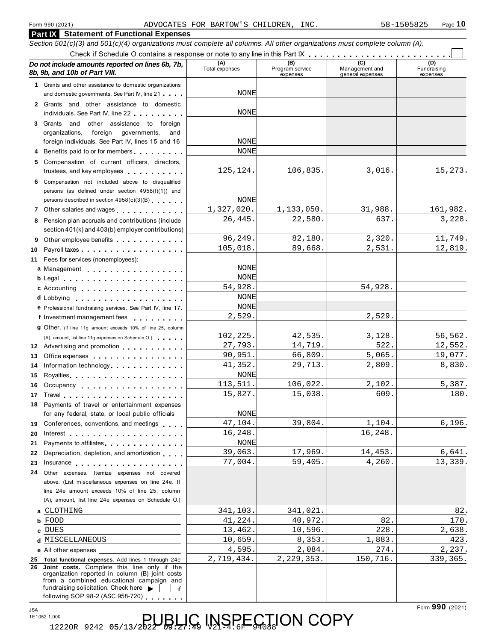| Form 990 (2021)                                                                                                                                                                                                                     | ADVOCATES FOR BARTOW'S CHILDREN, INC. |                                    |                                           | Page 10<br>58-1505825          |
|-------------------------------------------------------------------------------------------------------------------------------------------------------------------------------------------------------------------------------------|---------------------------------------|------------------------------------|-------------------------------------------|--------------------------------|
| <b>Part IX</b> Statement of Functional Expenses                                                                                                                                                                                     |                                       |                                    |                                           |                                |
| Section 501(c)(3) and 501(c)(4) organizations must complete all columns. All other organizations must complete column (A).                                                                                                          |                                       |                                    |                                           |                                |
|                                                                                                                                                                                                                                     |                                       |                                    |                                           |                                |
| Do not include amounts reported on lines 6b, 7b,<br>8b, 9b, and 10b of Part VIII.                                                                                                                                                   | (A)<br>Total expenses                 | (B)<br>Program service<br>expenses | (C)<br>Management and<br>general expenses | (D)<br>Fundraising<br>expenses |
| 1 Grants and other assistance to domestic organizations                                                                                                                                                                             |                                       |                                    |                                           |                                |
| and domestic governments. See Part IV, line 21                                                                                                                                                                                      | NONE                                  |                                    |                                           |                                |
| 2 Grants and other assistance to domestic<br>individuals. See Part IV, line 22                                                                                                                                                      | NONE                                  |                                    |                                           |                                |
| 3 Grants and other assistance to foreign                                                                                                                                                                                            |                                       |                                    |                                           |                                |
| organizations,<br>foreign governments,<br>and<br>foreign individuals. See Part IV, lines 15 and 16                                                                                                                                  | NONE                                  |                                    |                                           |                                |
| 4 Benefits paid to or for members                                                                                                                                                                                                   | <b>NONE</b>                           |                                    |                                           |                                |
| 5 Compensation of current officers, directors,                                                                                                                                                                                      |                                       |                                    |                                           |                                |
| trustees, and key employees                                                                                                                                                                                                         | 125, 124.                             | 106,835.                           | 3,016.                                    | 15,273.                        |
| 6 Compensation not included above to disqualified<br>persons (as defined under section 4958(f)(1)) and<br>persons described in section 4958(c)(3)(B)                                                                                | <b>NONE</b>                           |                                    |                                           |                                |
| 7 Other salaries and wages                                                                                                                                                                                                          | 1,327,020.                            | 1,133,050.                         | 31,988.                                   | 161,982.                       |
| 8 Pension plan accruals and contributions (include<br>section 401(k) and 403(b) employer contributions)                                                                                                                             | 26,445.                               | 22,580.                            | 637.                                      | 3,228.                         |
| Other employee benefits<br>9                                                                                                                                                                                                        | 96,249.                               | 82,180.                            | 2,320.                                    | 11,749.                        |
| 10                                                                                                                                                                                                                                  | 105,018.                              | 89,668.                            | 2,531.                                    | 12,819.                        |
| 11 Fees for services (nonemployees):                                                                                                                                                                                                |                                       |                                    |                                           |                                |
| a Management <b>container and a Management</b>                                                                                                                                                                                      | NONE                                  |                                    |                                           |                                |
|                                                                                                                                                                                                                                     | <b>NONE</b>                           |                                    |                                           |                                |
| c Accounting                                                                                                                                                                                                                        | 54,928.<br><b>NONE</b>                |                                    | 54,928.                                   |                                |
| e Professional fundraising services. See Part IV, line 17                                                                                                                                                                           | <b>NONE</b>                           |                                    |                                           |                                |
| f Investment management fees                                                                                                                                                                                                        | 2,529.                                |                                    | 2,529.                                    |                                |
| 9 Other. (If line 11g amount exceeds 10% of line 25, column                                                                                                                                                                         |                                       |                                    |                                           |                                |
| (A), amount, list line 11g expenses on Schedule O.)                                                                                                                                                                                 | 102,225.                              | 42,535.                            | 3,128.                                    | 56,562.                        |
| 12 Advertising and promotion                                                                                                                                                                                                        | 27,793.                               | 14,719.                            | 522.                                      | 12,552.                        |
| 13 Office expenses                                                                                                                                                                                                                  | 90,951.                               | 66,809.                            | 5,065.                                    | 19,077.                        |
| 14 Information technology                                                                                                                                                                                                           | 41,352.<br><b>NONE</b>                | 29,713.                            | 2,809.                                    | 8,830.                         |
| 15<br>16<br>Occupancy                                                                                                                                                                                                               | 113,511.                              | 106,022.                           | 2,102.                                    | 5,387.                         |
| 17                                                                                                                                                                                                                                  | 15,827.                               | 15,038.                            | 609.                                      | 180.                           |
| Payments of travel or entertainment expenses<br>18                                                                                                                                                                                  |                                       |                                    |                                           |                                |
| for any federal, state, or local public officials                                                                                                                                                                                   | NONE                                  |                                    |                                           |                                |
| Conferences, conventions, and meetings<br>19                                                                                                                                                                                        | 47,104.                               | 39,804.                            | 1,104.                                    | 6, 196.                        |
| 20                                                                                                                                                                                                                                  | 16,248.                               |                                    | 16,248.                                   |                                |
| Payments to affiliates experience and the set of the set of the set of the set of the set of the set of the set of the set of the set of the set of the set of the set of the set of the set of the set of the set of the set<br>21 | <b>NONE</b><br>39,063.                | 17,969.                            | 14,453.                                   | 6,641.                         |
| Depreciation, depletion, and amortization<br>22<br>23<br>Insurance                                                                                                                                                                  | 77,004.                               | 59,405.                            | 4,260.                                    | 13,339.                        |
| Other expenses. Itemize expenses not covered<br>24                                                                                                                                                                                  |                                       |                                    |                                           |                                |
| above. (List miscellaneous expenses on line 24e. If                                                                                                                                                                                 |                                       |                                    |                                           |                                |
| line 24e amount exceeds 10% of line 25, column<br>(A), amount, list line 24e expenses on Schedule O.)                                                                                                                               |                                       |                                    |                                           |                                |
| CLOTHING                                                                                                                                                                                                                            | 341,103.                              | 341,021.                           |                                           | 82.                            |
| <b>b</b> FOOD                                                                                                                                                                                                                       | 41,224.                               | 40,972.                            | 82.                                       | 170.                           |
| c DUES                                                                                                                                                                                                                              | 13,462.<br>10,659.                    | 10,596.<br>8,353.                  | 228.<br>1,883.                            | 2,638.<br>423.                 |
| d MISCELLANEOUS                                                                                                                                                                                                                     | 4,595.                                | 2,084.                             | 274.                                      | 2,237.                         |
| e All other expenses<br>25 Total functional expenses. Add lines 1 through 24e                                                                                                                                                       | 2,719,434.                            | 2, 229, 353.                       | 150,716.                                  | 339, 365.                      |
| 26 Joint costs. Complete this line only if the<br>organization reported in column (B) joint costs<br>from a combined educational campaign and<br>fundraising solicitation. Check here<br>if                                         |                                       |                                    |                                           |                                |
| following SOP 98-2 (ASC 958-720)                                                                                                                                                                                                    |                                       |                                    |                                           |                                |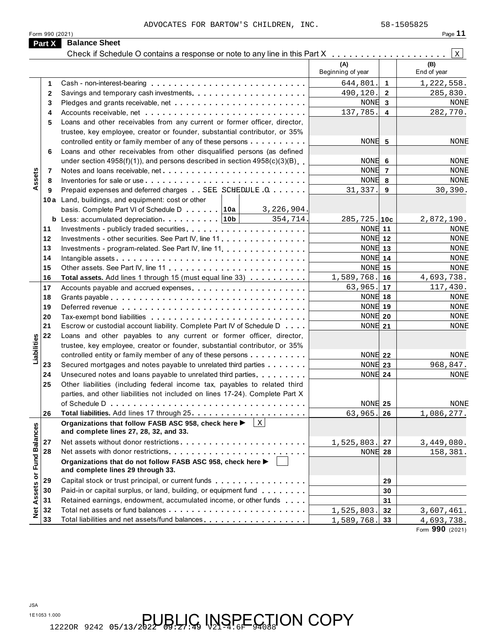|                             | ADVOCATES FOR BARTOW'S CHILDREN, INC.                                                                   |                   |                         | 58-1505825   |
|-----------------------------|---------------------------------------------------------------------------------------------------------|-------------------|-------------------------|--------------|
| Part X                      | Form 990 (2021)<br><b>Balance Sheet</b>                                                                 |                   |                         | Page 11      |
|                             | Check if Schedule O contains a response or note to any line in this Part X                              |                   |                         | $\mathbf{X}$ |
|                             |                                                                                                         | (A)               |                         | (B)          |
|                             |                                                                                                         | Beginning of year |                         | End of year  |
| 1                           |                                                                                                         | 644,801.          | $\mathbf{1}$            | 1,222,558.   |
| $\mathbf{2}$                |                                                                                                         | 490,120.          | $\overline{2}$          | 285,830.     |
| 3                           |                                                                                                         | NONE 3            |                         | NONE         |
| 4                           |                                                                                                         | 137,785.          | $\overline{\mathbf{4}}$ | 282,770.     |
| 5                           | Loans and other receivables from any current or former officer, director,                               |                   |                         |              |
|                             | trustee, key employee, creator or founder, substantial contributor, or 35%                              |                   |                         |              |
|                             | controlled entity or family member of any of these persons                                              | NONE 5            |                         | NONE         |
| 6                           | Loans and other receivables from other disqualified persons (as defined                                 |                   |                         |              |
|                             | under section $4958(f)(1)$ , and persons described in section $4958(c)(3)(B)$                           | NONE 6            |                         | NONE         |
| 7                           | Notes and loans receivable, net                                                                         | NONE 7            |                         | <b>NONE</b>  |
| Assets<br>8                 |                                                                                                         | NONE 8            |                         | <b>NONE</b>  |
| 9                           | Prepaid expenses and deferred charges SEE SCHEDULE . Q                                                  | 31,337.           | 9                       | 30,390.      |
|                             | 10a Land, buildings, and equipment: cost or other                                                       |                   |                         |              |
|                             | basis. Complete Part VI of Schedule D [10a]<br>3,226,904.                                               |                   |                         |              |
|                             | 354,714.                                                                                                | $285, 725.$ 10c   |                         | 2,872,190.   |
| 11                          |                                                                                                         | NONE 11           |                         | NONE         |
| 12                          | Investments - other securities. See Part IV, line 11                                                    | NONE 12           |                         | NONE         |
| 13                          | Investments - program-related. See Part IV, line 11.                                                    | <b>NONE</b> 13    |                         | NONE         |
| 14                          |                                                                                                         | NONE 14           |                         | NONE         |
| 15                          |                                                                                                         | NONE 15           |                         | NONE         |
| 16                          | Total assets. Add lines 1 through 15 (must equal line 33)                                               | 1,589,768.        | 16                      | 4,693,738.   |
| 17                          | Accounts payable and accrued expenses                                                                   | 63,965.           | 17                      | 117,430.     |
| 18                          |                                                                                                         | NONE 18           |                         | NONE         |
| 19                          |                                                                                                         | NONE 19           |                         | NONE         |
| 20                          |                                                                                                         | $NONE$ 20         |                         | <b>NONE</b>  |
| 21                          | Escrow or custodial account liability. Complete Part IV of Schedule D                                   | NONE 21           |                         | NONE         |
| 22                          | Loans and other payables to any current or former officer, director,                                    |                   |                         |              |
| abilities                   | trustee, key employee, creator or founder, substantial contributor, or 35%                              |                   |                         |              |
|                             | controlled entity or family member of any of these persons $\dots \dots \dots$                          | NONE 22           |                         | <b>NONE</b>  |
| ⊐<br>23                     | Secured mortgages and notes payable to unrelated third parties                                          | NONE 23           |                         | 968,847.     |
| 24                          | Unsecured notes and loans payable to unrelated third parties.                                           | NONE 24           |                         | NONE         |
| 25                          | Other liabilities (including federal income tax, payables to related third                              |                   |                         |              |
|                             | parties, and other liabilities not included on lines 17-24). Complete Part X                            |                   |                         |              |
|                             |                                                                                                         | NONE 25           |                         | NONE         |
| 26                          |                                                                                                         | 63,965.           | 26                      | 1,086,277.   |
| Net Assets or Fund Balances | Organizations that follow FASB ASC 958, check here ▶<br>  X  <br>and complete lines 27, 28, 32, and 33. |                   |                         |              |
| 27                          |                                                                                                         | 1,525,803.        | 27                      | 3,449,080.   |
| 28                          |                                                                                                         | NONE 28           |                         | 158,381.     |
|                             | Organizations that do not follow FASB ASC 958, check here ▶<br>and complete lines 29 through 33.        |                   |                         |              |
| 29                          | Capital stock or trust principal, or current funds                                                      |                   | 29                      |              |
| 30                          | Paid-in or capital surplus, or land, building, or equipment fund                                        |                   | 30                      |              |
| 31                          | Retained earnings, endowment, accumulated income, or other funds                                        |                   | 31                      |              |
| 32                          |                                                                                                         | 1,525,803.        | 32                      | 3,607,461.   |
| 33                          | Total liabilities and net assets/fund balances                                                          | 1,589,768.        | 33                      | 4,693,738.   |

JSA

1E1053 1.000 12220R 9242 05/13/2022 09:27 49 V2194.6F CTION COPY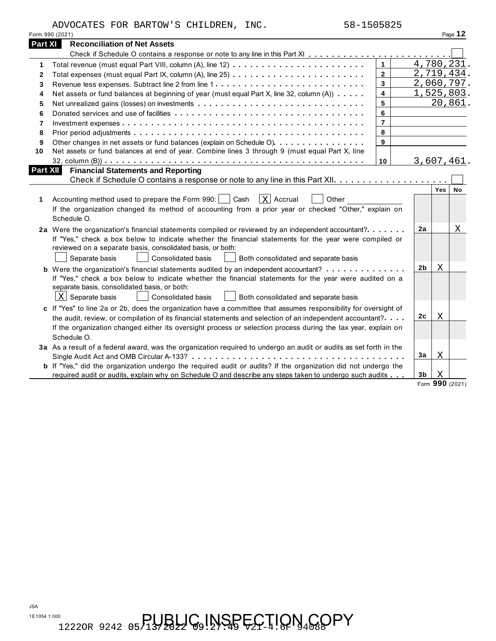|  | <b>3a</b> As a result of a federal award, was the organization required to undergo an audit of |
|--|------------------------------------------------------------------------------------------------|
|  |                                                                                                |
|  | <b>b</b> If "Yes," did the organization undergo the required audit or audits? If the organiza  |
|  | required audit or audits, explain why on Schedule O and describe any steps taken to            |
|  |                                                                                                |

| II fest check a box below to indicate whether the imancial statements for the year were complied or<br>reviewed on a separate basis, consolidated basis, or both: |    |                 |
|-------------------------------------------------------------------------------------------------------------------------------------------------------------------|----|-----------------|
| <b>Consolidated basis</b><br>Separate basis<br>Both consolidated and separate basis                                                                               |    |                 |
|                                                                                                                                                                   | 2b | Χ               |
| If "Yes," check a box below to indicate whether the financial statements for the year were audited on a                                                           |    |                 |
| separate basis, consolidated basis, or both:<br>$X$ Separate basis<br><b>Consolidated basis</b><br>Both consolidated and separate basis                           |    |                 |
| c If "Yes" to line 2a or 2b, does the organization have a committee that assumes responsibility for oversight of                                                  |    |                 |
| the audit, review, or compilation of its financial statements and selection of an independent accountant?                                                         | 2c | Χ               |
| If the organization changed either its oversight process or selection process during the tax year, explain on                                                     |    |                 |
| Schedule O.                                                                                                                                                       |    |                 |
| 3a As a result of a federal award, was the organization required to undergo an audit or audits as set forth in the                                                | 3a | Χ               |
| <b>b</b> If "Yes," did the organization undergo the required audit or audits? If the organization did not undergo the                                             |    |                 |
| required audit or audits, explain why on Schedule O and describe any steps taken to undergo such audits                                                           | 3b | Χ               |
|                                                                                                                                                                   |    | Form 990 (2021) |
|                                                                                                                                                                   |    |                 |
|                                                                                                                                                                   |    |                 |
|                                                                                                                                                                   |    |                 |
|                                                                                                                                                                   |    |                 |
|                                                                                                                                                                   |    |                 |
|                                                                                                                                                                   |    |                 |

| 58-1505825<br>ADVOCATES FOR BARTOW'S CHILDREN, INC.                                                                |         |
|--------------------------------------------------------------------------------------------------------------------|---------|
|                                                                                                                    |         |
| 990 (2021)                                                                                                         | Page    |
| t XIII<br><b>Reconciliation of Net Assets</b>                                                                      |         |
|                                                                                                                    |         |
|                                                                                                                    | 4,780,2 |
| Total expenses (must equal Part IX, column (A), line 25) $\ldots \ldots \ldots \ldots \ldots \ldots \ldots \ldots$ | 2,719,4 |
| Revenue less expenses. Subtract line 2 from line 1                                                                 | 2,060,7 |
|                                                                                                                    | 1 FOF 0 |

Total expenses (must equal Part IX, column (A), line 25) ............................. Revenue less expenses. Subtract line 2 from line 1 Net assets or fund balances at beginning of year (must equal Part X, line 32, column  $(A)$ )  $\ldots$ . Net unrealized gains (losses) on investments Donated services and use of facilities Investment expenses

Fotal expenses (must equal Part VIII, column (A), line 12)<br>
Total expenses (must equal Part IX, column (A), line 25)<br>
Revenue less expenses. Subtract line 2 from line 1<br>
Net assets or fund balances at beginning of year (mu

Other changes in net assets or fund balances (explain on Schedule O). . . . . . . . . . . . . . . . .

**<sup>1</sup>** Accounting method used to prepare the Form 990: Cash Accrual Other X

32, column (B)) m m m m m m m m m m m m m m m m m m m m m m m m m m m m m m m m m m m m m m m m m m m m m **Part XII Financial Statements and Reporting**

If the organization changed its method of accounting from a prior year or checked "Other," explain on

**2a** Were the organization's financial statements compiled or reviewed by an independent accountant?m m m m m m m

2a Were the organization's financial statements compiled or reviewed by an independent accountant?  $\dots \dots$ 

If "Yes," check a box below to indicate whether the financial statements for the year were compiled or

m m m m m m m m m m m m m m m m **<sup>10</sup>** Net assets or fund balances at end of year. Combine lines 3 through 9 (must equal Part X, line

**Part XI Reconciliation of Net Assets**

Schedule O.

—<br>……<br>……<br>……

m m m m m m m m m m m m m m m m m m m m m m m m m m m m m m m m m m m m m m m m m m m m m m m m m m m m m m m m m m m m m m

Check if Schedule O contains a response or note to any line in this Part XII m m m m m m m m m m m m m m m m m m m m **Yes No**

m m m m m m m m m m m m m m m m m m m m m m m m m m m m m m m m m m m m m m m m

**10**

**2a**

| Form 990 (2021) | Page |
|-----------------|------|
|                 |      |

4,780,231. 2,719,434. 2,060,797. 1,525,803.

20,861.

3,607,461.

X

# $\Gamma_{\rm 12220R}$  9242 05/13/2022 G9!NSPECTION  $\rm 4G$ OPY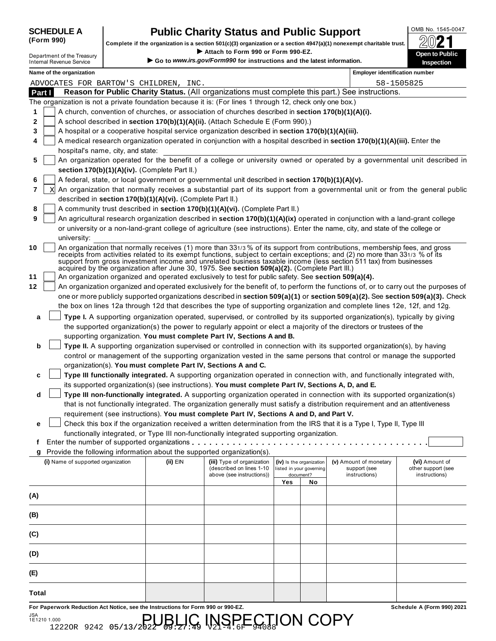| <b>SCHEDULE A</b> |  |
|-------------------|--|
| (Form 990)        |  |

## **Public Charity Status and Public Support**  $\frac{\text{OMB No. 1545-0047}}{600 \text{ N}}$

**(Form 990) Complete if the organization is a section 501(c)(3) organization or a section 4947(a)(1) nonexempt charitable trust.** À¾¶µ I Complete if the organization is a section 501(c)(3) organization or a section 4947(a)(1) nonexempt charitable trust.<br>Department of the Treasury<br>Department of the Treasury

|        |   | Department of the Treasury<br><b>Internal Revenue Service</b> |                                                                                                                      |                                                            | ▶ Attach to Form 990 or Form 990-EZ.<br>Go to www.irs.gov/Form990 for instructions and the latest information. |     |                                                      |                                                                                                                                                                                                                                                   | <b>Open to Public</b><br>Inspection                                                                                                 |  |
|--------|---|---------------------------------------------------------------|----------------------------------------------------------------------------------------------------------------------|------------------------------------------------------------|----------------------------------------------------------------------------------------------------------------|-----|------------------------------------------------------|---------------------------------------------------------------------------------------------------------------------------------------------------------------------------------------------------------------------------------------------------|-------------------------------------------------------------------------------------------------------------------------------------|--|
|        |   | Name of the organization                                      |                                                                                                                      |                                                            |                                                                                                                |     |                                                      | <b>Employer identification number</b>                                                                                                                                                                                                             |                                                                                                                                     |  |
|        |   |                                                               |                                                                                                                      | ADVOCATES FOR BARTOW'S CHILDREN, INC.                      |                                                                                                                |     |                                                      |                                                                                                                                                                                                                                                   | 58-1505825                                                                                                                          |  |
| Part I |   |                                                               |                                                                                                                      |                                                            |                                                                                                                |     |                                                      | Reason for Public Charity Status. (All organizations must complete this part.) See instructions.                                                                                                                                                  |                                                                                                                                     |  |
|        |   |                                                               |                                                                                                                      |                                                            | The organization is not a private foundation because it is: (For lines 1 through 12, check only one box.)      |     |                                                      |                                                                                                                                                                                                                                                   |                                                                                                                                     |  |
| 1      |   |                                                               |                                                                                                                      |                                                            | A church, convention of churches, or association of churches described in section 170(b)(1)(A)(i).             |     |                                                      |                                                                                                                                                                                                                                                   |                                                                                                                                     |  |
| 2      |   |                                                               |                                                                                                                      |                                                            | A school described in section 170(b)(1)(A)(ii). (Attach Schedule E (Form 990).)                                |     |                                                      |                                                                                                                                                                                                                                                   |                                                                                                                                     |  |
| 3      |   |                                                               |                                                                                                                      |                                                            | A hospital or a cooperative hospital service organization described in section 170(b)(1)(A)(iii).              |     |                                                      |                                                                                                                                                                                                                                                   |                                                                                                                                     |  |
| 4      |   |                                                               |                                                                                                                      |                                                            |                                                                                                                |     |                                                      | A medical research organization operated in conjunction with a hospital described in section 170(b)(1)(A)(iii). Enter the                                                                                                                         |                                                                                                                                     |  |
|        |   | hospital's name, city, and state:                             |                                                                                                                      |                                                            |                                                                                                                |     |                                                      |                                                                                                                                                                                                                                                   |                                                                                                                                     |  |
| 5      |   |                                                               |                                                                                                                      |                                                            |                                                                                                                |     |                                                      |                                                                                                                                                                                                                                                   | An organization operated for the benefit of a college or university owned or operated by a governmental unit described in           |  |
|        |   |                                                               |                                                                                                                      | section 170(b)(1)(A)(iv). (Complete Part II.)              |                                                                                                                |     |                                                      |                                                                                                                                                                                                                                                   |                                                                                                                                     |  |
| 6      |   |                                                               |                                                                                                                      |                                                            | A federal, state, or local government or governmental unit described in section 170(b)(1)(A)(v).               |     |                                                      |                                                                                                                                                                                                                                                   |                                                                                                                                     |  |
| 7      | X |                                                               |                                                                                                                      |                                                            |                                                                                                                |     |                                                      |                                                                                                                                                                                                                                                   | An organization that normally receives a substantial part of its support from a governmental unit or from the general public        |  |
|        |   |                                                               |                                                                                                                      | described in section 170(b)(1)(A)(vi). (Complete Part II.) |                                                                                                                |     |                                                      |                                                                                                                                                                                                                                                   |                                                                                                                                     |  |
| 8      |   |                                                               |                                                                                                                      |                                                            | A community trust described in section 170(b)(1)(A)(vi). (Complete Part II.)                                   |     |                                                      |                                                                                                                                                                                                                                                   |                                                                                                                                     |  |
| 9      |   |                                                               |                                                                                                                      |                                                            |                                                                                                                |     |                                                      | An agricultural research organization described in section 170(b)(1)(A)(ix) operated in conjunction with a land-grant college                                                                                                                     |                                                                                                                                     |  |
|        |   |                                                               |                                                                                                                      |                                                            |                                                                                                                |     |                                                      | or university or a non-land-grant college of agriculture (see instructions). Enter the name, city, and state of the college or                                                                                                                    |                                                                                                                                     |  |
| 10     |   | university:                                                   |                                                                                                                      |                                                            |                                                                                                                |     |                                                      | An organization that normally receives (1) more than 331/3 % of its support from contributions, membership fees, and gross                                                                                                                        |                                                                                                                                     |  |
|        |   |                                                               |                                                                                                                      |                                                            | acquired by the organization after June 30, 1975. See section 509(a)(2). (Complete Part III.)                  |     |                                                      | receipts from activities related to its exempt functions, subject to certain exceptions; and (2) no more than 331/3 % of its<br>support from gross investment income and unrelated business taxable income (less section 511 tax) from businesses |                                                                                                                                     |  |
| 11     |   |                                                               |                                                                                                                      |                                                            | An organization organized and operated exclusively to test for public safety. See section 509(a)(4).           |     |                                                      |                                                                                                                                                                                                                                                   |                                                                                                                                     |  |
| 12     |   |                                                               |                                                                                                                      |                                                            |                                                                                                                |     |                                                      |                                                                                                                                                                                                                                                   | An organization organized and operated exclusively for the benefit of, to perform the functions of, or to carry out the purposes of |  |
|        |   |                                                               |                                                                                                                      |                                                            |                                                                                                                |     |                                                      |                                                                                                                                                                                                                                                   | one or more publicly supported organizations described in section 509(a)(1) or section 509(a)(2). See section 509(a)(3). Check      |  |
|        |   |                                                               |                                                                                                                      |                                                            |                                                                                                                |     |                                                      | the box on lines 12a through 12d that describes the type of supporting organization and complete lines 12e, 12f, and 12g.                                                                                                                         |                                                                                                                                     |  |
| a      |   |                                                               |                                                                                                                      |                                                            |                                                                                                                |     |                                                      | Type I. A supporting organization operated, supervised, or controlled by its supported organization(s), typically by giving                                                                                                                       |                                                                                                                                     |  |
|        |   |                                                               |                                                                                                                      |                                                            |                                                                                                                |     |                                                      | the supported organization(s) the power to regularly appoint or elect a majority of the directors or trustees of the                                                                                                                              |                                                                                                                                     |  |
|        |   |                                                               |                                                                                                                      |                                                            | supporting organization. You must complete Part IV, Sections A and B.                                          |     |                                                      |                                                                                                                                                                                                                                                   |                                                                                                                                     |  |
| b      |   |                                                               |                                                                                                                      |                                                            |                                                                                                                |     |                                                      | Type II. A supporting organization supervised or controlled in connection with its supported organization(s), by having                                                                                                                           |                                                                                                                                     |  |
|        |   |                                                               | control or management of the supporting organization vested in the same persons that control or manage the supported |                                                            |                                                                                                                |     |                                                      |                                                                                                                                                                                                                                                   |                                                                                                                                     |  |
|        |   |                                                               |                                                                                                                      |                                                            | organization(s). You must complete Part IV, Sections A and C.                                                  |     |                                                      |                                                                                                                                                                                                                                                   |                                                                                                                                     |  |
| c      |   |                                                               |                                                                                                                      |                                                            |                                                                                                                |     |                                                      | Type III functionally integrated. A supporting organization operated in connection with, and functionally integrated with,                                                                                                                        |                                                                                                                                     |  |
|        |   |                                                               |                                                                                                                      |                                                            | its supported organization(s) (see instructions). You must complete Part IV, Sections A, D, and E.             |     |                                                      |                                                                                                                                                                                                                                                   |                                                                                                                                     |  |
| d      |   |                                                               |                                                                                                                      |                                                            |                                                                                                                |     |                                                      | Type III non-functionally integrated. A supporting organization operated in connection with its supported organization(s)                                                                                                                         |                                                                                                                                     |  |
|        |   |                                                               |                                                                                                                      |                                                            |                                                                                                                |     |                                                      | that is not functionally integrated. The organization generally must satisfy a distribution requirement and an attentiveness                                                                                                                      |                                                                                                                                     |  |
|        |   |                                                               |                                                                                                                      |                                                            | requirement (see instructions). You must complete Part IV, Sections A and D, and Part V.                       |     |                                                      |                                                                                                                                                                                                                                                   |                                                                                                                                     |  |
| е      |   |                                                               |                                                                                                                      |                                                            |                                                                                                                |     |                                                      | Check this box if the organization received a written determination from the IRS that it is a Type I, Type II, Type III                                                                                                                           |                                                                                                                                     |  |
|        |   |                                                               |                                                                                                                      |                                                            | functionally integrated, or Type III non-functionally integrated supporting organization.                      |     |                                                      |                                                                                                                                                                                                                                                   |                                                                                                                                     |  |
| f      |   |                                                               |                                                                                                                      |                                                            | Enter the number of supported organizations                                                                    |     |                                                      |                                                                                                                                                                                                                                                   |                                                                                                                                     |  |
| g      |   |                                                               |                                                                                                                      |                                                            | Provide the following information about the supported organization(s).                                         |     |                                                      |                                                                                                                                                                                                                                                   |                                                                                                                                     |  |
|        |   | (i) Name of supported organization                            |                                                                                                                      | (ii) EIN                                                   | (iii) Type of organization<br>(described on lines 1-10                                                         |     | (iv) Is the organization<br>listed in your governing | (v) Amount of monetary<br>support (see                                                                                                                                                                                                            | (vi) Amount of<br>other support (see                                                                                                |  |
|        |   |                                                               |                                                                                                                      |                                                            | above (see instructions))                                                                                      |     | document?                                            | instructions)                                                                                                                                                                                                                                     | instructions)                                                                                                                       |  |
|        |   |                                                               |                                                                                                                      |                                                            |                                                                                                                | Yes | No                                                   |                                                                                                                                                                                                                                                   |                                                                                                                                     |  |
| (A)    |   |                                                               |                                                                                                                      |                                                            |                                                                                                                |     |                                                      |                                                                                                                                                                                                                                                   |                                                                                                                                     |  |
| (B)    |   |                                                               |                                                                                                                      |                                                            |                                                                                                                |     |                                                      |                                                                                                                                                                                                                                                   |                                                                                                                                     |  |
| (C)    |   |                                                               |                                                                                                                      |                                                            |                                                                                                                |     |                                                      |                                                                                                                                                                                                                                                   |                                                                                                                                     |  |
|        |   |                                                               |                                                                                                                      |                                                            |                                                                                                                |     |                                                      |                                                                                                                                                                                                                                                   |                                                                                                                                     |  |
| (D)    |   |                                                               |                                                                                                                      |                                                            |                                                                                                                |     |                                                      |                                                                                                                                                                                                                                                   |                                                                                                                                     |  |
| (E)    |   |                                                               |                                                                                                                      |                                                            |                                                                                                                |     |                                                      |                                                                                                                                                                                                                                                   |                                                                                                                                     |  |
| Total  |   |                                                               |                                                                                                                      |                                                            |                                                                                                                |     |                                                      |                                                                                                                                                                                                                                                   |                                                                                                                                     |  |

 $\operatorname{NSPE}_{21.6\mathrm{F}}$ ECTION COPY

**For Paperwork Reduction Act Notice, see the Instructions for Form 990 or 990-EZ. Schedule A (Form 990) 2021**

 $1,000$ <br>1222OR 9242 05/13/2022  $\bigoplus_{9}$   $\bigoplus_{7}$   $\bigoplus_{49}$   $\bigoplus_{9}$ 

JSA 1E1210 1.000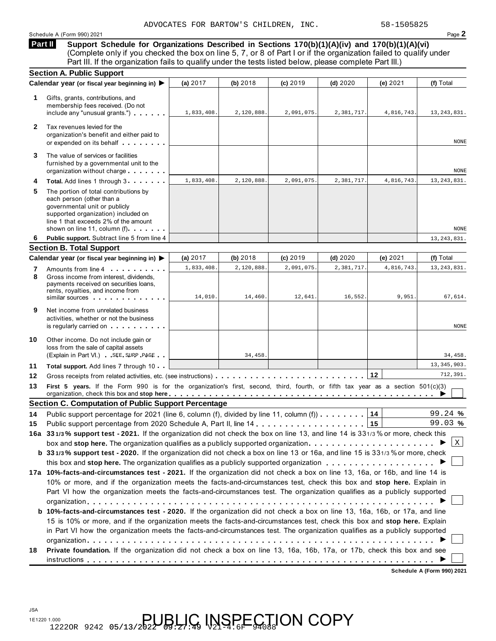Schedule A (Form 990) 2021 Page **2**

**Support Schedule for Organizations Described in Sections 170(b)(1)(A)(iv) and 170(b)(1)(A)(vi)** (Complete only if you checked the box on line 5, 7, or 8 of Part I or if the organization failed to qualify under Part III. If the organization fails to qualify under the tests listed below, please complete Part III.) **Part II** 

|              | <b>Section A. Public Support</b>                                                                                                                                                                                                                                                                                                                                  |                      |                       |                     |                      |                     |                          |
|--------------|-------------------------------------------------------------------------------------------------------------------------------------------------------------------------------------------------------------------------------------------------------------------------------------------------------------------------------------------------------------------|----------------------|-----------------------|---------------------|----------------------|---------------------|--------------------------|
|              | Calendar year (or fiscal year beginning in) ▶                                                                                                                                                                                                                                                                                                                     | (a) 2017             | (b) 2018              | $(c)$ 2019          | $(d)$ 2020           | (e) $2021$          | (f) Total                |
| 1            | Gifts, grants, contributions, and<br>membership fees received. (Do not<br>include any "unusual grants.")                                                                                                                                                                                                                                                          | 1,833,408.           | 2,120,888.            | 2,091,075.          | 2,381,717.           | 4,816,743.          | 13, 243, 831.            |
| $\mathbf{2}$ | Tax revenues levied for the<br>organization's benefit and either paid to<br>or expended on its behalf                                                                                                                                                                                                                                                             |                      |                       |                     |                      |                     | NONE                     |
| 3            | The value of services or facilities<br>furnished by a governmental unit to the<br>organization without charge                                                                                                                                                                                                                                                     |                      |                       |                     |                      |                     | NONE                     |
| 4            | Total. Add lines 1 through 3                                                                                                                                                                                                                                                                                                                                      | 1,833,408.           | 2,120,888.            | 2,091,075           | 2,381,717.           | 4,816,743.          | 13, 243, 831.            |
| 5.           | The portion of total contributions by<br>each person (other than a<br>governmental unit or publicly<br>supported organization) included on<br>line 1 that exceeds 2% of the amount<br>shown on line 11, column (f).                                                                                                                                               |                      |                       |                     |                      |                     | NONE                     |
| 6            | Public support. Subtract line 5 from line 4                                                                                                                                                                                                                                                                                                                       |                      |                       |                     |                      |                     | 13, 243, 831.            |
|              | <b>Section B. Total Support</b>                                                                                                                                                                                                                                                                                                                                   |                      |                       |                     |                      |                     |                          |
|              | Calendar year (or fiscal year beginning in) ▶                                                                                                                                                                                                                                                                                                                     | (a) $2017$           | (b) 2018              | (c) 2019            | $(d)$ 2020           | (e) $2021$          | (f) Total                |
| 7<br>8       | Amounts from line 4<br>Gross income from interest, dividends,<br>payments received on securities loans,<br>rents, royalties, and income from<br>similar sources experiences                                                                                                                                                                                       | 1,833,408<br>14,010. | 2,120,888.<br>14,460. | 2,091,075<br>12,641 | 2,381,717<br>16,552. | 4,816,743.<br>9,951 | 13, 243, 831.<br>67,614. |
| 9            | Net income from unrelated business<br>activities, whether or not the business<br>is regularly carried on example.                                                                                                                                                                                                                                                 |                      |                       |                     |                      |                     | NONE                     |
| 10           | Other income. Do not include gain or<br>loss from the sale of capital assets<br>(Explain in Part VI.) SEE SUPP PAGE                                                                                                                                                                                                                                               |                      | 34, 458.              |                     |                      |                     | 34,458.                  |
| 11           | Total support. Add lines 7 through 10                                                                                                                                                                                                                                                                                                                             |                      |                       |                     |                      |                     | 13, 345, 903.            |
| 12           |                                                                                                                                                                                                                                                                                                                                                                   |                      |                       |                     |                      | 12                  | 712,391.                 |
| 13           | First 5 years. If the Form 990 is for the organization's first, second, third, fourth, or fifth tax year as a section 501(c)(3)<br>organization, check this box and stop here equipment in the set of the set of the set of the set of the set of the set of the set of the set of the set of the set of the set of the set of the set of the set of the set of t |                      |                       |                     |                      |                     |                          |
|              | <b>Section C. Computation of Public Support Percentage</b>                                                                                                                                                                                                                                                                                                        |                      |                       |                     |                      |                     |                          |
| 14           | Public support percentage for 2021 (line 6, column (f), divided by line 11, column (f)                                                                                                                                                                                                                                                                            |                      |                       |                     |                      | 14                  | 99.24 %                  |
| 15           |                                                                                                                                                                                                                                                                                                                                                                   |                      |                       |                     |                      |                     | 99.03 %                  |
|              | 16a 331/3% support test - 2021. If the organization did not check the box on line 13, and line 14 is 331/3% or more, check this                                                                                                                                                                                                                                   |                      |                       |                     |                      |                     | $\vert x \vert$          |
|              | box and stop here. The organization qualifies as a publicly supported organization<br>b 331/3% support test - 2020. If the organization did not check a box on line 13 or 16a, and line 15 is 331/3% or more, check                                                                                                                                               |                      |                       |                     |                      |                     |                          |
|              | this box and stop here. The organization qualifies as a publicly supported organization $\ldots \ldots \ldots \ldots \ldots$                                                                                                                                                                                                                                      |                      |                       |                     |                      |                     |                          |
|              | 17a 10%-facts-and-circumstances test - 2021. If the organization did not check a box on line 13, 16a, or 16b, and line 14 is                                                                                                                                                                                                                                      |                      |                       |                     |                      |                     |                          |
|              | 10% or more, and if the organization meets the facts-and-circumstances test, check this box and stop here. Explain in<br>Part VI how the organization meets the facts-and-circumstances test. The organization qualifies as a publicly supported                                                                                                                  |                      |                       |                     |                      |                     |                          |
|              | b 10%-facts-and-circumstances test - 2020. If the organization did not check a box on line 13, 16a, 16b, or 17a, and line<br>15 is 10% or more, and if the organization meets the facts-and-circumstances test, check this box and stop here. Explain                                                                                                             |                      |                       |                     |                      |                     |                          |
|              |                                                                                                                                                                                                                                                                                                                                                                   |                      |                       |                     |                      |                     |                          |
|              | in Part VI how the organization meets the facts-and-circumstances test. The organization qualifies as a publicly supported                                                                                                                                                                                                                                        |                      |                       |                     |                      |                     |                          |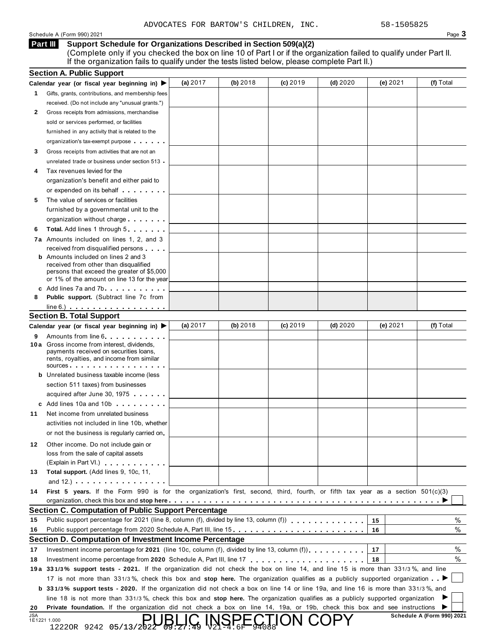Schedule A (Form 990) 2021 Page **3**

#### **Support Schedule for Organizations Described in Section 509(a)(2)** (Complete only if you checked the box on line 10 of Part I or if the organization failed to qualify under Part II. **Part III**

|    | If the organization fails to qualify under the tests listed below, please complete Part II.)                                               |            |          |          |            |          |           |
|----|--------------------------------------------------------------------------------------------------------------------------------------------|------------|----------|----------|------------|----------|-----------|
|    | <b>Section A. Public Support</b>                                                                                                           |            |          |          |            |          |           |
|    | Calendar year (or fiscal year beginning in) ▶                                                                                              | (a) $2017$ | (b) 2018 | (c) 2019 | $(d)$ 2020 | (e) 2021 | (f) Total |
| 1  | Gifts, grants, contributions, and membership fees                                                                                          |            |          |          |            |          |           |
|    | received. (Do not include any "unusual grants.")                                                                                           |            |          |          |            |          |           |
| 2  | Gross receipts from admissions, merchandise                                                                                                |            |          |          |            |          |           |
|    | sold or services performed, or facilities                                                                                                  |            |          |          |            |          |           |
|    | furnished in any activity that is related to the                                                                                           |            |          |          |            |          |           |
|    | organization's tax-exempt purpose                                                                                                          |            |          |          |            |          |           |
| 3  | Gross receipts from activities that are not an                                                                                             |            |          |          |            |          |           |
|    | unrelated trade or business under section 513                                                                                              |            |          |          |            |          |           |
| 4  | Tax revenues levied for the                                                                                                                |            |          |          |            |          |           |
|    | organization's benefit and either paid to                                                                                                  |            |          |          |            |          |           |
|    | or expended on its behalf                                                                                                                  |            |          |          |            |          |           |
| 5  | The value of services or facilities                                                                                                        |            |          |          |            |          |           |
|    | furnished by a governmental unit to the                                                                                                    |            |          |          |            |          |           |
|    | organization without charge                                                                                                                |            |          |          |            |          |           |
| 6  | Total. Add lines 1 through 5                                                                                                               |            |          |          |            |          |           |
|    | 7a Amounts included on lines 1, 2, and 3                                                                                                   |            |          |          |            |          |           |
|    | received from disqualified persons                                                                                                         |            |          |          |            |          |           |
|    | <b>b</b> Amounts included on lines 2 and 3                                                                                                 |            |          |          |            |          |           |
|    | received from other than disqualified                                                                                                      |            |          |          |            |          |           |
|    | persons that exceed the greater of \$5,000                                                                                                 |            |          |          |            |          |           |
|    | or 1% of the amount on line 13 for the year                                                                                                |            |          |          |            |          |           |
|    | c Add lines 7a and 7b                                                                                                                      |            |          |          |            |          |           |
| 8  | Public support. (Subtract line 7c from                                                                                                     |            |          |          |            |          |           |
|    | $line 6.)$                                                                                                                                 |            |          |          |            |          |           |
|    | <b>Section B. Total Support</b>                                                                                                            |            |          |          |            |          |           |
|    | Calendar year (or fiscal year beginning in)                                                                                                | (a) $2017$ | (b) 2018 | (c) 2019 | $(d)$ 2020 | (e) 2021 | (f) Total |
| 9  | Amounts from line 6.                                                                                                                       |            |          |          |            |          |           |
|    | 10 a Gross income from interest, dividends,                                                                                                |            |          |          |            |          |           |
|    | payments received on securities loans,<br>rents, royalties, and income from similar                                                        |            |          |          |            |          |           |
|    | sources                                                                                                                                    |            |          |          |            |          |           |
|    | <b>b</b> Unrelated business taxable income (less                                                                                           |            |          |          |            |          |           |
|    | section 511 taxes) from businesses                                                                                                         |            |          |          |            |          |           |
|    | acquired after June 30, 1975                                                                                                               |            |          |          |            |          |           |
|    | c Add lines 10a and 10b                                                                                                                    |            |          |          |            |          |           |
| 11 | Net income from unrelated business                                                                                                         |            |          |          |            |          |           |
|    | activities not included in line 10b, whether                                                                                               |            |          |          |            |          |           |
|    | or not the business is regularly carried on                                                                                                |            |          |          |            |          |           |
|    |                                                                                                                                            |            |          |          |            |          |           |
| 12 | Other income. Do not include gain or                                                                                                       |            |          |          |            |          |           |
|    | loss from the sale of capital assets                                                                                                       |            |          |          |            |          |           |
|    | (Explain in Part VI.) <b>Communist Communist Communist Communist Communist Communist Communist Communist Communist</b>                     |            |          |          |            |          |           |
| 13 | Total support. (Add lines 9, 10c, 11,                                                                                                      |            |          |          |            |          |           |
|    | and 12.) $\cdots$ $\cdots$ $\cdots$ $\cdots$ $\cdots$ $\cdots$                                                                             |            |          |          |            |          |           |
| 14 | First 5 years. If the Form 990 is for the organization's first, second, third, fourth, or fifth tax year as a section $501(c)(3)$          |            |          |          |            |          |           |
|    |                                                                                                                                            |            |          |          |            |          |           |
|    | <b>Section C. Computation of Public Support Percentage</b>                                                                                 |            |          |          |            |          |           |
| 15 | Public support percentage for 2021 (line 8, column (f), divided by line 13, column (f))                                                    |            |          |          |            | 15       | %         |
| 16 | Public support percentage from 2020 Schedule A, Part III, line 15.                                                                         |            |          |          |            | 16       | %         |
|    | Section D. Computation of Investment Income Percentage                                                                                     |            |          |          |            |          |           |
| 17 | Investment income percentage for 2021 (line 10c, column (f), divided by line 13, column (f)) $\ldots$ ,,,,,,,                              |            |          |          |            | 17       | %         |
| 18 |                                                                                                                                            |            |          |          |            | 18       | %         |
|    | 19a 331/3% support tests - 2021. If the organization did not check the box on line 14, and line 15 is more than 331/3%, and line           |            |          |          |            |          |           |
|    | 17 is not more than 331/3%, check this box and stop here. The organization qualifies as a publicly supported organization                  |            |          |          |            |          |           |
|    | <b>b</b> 331/3% support tests - 2020. If the organization did not check a box on line 14 or line 19a, and line 16 is more than 331/3%, and |            |          |          |            |          |           |
|    | line 18 is not more than 331/3%, check this box and stop here. The organization qualifies as a publicly supported organization             |            |          |          |            |          |           |
|    |                                                                                                                                            |            |          |          |            |          |           |

|            |              |                                                                                                     |  |  |  |  |  |  |  |  | line 18 is not more than 331/3%, check this box and stop here. The organization qualifies as a publicly supported organization $\blacktriangleright$ |  |  |
|------------|--------------|-----------------------------------------------------------------------------------------------------|--|--|--|--|--|--|--|--|------------------------------------------------------------------------------------------------------------------------------------------------------|--|--|
|            |              |                                                                                                     |  |  |  |  |  |  |  |  | 20 Private foundation. If the organization did not check a box on line 14, 19a, or 19b, check this box and see instructions $\blacktriangleright$    |  |  |
| <b>JSA</b> | 1E1221 1.000 | $\sum_{12220R}$ 9242 05/13/2022 09:21:49 $\sum_{23}$ $\sum_{24}$ $\sum_{6F}$ $\sum_{94088}$ ON COPY |  |  |  |  |  |  |  |  | Schedule A (Form 990) 2021                                                                                                                           |  |  |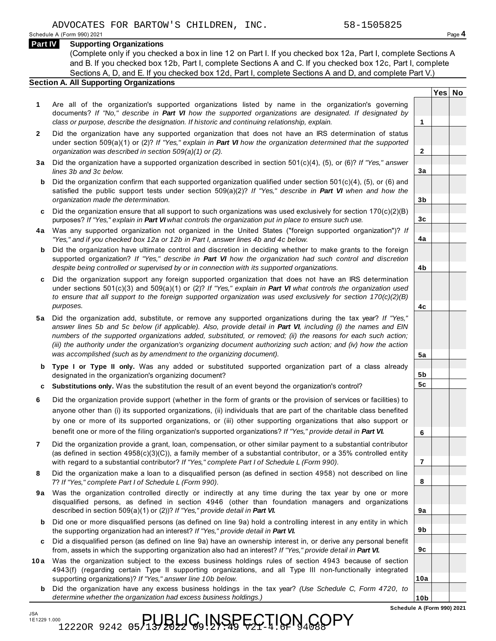JSA 1E1229 1.000 (Complete only if you checked a box in line 12 on Part I. If you checked box 12a, Part I, complete Sections A and B. If you checked box 12b, Part I, complete Sections A and C. If you checked box 12c, Part I, complete Sections A, D, and E. If you checked box 12d, Part I, complete Sections A and D, and complete Part V.)

#### **Section A. All Supporting Organizations**

- **1** Are all of the organization's supported organizations listed by name in the organization's governing documents? *If "No," describe in Part VI how the supported organizations are designated. If designated by class or purpose, describe the designation. If historic and continuing relationship, explain.* **1**
- **2** Did the organization have any supported organization that does not have an IRS determination of status under section 509(a)(1) or (2)? *If "Yes," explain in Part VI how the organization determined that the supported organization was described in section 509(a)(1) or (2).*
- **3 a** Did the organization have a supported organization described in section 501(c)(4), (5), or (6)? *If "Yes," answer lines 3b and 3c below.*
- **b** Did the organization confirm that each supported organization qualified under section 501(c)(4), (5), or (6) and  $\mid$ satisfied the public support tests under section 509(a)(2)? *If "Yes," describe in Part VI when and how the organization made the determination.*
- **c** Did the organization ensure that all support to such organizations was used exclusively for section 170(c)(2)(B) purposes? *If "Yes," explain in Part VI what controls the organization put in place to ensure such use.*
- **4 a** Was any supported organization not organized in the United States ("foreign supported organization")? *If "Yes," and if you checked box 12a or 12b in Part I, answer lines 4b and 4c below.*
- **b** Did the organization have ultimate control and discretion in deciding whether to make grants to the foreign  $|$ supported organization? *If "Yes," describe in Part VI how the organization had such control and discretion despite being controlled or supervised by or in connection with its supported organizations.*
- **c** Did the organization support any foreign supported organization that does not have an IRS determination under sections 501(c)(3) and 509(a)(1) or (2)? *If "Yes," explain in Part VI what controls the organization used to ensure that all support to the foreign supported organization was used exclusively for section 170(c)(2)(B) purposes.*
- **5 a** Did the organization add, substitute, or remove any supported organizations during the tax year? *If "Yes," answer lines 5b and 5c below (if applicable). Also, provide detail in Part VI, including (i) the names and EIN numbers of the supported organizations added, substituted, or removed; (ii) the reasons for each such action; (iii) the authority under the organization's organizing document authorizing such action; and (iv) how the action was accomplished (such as by amendment to the organizing document).*
- **b Type I or Type II only.** Was any added or substituted supported organization part of a class already | designated in the organization's organizing document?
- **c Substitutions only.** Was the substitution the result of an event beyond the organization's control?
- **6** Did the organization provide support (whether in the form of grants or the provision of services or facilities) to anyone other than (i) its supported organizations, (ii) individuals that are part of the charitable class benefited by one or more of its supported organizations, or (iii) other supporting organizations that also support or benefit one or more of the filing organization's supported organizations? *If "Yes," provide detail in Part VI.*
- **7** Did the organization provide a grant, loan, compensation, or other similar payment to a substantial contributor (as defined in section 4958(c)(3)(C)), a family member of a substantial contributor, or a 35% controlled entity with regard to a substantial contributor? *If "Yes," complete Part I of Schedule L (Form 990).*
- **8** Did the organization make a loan to a disqualified person (as defined in section 4958) not described on line 7? *If "Yes," complete Part I of Schedule L (Form 990).*
- **9a** Was the organization controlled directly or indirectly at any time during the tax year by one or more  $|$ disqualified persons, as defined in section 4946 (other than foundation managers and organizations described in section 509(a)(1) or (2))? *If "Yes," provide detail in Part VI.*
- **b** Did one or more disqualified persons (as defined on line 9a) hold a controlling interest in any entity in which  $|$ the supporting organization had an interest? *If "Yes," provide detail in Part VI.*
- **c** Did a disqualified person (as defined on line 9a) have an ownership interest in, or derive any personal benefit from, assets in which the supporting organization also had an interest? *If "Yes," provide detail in Part VI.*
- **10 a** Was the organization subject to the excess business holdings rules of section 4943 because of section  $|$ 4943(f) (regarding certain Type II supporting organizations, and all Type III non-functionally integrated supporting organizations)? *If "Yes," answer line 10b below.*
	- **b** Did the organization have any excess business holdings in the tax year? *(Use Schedule C, Form 4720, to determine whether the organization had excess business holdings.)*

**Yes No**

**2**

**3a**

**3b**

**3c**

**4a**

**4b**

**4c**

**5a**

**5b 5c**

**6**

**7**

**8**

**9a**

**9b**

**9c**

**10a**

**10b**

**Schedule A (Form 990) 2021**

 $\Gamma_{\rm 12220R}$  9242 05/13/2022 G9!NSPECTION  $\rm 4G$ OPY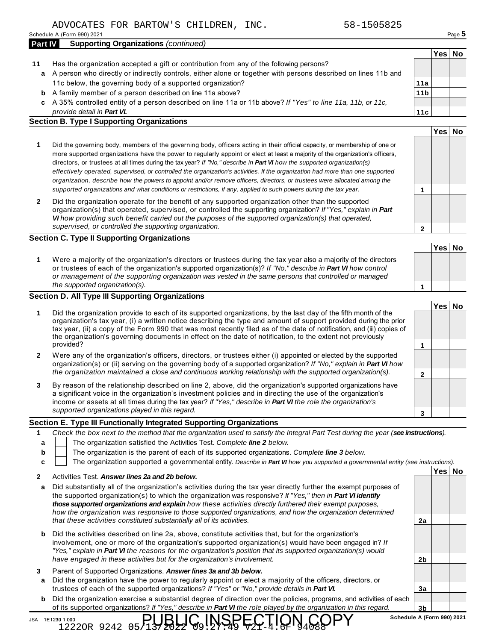Schedule A (Form 990) 2021 Page **5**

| Part IV | <b>Supporting Organizations (continued)</b> |
|---------|---------------------------------------------|
|         |                                             |

- **11** Has the organization accepted a gift or contribution from any of the following persons? A person who directly or indirectly controls, either alone or together with persons described on lines 11b and **a** 11c below, the governing body of a supported organization? **11a**
	- A family member of a person described on line 11a above? **b**
	- A 35% controlled entity of a person described on line 11a or 11b above? *If "Yes" to line 11a, 11b, or 11c,* **c** *provide detail in Part VI.*

### **Section B. Type I Supporting Organizations**

| Did the governing body, members of the governing body, officers acting in their official capacity, or membership of one or<br>more supported organizations have the power to regularly appoint or elect at least a majority of the organization's officers,<br>directors, or trustees at all times during the tax year? If "No," describe in Part VI how the supported organization(s)<br>effectively operated, supervised, or controlled the organization's activities. If the organization had more than one supported<br>organization, describe how the powers to appoint and/or remove officers, directors, or trustees were allocated among the |  |
|------------------------------------------------------------------------------------------------------------------------------------------------------------------------------------------------------------------------------------------------------------------------------------------------------------------------------------------------------------------------------------------------------------------------------------------------------------------------------------------------------------------------------------------------------------------------------------------------------------------------------------------------------|--|
| supported organizations and what conditions or restrictions, if any, applied to such powers during the tax year.                                                                                                                                                                                                                                                                                                                                                                                                                                                                                                                                     |  |
|                                                                                                                                                                                                                                                                                                                                                                                                                                                                                                                                                                                                                                                      |  |

**2** Did the organization operate for the benefit of any supported organization other than the supported organization(s) that operated, supervised, or controlled the supporting organization? *If "Yes," explain in Part VI how providing such benefit carried out the purposes of the supported organization(s) that operated, supervised, or controlled the supporting organization.*

### **Section C. Type II Supporting Organizations**

**1 Yes No 1** Were a majority of the organization's directors or trustees during the tax year also a majority of the directors or trustees of each of the organization's supported organization(s)? *If "No," describe in Part VI how control or management of the supporting organization was vested in the same persons that controlled or managed the supported organization(s).*

### **Section D. All Type III Supporting Organizations**

|              | the supported organization(s).                                                                                                                                                                                                                                                                                                                                                                                                                                              |  |        |  |
|--------------|-----------------------------------------------------------------------------------------------------------------------------------------------------------------------------------------------------------------------------------------------------------------------------------------------------------------------------------------------------------------------------------------------------------------------------------------------------------------------------|--|--------|--|
|              | ection D. All Type III Supporting Organizations                                                                                                                                                                                                                                                                                                                                                                                                                             |  |        |  |
|              |                                                                                                                                                                                                                                                                                                                                                                                                                                                                             |  | Yes No |  |
| 1            | Did the organization provide to each of its supported organizations, by the last day of the fifth month of the<br>organization's tax year, (i) a written notice describing the type and amount of support provided during the prior<br>tax year, (ii) a copy of the Form 990 that was most recently filed as of the date of notification, and (iii) copies of<br>the organization's governing documents in effect on the date of notification, to the extent not previously |  |        |  |
|              | provided?                                                                                                                                                                                                                                                                                                                                                                                                                                                                   |  |        |  |
| $\mathbf{2}$ | Were any of the organization's officers, directors, or trustees either (i) appointed or elected by the supported<br>organization(s) or (ii) serving on the governing body of a supported organization? If "No," explain in <b>Part VI</b> how                                                                                                                                                                                                                               |  |        |  |
|              | the organization maintained a close and continuous working relationship with the supported organization(s).                                                                                                                                                                                                                                                                                                                                                                 |  |        |  |
| 3            | By reason of the relationship described on line 2, above, did the organization's supported organizations have<br>a significant voice in the organization's investment policies and in directing the use of the organization's<br>income or assets at all times during the tax year? If "Yes," describe in Part VI the role the organization's                                                                                                                               |  |        |  |
|              | supported organizations played in this regard.                                                                                                                                                                                                                                                                                                                                                                                                                              |  |        |  |

### **Section E. Type III Functionally Integrated Supporting Organizations**

| а                                                                      | The organization satisfied the Activities Test. Complete line 2 below.                                                                                                                                                                                                                                                                                                                                                                                    |    |                                                                                               |  |  |  |  |
|------------------------------------------------------------------------|-----------------------------------------------------------------------------------------------------------------------------------------------------------------------------------------------------------------------------------------------------------------------------------------------------------------------------------------------------------------------------------------------------------------------------------------------------------|----|-----------------------------------------------------------------------------------------------|--|--|--|--|
|                                                                        |                                                                                                                                                                                                                                                                                                                                                                                                                                                           |    |                                                                                               |  |  |  |  |
|                                                                        |                                                                                                                                                                                                                                                                                                                                                                                                                                                           |    | The organization is the parent of each of its supported organizations. Complete line 3 below. |  |  |  |  |
|                                                                        | The organization supported a governmental entity. Describe in Part VI how you supported a governmental entity (see instructions).                                                                                                                                                                                                                                                                                                                         |    |                                                                                               |  |  |  |  |
| Activities Test. Answer lines 2a and 2b below.                         |                                                                                                                                                                                                                                                                                                                                                                                                                                                           |    | ′es⊺                                                                                          |  |  |  |  |
| a                                                                      | Did substantially all of the organization's activities during the tax year directly further the exempt purposes of<br>the supported organization(s) to which the organization was responsive? If "Yes," then in Part VI identify<br>those supported organizations and explain how these activities directly furthered their exempt purposes,<br>how the organization was responsive to those supported organizations, and how the organization determined |    |                                                                                               |  |  |  |  |
| that these activities constituted substantially all of its activities. |                                                                                                                                                                                                                                                                                                                                                                                                                                                           | 2a |                                                                                               |  |  |  |  |

- **b** Did the activities described on line 2a, above, constitute activities that, but for the organization's involvement, one or more of the organization's supported organization(s) would have been engaged in? *If "Yes," explain in Part VI the reasons for the organization's position that its supported organization(s) would have engaged in these activities but for the organization's involvement.*
- **3** Parent of Supported Organizations. *Answer lines 3a and 3b below.*

 $12220R$  9242 05/137

- **a** Did the organization have the power to regularly appoint or elect a majority of the officers, directors, or trustees of each of the supported organizations? *If "Yes" or "No," provide details in Part VI.*
- **b** Did the organization exercise a substantial degree of direction over the policies, programs, and activities of each of its supported organizations? *If "Yes," describe in Part VI the role played by the organization in this regard.*<br>
JSA 1E1230 1.000<br> **SCHELLIC, INSPECTION, COPY** Schedule A (Form 990) 2021

ŖIJŖĻŀĢļŅŚŖĘĊŢļŎŊ<sup>4</sup>ĊŎPY

**Yes No**

**Yes No**

**11b**

**11c**

**2**

**3b**

**2b**

**3a**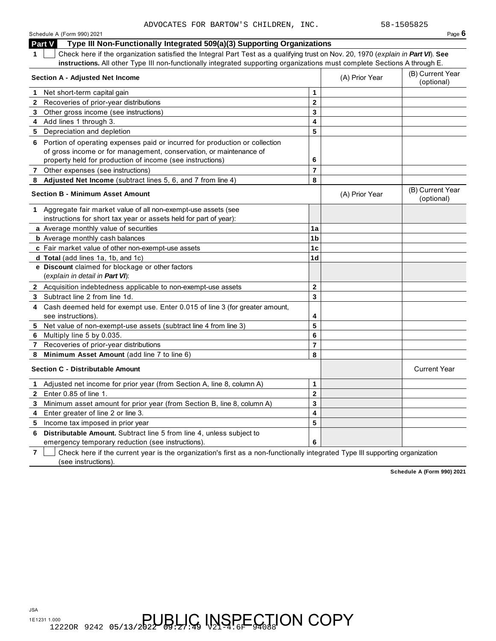Schedule A (Form 990) 2021 Page **6**

**Part V** Type III Non-Functionally Integrated 509(a)(3) Supporting Organizations

**1** Check here if the organization satisfied the Integral Part Test as a qualifying trust on Nov. 20, 1970 (*explain in Part VI*). **See** 

|    | Crieck nere in the organization satisfied the integral Part Test as a qualifying trust on Nov. 20, 1970 (ex <i>plain in <b>Part VI</b></i> ). See<br>instructions. All other Type III non-functionally integrated supporting organizations must complete Sections A through E. |                         |                |                                |
|----|--------------------------------------------------------------------------------------------------------------------------------------------------------------------------------------------------------------------------------------------------------------------------------|-------------------------|----------------|--------------------------------|
|    | <b>Section A - Adjusted Net Income</b>                                                                                                                                                                                                                                         |                         | (A) Prior Year | (B) Current Year<br>(optional) |
| 1. | Net short-term capital gain                                                                                                                                                                                                                                                    | 1                       |                |                                |
|    | 2 Recoveries of prior-year distributions                                                                                                                                                                                                                                       | $\mathbf{2}$            |                |                                |
|    | 3 Other gross income (see instructions)                                                                                                                                                                                                                                        | $\overline{\mathbf{3}}$ |                |                                |
|    | 4 Add lines 1 through 3.                                                                                                                                                                                                                                                       | $\overline{\mathbf{4}}$ |                |                                |
|    | 5 Depreciation and depletion                                                                                                                                                                                                                                                   | 5                       |                |                                |
|    | 6 Portion of operating expenses paid or incurred for production or collection<br>of gross income or for management, conservation, or maintenance of<br>property held for production of income (see instructions)                                                               | 6                       |                |                                |
|    | 7 Other expenses (see instructions)                                                                                                                                                                                                                                            | $\overline{7}$          |                |                                |
| 8  | Adjusted Net Income (subtract lines 5, 6, and 7 from line 4)                                                                                                                                                                                                                   | 8                       |                |                                |
|    | <b>Section B - Minimum Asset Amount</b>                                                                                                                                                                                                                                        |                         | (A) Prior Year | (B) Current Year<br>(optional) |
|    | 1 Aggregate fair market value of all non-exempt-use assets (see<br>instructions for short tax year or assets held for part of year):                                                                                                                                           |                         |                |                                |
|    | a Average monthly value of securities                                                                                                                                                                                                                                          | 1a                      |                |                                |
|    | <b>b</b> Average monthly cash balances                                                                                                                                                                                                                                         | 1 <sub>b</sub>          |                |                                |
|    | c Fair market value of other non-exempt-use assets                                                                                                                                                                                                                             | 1 <sub>c</sub>          |                |                                |
|    | d Total (add lines 1a, 1b, and 1c)                                                                                                                                                                                                                                             | 1 <sub>d</sub>          |                |                                |
|    | e Discount claimed for blockage or other factors                                                                                                                                                                                                                               |                         |                |                                |
|    | (explain in detail in Part VI):                                                                                                                                                                                                                                                |                         |                |                                |
|    | 2 Acquisition indebtedness applicable to non-exempt-use assets                                                                                                                                                                                                                 | $\mathbf 2$             |                |                                |
|    | 3 Subtract line 2 from line 1d.                                                                                                                                                                                                                                                | $\overline{3}$          |                |                                |
|    | 4 Cash deemed held for exempt use. Enter 0.015 of line 3 (for greater amount,<br>see instructions).                                                                                                                                                                            | 4                       |                |                                |
| 5  | Net value of non-exempt-use assets (subtract line 4 from line 3)                                                                                                                                                                                                               | 5                       |                |                                |
|    | 6 Multiply line 5 by 0.035.                                                                                                                                                                                                                                                    | 6                       |                |                                |
|    | 7 Recoveries of prior-year distributions                                                                                                                                                                                                                                       | $\overline{\mathbf{r}}$ |                |                                |
| 8  | Minimum Asset Amount (add line 7 to line 6)                                                                                                                                                                                                                                    | 8                       |                |                                |
|    | <b>Section C - Distributable Amount</b>                                                                                                                                                                                                                                        |                         |                | <b>Current Year</b>            |
| 1. | Adjusted net income for prior year (from Section A, line 8, column A)                                                                                                                                                                                                          | $\mathbf 1$             |                |                                |
|    | 2 Enter 0.85 of line 1.                                                                                                                                                                                                                                                        | $\overline{2}$          |                |                                |
| 3  | Minimum asset amount for prior year (from Section B, line 8, column A)                                                                                                                                                                                                         | 3                       |                |                                |
| 4  | Enter greater of line 2 or line 3.                                                                                                                                                                                                                                             | 4                       |                |                                |
| 5  | Income tax imposed in prior year                                                                                                                                                                                                                                               | 5                       |                |                                |
| 6  | Distributable Amount. Subtract line 5 from line 4, unless subject to<br>emergency temporary reduction (see instructions).                                                                                                                                                      | 6                       |                |                                |

**7** Check here if the current year is the organization's first as a non-functionally integrated Type III supporting organization (see instructions).

**Schedule A (Form 990) 2021**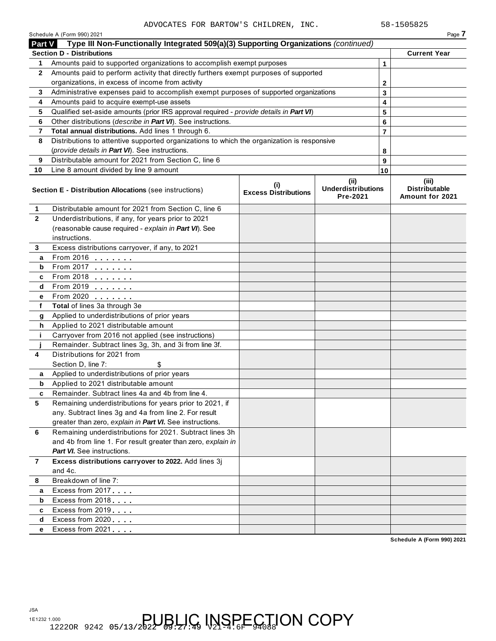| <b>Part V</b><br>1<br>$\mathbf{2}$<br>3<br>4<br>5<br>6<br>7<br>8<br>9 | Type III Non-Functionally Integrated 509(a)(3) Supporting Organizations (continued)<br><b>Section D - Distributions</b><br>Amounts paid to supported organizations to accomplish exempt purposes |                                    |                                               |                |                                                  |
|-----------------------------------------------------------------------|--------------------------------------------------------------------------------------------------------------------------------------------------------------------------------------------------|------------------------------------|-----------------------------------------------|----------------|--------------------------------------------------|
|                                                                       |                                                                                                                                                                                                  |                                    |                                               |                |                                                  |
|                                                                       |                                                                                                                                                                                                  |                                    |                                               |                | <b>Current Year</b>                              |
|                                                                       |                                                                                                                                                                                                  |                                    |                                               | 1              |                                                  |
|                                                                       | Amounts paid to perform activity that directly furthers exempt purposes of supported                                                                                                             |                                    |                                               |                |                                                  |
|                                                                       | organizations, in excess of income from activity                                                                                                                                                 |                                    |                                               | 2              |                                                  |
|                                                                       | Administrative expenses paid to accomplish exempt purposes of supported organizations                                                                                                            |                                    |                                               | 3              |                                                  |
|                                                                       | Amounts paid to acquire exempt-use assets                                                                                                                                                        |                                    |                                               | 4              |                                                  |
|                                                                       | Qualified set-aside amounts (prior IRS approval required - provide details in Part VI)                                                                                                           |                                    |                                               | 5              |                                                  |
|                                                                       | Other distributions (describe in Part VI). See instructions.                                                                                                                                     |                                    |                                               | 6              |                                                  |
|                                                                       | Total annual distributions. Add lines 1 through 6.                                                                                                                                               |                                    |                                               | $\overline{7}$ |                                                  |
|                                                                       | Distributions to attentive supported organizations to which the organization is responsive                                                                                                       |                                    |                                               |                |                                                  |
|                                                                       | (provide details in Part VI). See instructions.                                                                                                                                                  |                                    |                                               | 8              |                                                  |
|                                                                       | Distributable amount for 2021 from Section C, line 6                                                                                                                                             |                                    |                                               | 9              |                                                  |
| 10                                                                    | Line 8 amount divided by line 9 amount                                                                                                                                                           |                                    |                                               | 10             |                                                  |
|                                                                       | Section E - Distribution Allocations (see instructions)                                                                                                                                          | (i)<br><b>Excess Distributions</b> | (ii)<br><b>Underdistributions</b><br>Pre-2021 |                | (iii)<br><b>Distributable</b><br>Amount for 2021 |
| 1                                                                     | Distributable amount for 2021 from Section C, line 6                                                                                                                                             |                                    |                                               |                |                                                  |
| $\mathbf{2}$                                                          | Underdistributions, if any, for years prior to 2021                                                                                                                                              |                                    |                                               |                |                                                  |
|                                                                       | (reasonable cause required - explain in Part VI). See                                                                                                                                            |                                    |                                               |                |                                                  |
|                                                                       | instructions.                                                                                                                                                                                    |                                    |                                               |                |                                                  |
| 3                                                                     | Excess distributions carryover, if any, to 2021                                                                                                                                                  |                                    |                                               |                |                                                  |
| a                                                                     | From 2016 <b></b>                                                                                                                                                                                |                                    |                                               |                |                                                  |
| b                                                                     | From 2017                                                                                                                                                                                        |                                    |                                               |                |                                                  |
| c                                                                     | From 2018                                                                                                                                                                                        |                                    |                                               |                |                                                  |
| d                                                                     | From 2019 <b></b>                                                                                                                                                                                |                                    |                                               |                |                                                  |
| е                                                                     | From 2020                                                                                                                                                                                        |                                    |                                               |                |                                                  |
| f                                                                     | Total of lines 3a through 3e                                                                                                                                                                     |                                    |                                               |                |                                                  |
| g                                                                     | Applied to underdistributions of prior years                                                                                                                                                     |                                    |                                               |                |                                                  |
| h                                                                     | Applied to 2021 distributable amount                                                                                                                                                             |                                    |                                               |                |                                                  |
| j.                                                                    | Carryover from 2016 not applied (see instructions)                                                                                                                                               |                                    |                                               |                |                                                  |
|                                                                       | Remainder. Subtract lines 3g, 3h, and 3i from line 3f.                                                                                                                                           |                                    |                                               |                |                                                  |
| 4                                                                     | Distributions for 2021 from                                                                                                                                                                      |                                    |                                               |                |                                                  |
|                                                                       | Section D, line 7:                                                                                                                                                                               |                                    |                                               |                |                                                  |
| a                                                                     | Applied to underdistributions of prior years                                                                                                                                                     |                                    |                                               |                |                                                  |
| b                                                                     | Applied to 2021 distributable amount                                                                                                                                                             |                                    |                                               |                |                                                  |
|                                                                       | Remainder. Subtract lines 4a and 4b from line 4.                                                                                                                                                 |                                    |                                               |                |                                                  |
| 5                                                                     | Remaining underdistributions for years prior to 2021, if                                                                                                                                         |                                    |                                               |                |                                                  |
|                                                                       | any. Subtract lines 3g and 4a from line 2. For result                                                                                                                                            |                                    |                                               |                |                                                  |
|                                                                       | greater than zero, explain in Part VI. See instructions.                                                                                                                                         |                                    |                                               |                |                                                  |
| 6                                                                     | Remaining underdistributions for 2021. Subtract lines 3h                                                                                                                                         |                                    |                                               |                |                                                  |
|                                                                       | and 4b from line 1. For result greater than zero, explain in                                                                                                                                     |                                    |                                               |                |                                                  |
|                                                                       | <b>Part VI.</b> See instructions.                                                                                                                                                                |                                    |                                               |                |                                                  |
| $\overline{7}$                                                        | Excess distributions carryover to 2022. Add lines 3j                                                                                                                                             |                                    |                                               |                |                                                  |
|                                                                       | and 4c.                                                                                                                                                                                          |                                    |                                               |                |                                                  |
| 8                                                                     | Breakdown of line 7:                                                                                                                                                                             |                                    |                                               |                |                                                  |
| a                                                                     | Excess from 2017                                                                                                                                                                                 |                                    |                                               |                |                                                  |
| b                                                                     | Excess from 2018                                                                                                                                                                                 |                                    |                                               |                |                                                  |
| c                                                                     | Excess from 2019                                                                                                                                                                                 |                                    |                                               |                |                                                  |
| d                                                                     | Excess from 2020                                                                                                                                                                                 |                                    |                                               |                |                                                  |
| е                                                                     | Excess from 2021                                                                                                                                                                                 |                                    |                                               |                |                                                  |
|                                                                       |                                                                                                                                                                                                  |                                    |                                               |                | Schedule A (Form 990) 2021                       |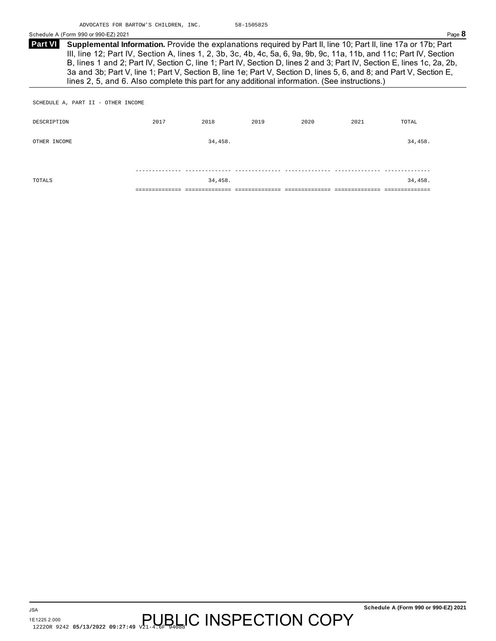**Supplemental Information.** Provide the explanations required by Part II, line 10; Part II, line 17a or 17b; Part III, line 12; Part IV, Section A, lines 1, 2, 3b, 3c, 4b, 4c, 5a, 6, 9a, 9b, 9c, 11a, 11b, and 11c; Part IV, Section B, lines 1 and 2; Part IV, Section C, line 1; Part IV, Section D, lines 2 and 3; Part IV, Section E, lines 1c, 2a, 2b, 3a and 3b; Part V, line 1; Part V, Section B, line 1e; Part V, Section D, lines 5, 6, and 8; and Part V, Section E, lines 2, 5, and 6. Also complete this part for any additional information. (See instructions.) **Part VI** 

SCHEDULE A, PART II - OTHER INCOME

| DESCRIPTION  | 2017 | 2018    | 2019 | 2020 | 2021 | TOTAL   |
|--------------|------|---------|------|------|------|---------|
| OTHER INCOME |      | 34,458. |      |      |      | 34,458. |
|              |      |         |      |      |      |         |
| TOTALS       |      | 34,458. |      |      |      | 34,458. |
|              |      |         |      |      |      |         |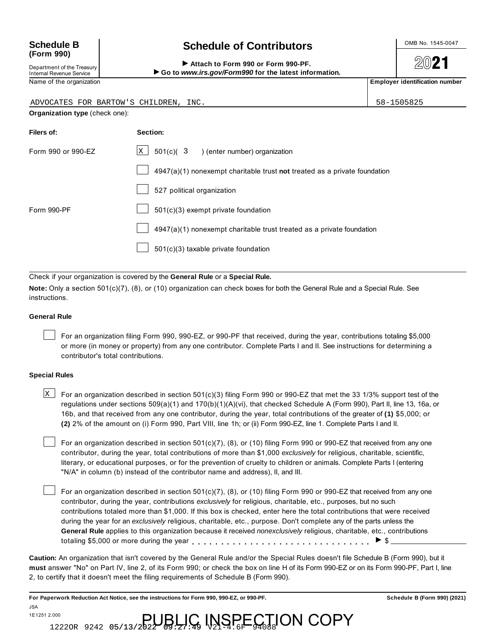## **(Form 990)**

Department of the Treasury Internal Revenue Service

## Schedule B and Schedule of Contributors **Contribution**

**2021** 

#### Attach to Form 990 or Form 990-PF. ▶ Go to www.irs.gov/Form990 for the latest information.

Name of the organization **Employer identification number Employer identification number** 

| ADVOCATES FOR BARTOW'S CHILDREN, INC. |                                                                           | 58-1505825 |
|---------------------------------------|---------------------------------------------------------------------------|------------|
| Organization type (check one):        |                                                                           |            |
| Filers of:                            | Section:                                                                  |            |
| Form 990 or 990-EZ                    | $\boxed{\text{X}}$ 501(c)( 3 ) (enter number) organization                |            |
|                                       | 4947(a)(1) nonexempt charitable trust not treated as a private foundation |            |
|                                       | 527 political organization                                                |            |
| Form 990-PF                           | 501(c)(3) exempt private foundation                                       |            |
|                                       | 4947(a)(1) nonexempt charitable trust treated as a private foundation     |            |
|                                       | $501(c)(3)$ taxable private foundation                                    |            |

Check if your organization is covered by the **General Rule** or a **Special Rule.**

**Note:** Only a section 501(c)(7), (8), or (10) organization can check boxes for both the General Rule and a Special Rule. See instructions.

#### **General Rule**

For an organization filing Form 990, 990-EZ, or 990-PF that received, during the year, contributions totaling \$5,000 or more (in money or property) from any one contributor. Complete Parts I and II. See instructions for determining a contributor's total contributions.

#### **Special Rules**

JSA

 $\texttt{X}$   $\!\!$  For an organization described in section 501(c)(3) filing Form 990 or 990-EZ that met the 33 1/3% support test of the regulations under sections 509(a)(1) and 170(b)(1)(A)(vi), that checked Schedule A (Form 990), Part II, line 13, 16a, or 16b, and that received from any one contributor, during the year, total contributions of the greater of **(1)** \$5,000; or **(2)** 2% of the amount on (i) Form 990, Part VIII, line 1h; or (ii) Form 990-EZ, line 1. Complete Parts I and II.

For an organization described in section 501(c)(7), (8), or (10) filing Form 990 or 990-EZ that received from any one contributor, during the year, total contributions of more than \$1,000 *exclusively* for religious, charitable, scientific, literary, or educational purposes, or for the prevention of cruelty to children or animals. Complete Parts I (entering "N/A" in column (b) instead of the contributor name and address), II, and III.

For an organization described in section 501(c)(7), (8), or (10) filing Form 990 or 990-EZ that received from any one<br>contribution, during the year, contributions exclusively for religious, charitable, etc., purposes, but contributor, during the year, contributions *exclusively* for religious, charitable, etc., purposes, but no such contributions totaled more than \$1,000. If this box is checked, enter here the total contributions that were received during the year for an *exclusively* religious, charitable, etc., purpose. Don't complete any of the parts unless the **General Rule** applies to this organization because it received *nonexclusively* religious, charitable, etc., contributions

**Caution:** An organization that isn't covered by the General Rule and/or the Special Rules doesn't file Schedule B (Form 990), but it **must** answer "No" on Part IV, line 2, of its Form 990; or check the box on line H of its Form 990-EZ or on its Form 990-PF, Part I, line 2, to certify that it doesn't meet the filing requirements of Schedule B (Form 990).

**For Paperwork Reduction Act Notice, see the instructions for Form 990, 990-EZ, or 990-PF. Schedule B (Form 990) (2021)**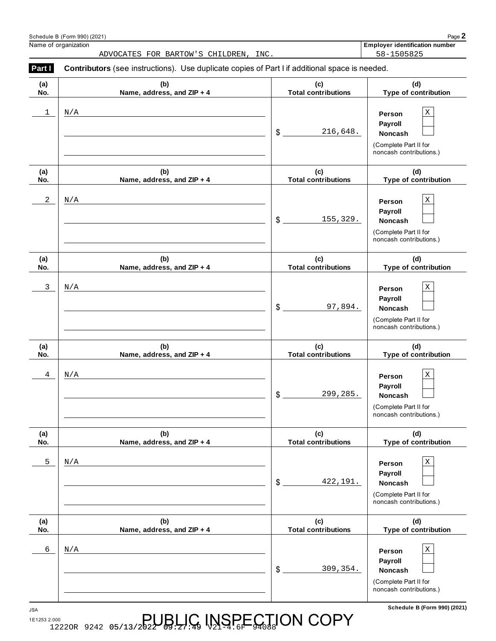|              | ADVOCATES FOR BARTOW'S CHILDREN, INC.                                                          |                                   | 58-1505825                                                                                      |
|--------------|------------------------------------------------------------------------------------------------|-----------------------------------|-------------------------------------------------------------------------------------------------|
| Part I       | Contributors (see instructions). Use duplicate copies of Part I if additional space is needed. |                                   |                                                                                                 |
| (a)<br>No.   | (b)<br>Name, address, and ZIP + 4                                                              | (c)<br><b>Total contributions</b> | (d)<br>Type of contribution                                                                     |
| 1            | N/A                                                                                            | \$<br>216,648.                    | $\mathbf X$<br>Person<br>Payroll<br>Noncash<br>(Complete Part II for<br>noncash contributions.) |
| (a)<br>No.   | (b)<br>Name, address, and ZIP + 4                                                              | (c)<br><b>Total contributions</b> | (d)<br>Type of contribution                                                                     |
| $\mathbf{2}$ | N/A                                                                                            | 155,329.<br>\$                    | $\mathbf X$<br>Person<br>Payroll<br>Noncash<br>(Complete Part II for<br>noncash contributions.) |
| (a)<br>No.   | (b)<br>Name, address, and ZIP + 4                                                              | (c)<br><b>Total contributions</b> | (d)<br>Type of contribution                                                                     |
| $\mathbf{3}$ | N/A                                                                                            | 97,894.<br>\$                     | $\mathbf X$<br>Person<br>Payroll<br>Noncash<br>(Complete Part II for<br>noncash contributions.) |
| (a)<br>No.   | (b)<br>Name, address, and ZIP + 4                                                              | (c)<br><b>Total contributions</b> | (d)<br>Type of contribution                                                                     |
| 4            | N/A                                                                                            | 299,285.<br>\$                    | $\mathbf X$<br>Person<br>Payroll<br>Noncash<br>(Complete Part II for<br>noncash contributions.) |
| (a)<br>No.   | (b)<br>Name, address, and ZIP + 4                                                              | (c)<br><b>Total contributions</b> | (d)<br>Type of contribution                                                                     |
| 5            | N/A                                                                                            | \$<br>422,191.                    | $\mathbf X$<br>Person<br>Payroll<br>Noncash<br>(Complete Part II for<br>noncash contributions.) |
| (a)<br>No.   | (b)<br>Name, address, and ZIP + 4                                                              | (c)<br><b>Total contributions</b> | (d)<br>Type of contribution                                                                     |
| 6            | N/A                                                                                            | \$<br>309, 354.                   | $\mathbf X$<br>Person<br>Payroll<br>Noncash<br>(Complete Part II for<br>noncash contributions.) |

**Schedule B (Form 990) (2021)** JSA

1E1253 2.000 A 222OR 9242 05/13/2022 BUBLIC INSPECTION COPY

Schedule B (Form 990) (2021) Page **2** Employer identification number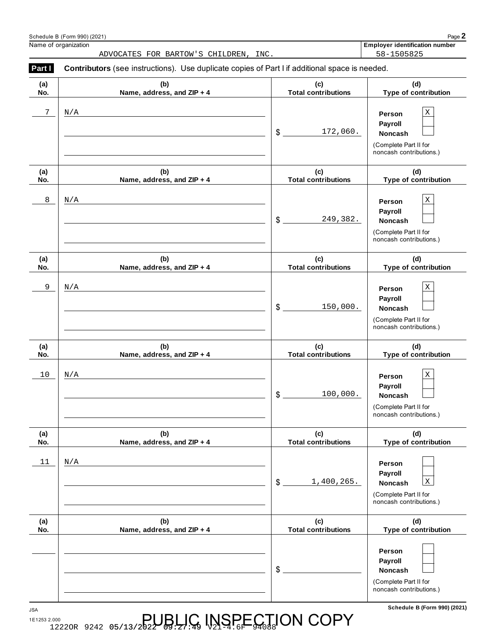|            | ADVOCATES FOR BARTOW'S CHILDREN, INC.                                                          |                                   | 58-1505825                                                                                             |
|------------|------------------------------------------------------------------------------------------------|-----------------------------------|--------------------------------------------------------------------------------------------------------|
| Part I     | Contributors (see instructions). Use duplicate copies of Part I if additional space is needed. |                                   |                                                                                                        |
| (a)<br>No. | (b)<br>Name, address, and ZIP + 4                                                              | (c)<br><b>Total contributions</b> | (d)<br>Type of contribution                                                                            |
| 7          | N/A                                                                                            | 172,060.<br>$\frac{1}{2}$         | $\mathbf X$<br>Person<br>Payroll<br>Noncash<br>(Complete Part II for<br>noncash contributions.)        |
| (a)<br>No. | (b)<br>Name, address, and ZIP + 4                                                              | (c)<br><b>Total contributions</b> | (d)<br>Type of contribution                                                                            |
| 8          | N/A                                                                                            | 249,382.<br>\$                    | Χ<br>Person<br>Payroll<br>Noncash<br>(Complete Part II for<br>noncash contributions.)                  |
| (a)<br>No. | (b)<br>Name, address, and ZIP + 4                                                              | (c)<br><b>Total contributions</b> | (d)<br>Type of contribution                                                                            |
| 9          | N/A                                                                                            | \$<br>150,000.                    | $\mathbf X$<br>Person<br>Payroll<br><b>Noncash</b><br>(Complete Part II for<br>noncash contributions.) |
| (a)<br>No. | (b)<br>Name, address, and ZIP + 4                                                              | (c)<br><b>Total contributions</b> | (d)<br>Type of contribution                                                                            |
| $10$       | N/A                                                                                            | 100,000.<br>\$                    | Χ<br>Person<br>Payroll<br>Noncash<br>(Complete Part II for<br>noncash contributions.)                  |
| (a)<br>No. | (b)<br>Name, address, and ZIP + 4                                                              | (c)<br><b>Total contributions</b> | (d)<br>Type of contribution                                                                            |
| 11         | N/A                                                                                            | \$<br>1,400,265.                  | Person<br>Payroll<br>$\mathbf X$<br>Noncash<br>(Complete Part II for<br>noncash contributions.)        |
| (a)<br>No. | (b)<br>Name, address, and ZIP + 4                                                              | (c)<br><b>Total contributions</b> | (d)<br>Type of contribution                                                                            |
|            |                                                                                                | \$                                | Person<br>Payroll<br>Noncash<br>(Complete Part II for<br>noncash contributions.)                       |

**Schedule B (Form 990) (2021)** JSA 1E1253 2.000 A 222OR 9242 05/13/2022 BUBLIC INSPECTION COPY

Schedule B (Form 990) (2021) Page **2**

**Employer identification number**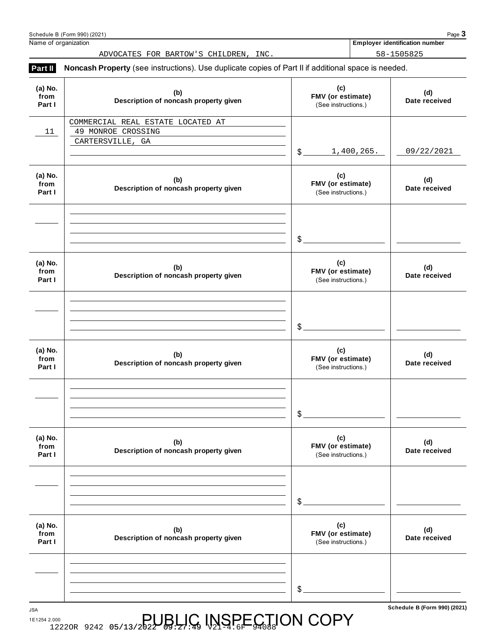| Schedule B (Form 990) (2021)                                                |                                                 | Page 3                                                                                                    |
|-----------------------------------------------------------------------------|-------------------------------------------------|-----------------------------------------------------------------------------------------------------------|
| Name of organization                                                        |                                                 | <b>Employer identification number</b>                                                                     |
| ADVOCATES FOR BARTOW'S CHILDREN, INC.                                       |                                                 | 58-1505825                                                                                                |
|                                                                             |                                                 |                                                                                                           |
| (b)<br>Description of noncash property given                                | (c)<br>FMV (or estimate)<br>(See instructions.) | (d)<br>Date received                                                                                      |
| COMMERCIAL REAL ESTATE LOCATED AT<br>49 MONROE CROSSING<br>CARTERSVILLE, GA | $\frac{1}{2}$<br>1,400,265.                     | 09/22/2021                                                                                                |
| (b)<br>Description of noncash property given                                | (c)<br>FMV (or estimate)<br>(See instructions.) | (d)<br>Date received                                                                                      |
|                                                                             | $\frac{1}{2}$                                   |                                                                                                           |
| (b)<br>Description of noncash property given                                | (c)<br>FMV (or estimate)<br>(See instructions.) | (d)<br>Date received                                                                                      |
|                                                                             | $\frac{1}{2}$                                   |                                                                                                           |
| (b)<br>Description of noncash property given                                | (c)<br>FMV (or estimate)<br>(See instructions.) | (d)<br>Date received                                                                                      |
|                                                                             | \$                                              |                                                                                                           |
| (b)<br>Description of noncash property given                                | (c)<br>FMV (or estimate)<br>(See instructions.) | (d)<br>Date received                                                                                      |
|                                                                             | \$                                              |                                                                                                           |
| (b)<br>Description of noncash property given                                | (c)<br>FMV (or estimate)<br>(See instructions.) | (d)<br>Date received                                                                                      |
|                                                                             |                                                 |                                                                                                           |
|                                                                             |                                                 | Noncash Property (see instructions). Use duplicate copies of Part II if additional space is needed.<br>\$ |

**Schedule B (Form 990) (2021)** JSA

1E1254 2.000 A 222OR 9242 05/13/2022 BUBLIC INSPECTION COPY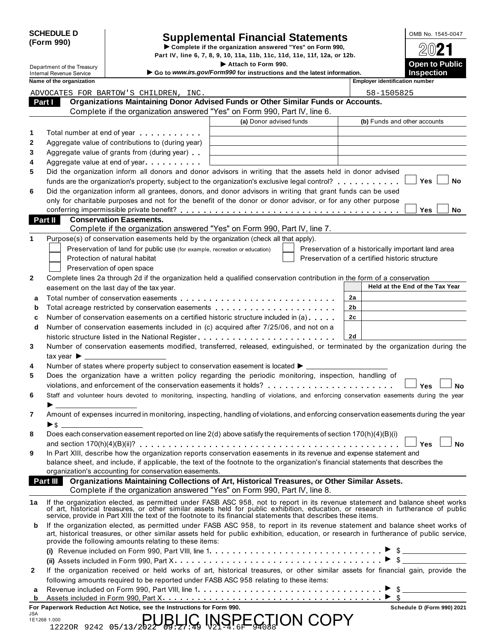| <b>SCHEDULE D</b> |  |
|-------------------|--|
| (Form 990)        |  |

# CHEDULE D<br> **Supplemental Financial Statements**<br> **Form 990)** Part IV line 6, 7, 8, 9, 10, 11a, 11b, 11c, 11d, 11e, 11f, 12a, or 12b

**Part IV, line 6, 7, 8, 9, 10, 11a, 11b, 11c, 11d, 11e, 11f, 12a, or 12b.**  $2021$ 

|                                                             |                                                                                                                                                                                                                                   | Attach to Form 990.                                                    |                                                    | <b>Open to Public</b>           |           |
|-------------------------------------------------------------|-----------------------------------------------------------------------------------------------------------------------------------------------------------------------------------------------------------------------------------|------------------------------------------------------------------------|----------------------------------------------------|---------------------------------|-----------|
| Department of the Treasury                                  |                                                                                                                                                                                                                                   |                                                                        |                                                    |                                 |           |
| <b>Internal Revenue Service</b><br>Name of the organization |                                                                                                                                                                                                                                   | Go to www.irs.gov/Form990 for instructions and the latest information. | <b>Employer identification number</b>              | <b>Inspection</b>               |           |
|                                                             |                                                                                                                                                                                                                                   |                                                                        |                                                    |                                 |           |
|                                                             | ADVOCATES FOR BARTOW'S CHILDREN, INC.<br>Organizations Maintaining Donor Advised Funds or Other Similar Funds or Accounts.                                                                                                        |                                                                        | 58-1505825                                         |                                 |           |
| Part I                                                      |                                                                                                                                                                                                                                   |                                                                        |                                                    |                                 |           |
|                                                             | Complete if the organization answered "Yes" on Form 990, Part IV, line 6.                                                                                                                                                         |                                                                        |                                                    |                                 |           |
|                                                             |                                                                                                                                                                                                                                   | (a) Donor advised funds                                                |                                                    | (b) Funds and other accounts    |           |
|                                                             | Total number at end of year example.                                                                                                                                                                                              |                                                                        |                                                    |                                 |           |
|                                                             | Aggregate value of contributions to (during year)                                                                                                                                                                                 |                                                                        |                                                    |                                 |           |
|                                                             | Aggregate value of grants from (during year)                                                                                                                                                                                      |                                                                        |                                                    |                                 |           |
|                                                             | Aggregate value at end of year expression and Aggregate value                                                                                                                                                                     |                                                                        |                                                    |                                 |           |
|                                                             | Did the organization inform all donors and donor advisors in writing that the assets held in donor advised                                                                                                                        |                                                                        |                                                    |                                 |           |
|                                                             | funds are the organization's property, subject to the organization's exclusive legal control?                                                                                                                                     |                                                                        |                                                    | Yes                             | No        |
|                                                             | Did the organization inform all grantees, donors, and donor advisors in writing that grant funds can be used                                                                                                                      |                                                                        |                                                    |                                 |           |
|                                                             | only for charitable purposes and not for the benefit of the donor or donor advisor, or for any other purpose                                                                                                                      |                                                                        |                                                    |                                 |           |
|                                                             |                                                                                                                                                                                                                                   |                                                                        |                                                    | Yes                             | No        |
| Part II                                                     | <b>Conservation Easements.</b>                                                                                                                                                                                                    |                                                                        |                                                    |                                 |           |
|                                                             | Complete if the organization answered "Yes" on Form 990, Part IV, line 7.                                                                                                                                                         |                                                                        |                                                    |                                 |           |
|                                                             | Purpose(s) of conservation easements held by the organization (check all that apply).                                                                                                                                             |                                                                        |                                                    |                                 |           |
|                                                             | Preservation of land for public use (for example, recreation or education)                                                                                                                                                        |                                                                        | Preservation of a historically important land area |                                 |           |
|                                                             | Protection of natural habitat                                                                                                                                                                                                     |                                                                        | Preservation of a certified historic structure     |                                 |           |
|                                                             | Preservation of open space                                                                                                                                                                                                        |                                                                        |                                                    |                                 |           |
|                                                             | Complete lines 2a through 2d if the organization held a qualified conservation contribution in the form of a conservation                                                                                                         |                                                                        |                                                    |                                 |           |
|                                                             | easement on the last day of the tax year.                                                                                                                                                                                         |                                                                        |                                                    | Held at the End of the Tax Year |           |
|                                                             |                                                                                                                                                                                                                                   |                                                                        | 2a                                                 |                                 |           |
|                                                             |                                                                                                                                                                                                                                   |                                                                        |                                                    |                                 |           |
|                                                             |                                                                                                                                                                                                                                   |                                                                        |                                                    |                                 |           |
|                                                             | Total acreage restricted by conservation easements                                                                                                                                                                                |                                                                        | 2b                                                 |                                 |           |
|                                                             | Number of conservation easements on a certified historic structure included in (a)                                                                                                                                                |                                                                        | 2c                                                 |                                 |           |
|                                                             | Number of conservation easements included in (c) acquired after 7/25/06, and not on a                                                                                                                                             |                                                                        |                                                    |                                 |           |
|                                                             |                                                                                                                                                                                                                                   |                                                                        | 2d                                                 |                                 |           |
|                                                             | Number of conservation easements modified, transferred, released, extinguished, or terminated by the organization during the                                                                                                      |                                                                        |                                                    |                                 |           |
| tax year $\blacktriangleright$ $\perp$                      |                                                                                                                                                                                                                                   |                                                                        |                                                    |                                 |           |
|                                                             | Number of states where property subject to conservation easement is located ▶ __________                                                                                                                                          |                                                                        |                                                    |                                 |           |
|                                                             | Does the organization have a written policy regarding the periodic monitoring, inspection, handling of                                                                                                                            |                                                                        |                                                    |                                 |           |
|                                                             |                                                                                                                                                                                                                                   |                                                                        |                                                    | Yes                             |           |
|                                                             | Staff and volunteer hours devoted to monitoring, inspecting, handling of violations, and enforcing conservation easements during the year                                                                                         |                                                                        |                                                    |                                 | <b>No</b> |
|                                                             |                                                                                                                                                                                                                                   |                                                                        |                                                    |                                 |           |
|                                                             | Amount of expenses incurred in monitoring, inspecting, handling of violations, and enforcing conservation easements during the year                                                                                               |                                                                        |                                                    |                                 |           |
|                                                             |                                                                                                                                                                                                                                   |                                                                        |                                                    |                                 |           |
|                                                             | Does each conservation easement reported on line 2(d) above satisfy the requirements of section 170(h)(4)(B)(i)                                                                                                                   |                                                                        |                                                    |                                 |           |
|                                                             |                                                                                                                                                                                                                                   |                                                                        |                                                    | Yes                             |           |
|                                                             | In Part XIII, describe how the organization reports conservation easements in its revenue and expense statement and                                                                                                               |                                                                        |                                                    |                                 |           |
|                                                             | balance sheet, and include, if applicable, the text of the footnote to the organization's financial statements that describes the                                                                                                 |                                                                        |                                                    |                                 |           |
|                                                             | organization's accounting for conservation easements.                                                                                                                                                                             |                                                                        |                                                    |                                 |           |
|                                                             | Organizations Maintaining Collections of Art, Historical Treasures, or Other Similar Assets.                                                                                                                                      |                                                                        |                                                    |                                 |           |
| <b>Part III</b>                                             | Complete if the organization answered "Yes" on Form 990, Part IV, line 8.                                                                                                                                                         |                                                                        |                                                    |                                 |           |
|                                                             |                                                                                                                                                                                                                                   |                                                                        |                                                    |                                 |           |
|                                                             | If the organization elected, as permitted under FASB ASC 958, not to report in its revenue statement and balance sheet works<br>of art, historical treasures, or other similar assets held for public exhibition, education, or r |                                                                        |                                                    |                                 | <b>No</b> |
|                                                             | service, provide in Part XIII the text of the footnote to its financial statements that describes these items.                                                                                                                    |                                                                        |                                                    |                                 |           |
|                                                             | If the organization elected, as permitted under FASB ASC 958, to report in its revenue statement and balance sheet works of                                                                                                       |                                                                        |                                                    |                                 |           |
|                                                             | art, historical treasures, or other similar assets held for public exhibition, education, or research in furtherance of public service,                                                                                           |                                                                        |                                                    |                                 |           |
|                                                             | provide the following amounts relating to these items:                                                                                                                                                                            |                                                                        |                                                    |                                 |           |
|                                                             |                                                                                                                                                                                                                                   |                                                                        |                                                    |                                 |           |
|                                                             |                                                                                                                                                                                                                                   |                                                                        |                                                    |                                 |           |
|                                                             | If the organization received or held works of art, historical treasures, or other similar assets for financial gain, provide the                                                                                                  |                                                                        |                                                    |                                 |           |
|                                                             | following amounts required to be reported under FASB ASC 958 relating to these items:                                                                                                                                             |                                                                        |                                                    |                                 |           |
|                                                             |                                                                                                                                                                                                                                   |                                                                        |                                                    |                                 |           |

|     | For Paperwork Reduction Act Notice, see the Instructions for Form 990.                                                                                                                                                                                                                             |  |  |  |  |  |  |  | Schedule D (Form 990) 2021 |  |
|-----|----------------------------------------------------------------------------------------------------------------------------------------------------------------------------------------------------------------------------------------------------------------------------------------------------|--|--|--|--|--|--|--|----------------------------|--|
| JSA | $\mathbb{R}^{38,1,000}_{12220R}$ 9242 05/13/2022 $B_2$ $\mathbb{R}^{1}_{27}$ $\mathbb{R}^{1}_{27}$ $\mathbb{R}^{1}_{21}$ $\mathbb{R}^{1}_{21}$ $\mathbb{R}^{1}_{21}$ $\mathbb{R}^{1}_{21}$ $\mathbb{R}^{1}_{21}$ $\mathbb{R}^{1}_{21}$ $\mathbb{R}^{1}_{21}$ $\mathbb{R}^{1}_{21}$<br>1E1268 1.000 |  |  |  |  |  |  |  |                            |  |
|     |                                                                                                                                                                                                                                                                                                    |  |  |  |  |  |  |  |                            |  |

| Schedule D (Form 990) 2021 |  |  |
|----------------------------|--|--|
|                            |  |  |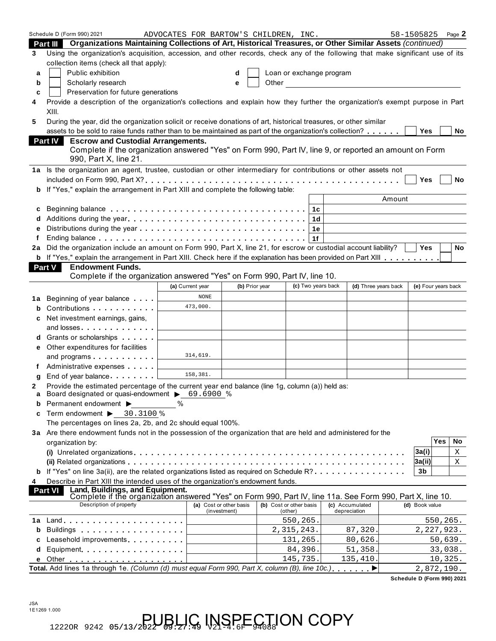|        | Schedule D (Form 990) 2021<br>Organizations Maintaining Collections of Art, Historical Treasures, or Other Similar Assets (continued)<br>Part III                                                                              | ADVOCATES FOR BARTOW'S CHILDREN, INC. |                                         |       |                                    |                                                                                                                                                                                                                                                                                                                                                                                                                                   |        | 58-1505825                 | Page 2 |
|--------|--------------------------------------------------------------------------------------------------------------------------------------------------------------------------------------------------------------------------------|---------------------------------------|-----------------------------------------|-------|------------------------------------|-----------------------------------------------------------------------------------------------------------------------------------------------------------------------------------------------------------------------------------------------------------------------------------------------------------------------------------------------------------------------------------------------------------------------------------|--------|----------------------------|--------|
| 3      | Using the organization's acquisition, accession, and other records, check any of the following that make significant use of its                                                                                                |                                       |                                         |       |                                    |                                                                                                                                                                                                                                                                                                                                                                                                                                   |        |                            |        |
|        | collection items (check all that apply):                                                                                                                                                                                       |                                       |                                         |       |                                    |                                                                                                                                                                                                                                                                                                                                                                                                                                   |        |                            |        |
| a      | Public exhibition                                                                                                                                                                                                              |                                       | d                                       |       | Loan or exchange program           |                                                                                                                                                                                                                                                                                                                                                                                                                                   |        |                            |        |
| b      | Scholarly research                                                                                                                                                                                                             |                                       | e                                       | Other |                                    | <u> 1990 - Jan Barat, prima politik (</u>                                                                                                                                                                                                                                                                                                                                                                                         |        |                            |        |
| c      | Preservation for future generations                                                                                                                                                                                            |                                       |                                         |       |                                    |                                                                                                                                                                                                                                                                                                                                                                                                                                   |        |                            |        |
| 4      | Provide a description of the organization's collections and explain how they further the organization's exempt purpose in Part<br>XIII.                                                                                        |                                       |                                         |       |                                    |                                                                                                                                                                                                                                                                                                                                                                                                                                   |        |                            |        |
| 5      | During the year, did the organization solicit or receive donations of art, historical treasures, or other similar                                                                                                              |                                       |                                         |       |                                    |                                                                                                                                                                                                                                                                                                                                                                                                                                   |        |                            |        |
|        | assets to be sold to raise funds rather than to be maintained as part of the organization's collection?                                                                                                                        |                                       |                                         |       |                                    |                                                                                                                                                                                                                                                                                                                                                                                                                                   |        | Yes                        | No     |
|        | <b>Escrow and Custodial Arrangements.</b><br><b>Part IV</b>                                                                                                                                                                    |                                       |                                         |       |                                    |                                                                                                                                                                                                                                                                                                                                                                                                                                   |        |                            |        |
|        | Complete if the organization answered "Yes" on Form 990, Part IV, line 9, or reported an amount on Form<br>990, Part X, line 21.                                                                                               |                                       |                                         |       |                                    |                                                                                                                                                                                                                                                                                                                                                                                                                                   |        |                            |        |
|        | 1a Is the organization an agent, trustee, custodian or other intermediary for contributions or other assets not                                                                                                                |                                       |                                         |       |                                    |                                                                                                                                                                                                                                                                                                                                                                                                                                   |        |                            |        |
|        |                                                                                                                                                                                                                                |                                       |                                         |       |                                    |                                                                                                                                                                                                                                                                                                                                                                                                                                   |        | <b>Yes</b>                 | No     |
| b      | If "Yes," explain the arrangement in Part XIII and complete the following table:                                                                                                                                               |                                       |                                         |       |                                    |                                                                                                                                                                                                                                                                                                                                                                                                                                   |        |                            |        |
|        |                                                                                                                                                                                                                                |                                       |                                         |       |                                    |                                                                                                                                                                                                                                                                                                                                                                                                                                   | Amount |                            |        |
| c      |                                                                                                                                                                                                                                |                                       |                                         |       | 1c                                 |                                                                                                                                                                                                                                                                                                                                                                                                                                   |        |                            |        |
| d      |                                                                                                                                                                                                                                |                                       |                                         |       | 1d                                 |                                                                                                                                                                                                                                                                                                                                                                                                                                   |        |                            |        |
| e      |                                                                                                                                                                                                                                |                                       |                                         |       | 1е                                 |                                                                                                                                                                                                                                                                                                                                                                                                                                   |        |                            |        |
| f      |                                                                                                                                                                                                                                |                                       |                                         |       | 1f                                 |                                                                                                                                                                                                                                                                                                                                                                                                                                   |        |                            |        |
| 2a     | Did the organization include an amount on Form 990, Part X, line 21, for escrow or custodial account liability?                                                                                                                |                                       |                                         |       |                                    |                                                                                                                                                                                                                                                                                                                                                                                                                                   |        | <b>Yes</b>                 | No     |
|        | b If "Yes," explain the arrangement in Part XIII. Check here if the explanation has been provided on Part XIII                                                                                                                 |                                       |                                         |       |                                    |                                                                                                                                                                                                                                                                                                                                                                                                                                   |        |                            |        |
|        | <b>Endowment Funds.</b><br>Part V                                                                                                                                                                                              |                                       |                                         |       |                                    |                                                                                                                                                                                                                                                                                                                                                                                                                                   |        |                            |        |
|        | Complete if the organization answered "Yes" on Form 990, Part IV, line 10.                                                                                                                                                     |                                       |                                         |       |                                    |                                                                                                                                                                                                                                                                                                                                                                                                                                   |        |                            |        |
|        |                                                                                                                                                                                                                                | (a) Current year                      | (b) Prior year                          |       | (c) Two years back                 | (d) Three years back                                                                                                                                                                                                                                                                                                                                                                                                              |        | (e) Four years back        |        |
| 1a     | Beginning of year balance                                                                                                                                                                                                      | <b>NONE</b>                           |                                         |       |                                    |                                                                                                                                                                                                                                                                                                                                                                                                                                   |        |                            |        |
| b      | Contributions                                                                                                                                                                                                                  | 473,000.                              |                                         |       |                                    |                                                                                                                                                                                                                                                                                                                                                                                                                                   |        |                            |        |
| c      | Net investment earnings, gains,                                                                                                                                                                                                |                                       |                                         |       |                                    |                                                                                                                                                                                                                                                                                                                                                                                                                                   |        |                            |        |
|        | and losses. The contract of the contract of the contract of the contract of the contract of the contract of the contract of the contract of the contract of the contract of the contract of the contract of the contract of th |                                       |                                         |       |                                    |                                                                                                                                                                                                                                                                                                                                                                                                                                   |        |                            |        |
| d      | Grants or scholarships                                                                                                                                                                                                         |                                       |                                         |       |                                    |                                                                                                                                                                                                                                                                                                                                                                                                                                   |        |                            |        |
| е      | Other expenditures for facilities                                                                                                                                                                                              |                                       |                                         |       |                                    |                                                                                                                                                                                                                                                                                                                                                                                                                                   |        |                            |        |
|        | and programs                                                                                                                                                                                                                   | 314,619.                              |                                         |       |                                    |                                                                                                                                                                                                                                                                                                                                                                                                                                   |        |                            |        |
| f      | Administrative expenses <b>Administrative</b>                                                                                                                                                                                  |                                       |                                         |       |                                    |                                                                                                                                                                                                                                                                                                                                                                                                                                   |        |                            |        |
| g      | End of year balance                                                                                                                                                                                                            | 158,381.                              |                                         |       |                                    |                                                                                                                                                                                                                                                                                                                                                                                                                                   |        |                            |        |
| 2<br>a | Provide the estimated percentage of the current year end balance (line 1g, column (a)) held as:<br>Board designated or quasi-endowment > 69.6900 %                                                                             |                                       |                                         |       |                                    |                                                                                                                                                                                                                                                                                                                                                                                                                                   |        |                            |        |
| b      | Permanent endowment ▶                                                                                                                                                                                                          | %                                     |                                         |       |                                    |                                                                                                                                                                                                                                                                                                                                                                                                                                   |        |                            |        |
| c      | Term endowment > 30.3100 %                                                                                                                                                                                                     |                                       |                                         |       |                                    |                                                                                                                                                                                                                                                                                                                                                                                                                                   |        |                            |        |
|        | The percentages on lines 2a, 2b, and 2c should equal 100%.                                                                                                                                                                     |                                       |                                         |       |                                    |                                                                                                                                                                                                                                                                                                                                                                                                                                   |        |                            |        |
|        | 3a Are there endowment funds not in the possession of the organization that are held and administered for the                                                                                                                  |                                       |                                         |       |                                    |                                                                                                                                                                                                                                                                                                                                                                                                                                   |        |                            |        |
|        | organization by:                                                                                                                                                                                                               |                                       |                                         |       |                                    |                                                                                                                                                                                                                                                                                                                                                                                                                                   |        | Yes                        | No     |
|        |                                                                                                                                                                                                                                |                                       |                                         |       |                                    |                                                                                                                                                                                                                                                                                                                                                                                                                                   |        | 3a(i)                      | Χ      |
|        |                                                                                                                                                                                                                                |                                       |                                         |       |                                    |                                                                                                                                                                                                                                                                                                                                                                                                                                   |        | 3a(ii)                     | X      |
|        | If "Yes" on line 3a(ii), are the related organizations listed as required on Schedule R?                                                                                                                                       |                                       |                                         |       |                                    |                                                                                                                                                                                                                                                                                                                                                                                                                                   |        | 3b                         |        |
| 4      | Describe in Part XIII the intended uses of the organization's endowment funds.                                                                                                                                                 |                                       |                                         |       |                                    |                                                                                                                                                                                                                                                                                                                                                                                                                                   |        |                            |        |
|        | Land, Buildings, and Equipment.<br><b>Part VI</b><br>Complete if the organization answered "Yes" on Form 990, Part IV, line 11a. See Form 990, Part X, line 10.                                                                |                                       |                                         |       |                                    |                                                                                                                                                                                                                                                                                                                                                                                                                                   |        |                            |        |
|        | Description of property                                                                                                                                                                                                        |                                       | (a) Cost or other basis<br>(investment) |       | (b) Cost or other basis<br>(other) | (c) Accumulated<br>depreciation                                                                                                                                                                                                                                                                                                                                                                                                   |        | (d) Book value             |        |
| 1a     |                                                                                                                                                                                                                                |                                       |                                         |       | 550,265.                           |                                                                                                                                                                                                                                                                                                                                                                                                                                   |        | 550,265.                   |        |
| b      | Buildings                                                                                                                                                                                                                      |                                       |                                         |       | 2, 315, 243.                       | 87,320.                                                                                                                                                                                                                                                                                                                                                                                                                           |        | 2, 227, 923.               |        |
| c      | Leasehold improvements [1] [1] Leasehold improvements                                                                                                                                                                          |                                       |                                         |       | 131,265.                           | 80,626.                                                                                                                                                                                                                                                                                                                                                                                                                           |        | 50,639.                    |        |
| d      | Equipment                                                                                                                                                                                                                      |                                       |                                         |       | 84,396.                            | 51,358.                                                                                                                                                                                                                                                                                                                                                                                                                           |        | 33,038.                    |        |
| е      |                                                                                                                                                                                                                                |                                       |                                         |       | 145,735.                           | 135,410.                                                                                                                                                                                                                                                                                                                                                                                                                          |        | 10,325.                    |        |
|        | Total. Add lines 1a through 1e. (Column (d) must equal Form 990, Part X, column (B), line 10c.)                                                                                                                                |                                       |                                         |       |                                    | ▶<br>$\mathbf{a} = \mathbf{a} + \mathbf{a} + \mathbf{a} + \mathbf{a} + \mathbf{a} + \mathbf{a} + \mathbf{a} + \mathbf{a} + \mathbf{a} + \mathbf{a} + \mathbf{a} + \mathbf{a} + \mathbf{a} + \mathbf{a} + \mathbf{a} + \mathbf{a} + \mathbf{a} + \mathbf{a} + \mathbf{a} + \mathbf{a} + \mathbf{a} + \mathbf{a} + \mathbf{a} + \mathbf{a} + \mathbf{a} + \mathbf{a} + \mathbf{a} + \mathbf{a} + \mathbf{a} + \mathbf{a} + \mathbf$ |        | 2,872,190.                 |        |
|        |                                                                                                                                                                                                                                |                                       |                                         |       |                                    |                                                                                                                                                                                                                                                                                                                                                                                                                                   |        | Schedule D (Form 990) 2021 |        |

JSA 1E1269 1.000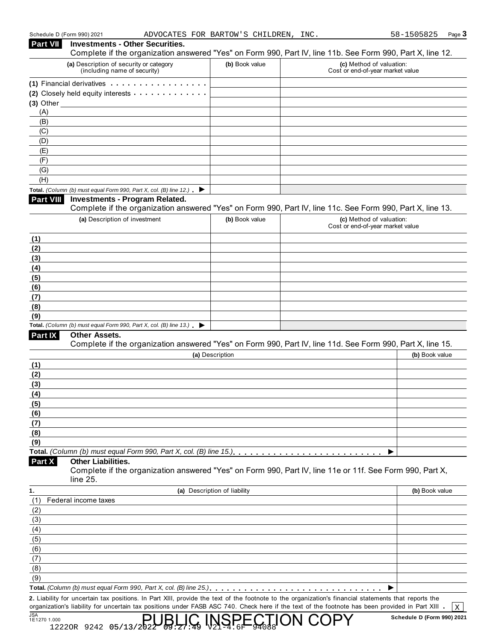| <b>Part VII</b>  | Schedule D (Form 990) 2021<br>ADVOCATES FOR BARTOW'S CHILDREN, INC.<br><b>Investments - Other Securities.</b>                                        |                              |                                                              | 58-1505825<br>Page 3 |
|------------------|------------------------------------------------------------------------------------------------------------------------------------------------------|------------------------------|--------------------------------------------------------------|----------------------|
|                  | Complete if the organization answered "Yes" on Form 990, Part IV, line 11b. See Form 990, Part X, line 12.                                           |                              |                                                              |                      |
|                  | (a) Description of security or category<br>(including name of security)                                                                              | (b) Book value               | (c) Method of valuation:<br>Cost or end-of-year market value |                      |
|                  | (1) Financial derivatives                                                                                                                            |                              |                                                              |                      |
|                  | (2) Closely held equity interests                                                                                                                    |                              |                                                              |                      |
|                  |                                                                                                                                                      |                              |                                                              |                      |
| (A)              |                                                                                                                                                      |                              |                                                              |                      |
| (B)              |                                                                                                                                                      |                              |                                                              |                      |
| (C)              |                                                                                                                                                      |                              |                                                              |                      |
| (D)              |                                                                                                                                                      |                              |                                                              |                      |
| (E)              |                                                                                                                                                      |                              |                                                              |                      |
| (F)              |                                                                                                                                                      |                              |                                                              |                      |
| (G)              |                                                                                                                                                      |                              |                                                              |                      |
| (H)              |                                                                                                                                                      |                              |                                                              |                      |
|                  | Total. (Column (b) must equal Form 990, Part X, col. (B) line 12.) $\blacktriangleright$                                                             |                              |                                                              |                      |
| <b>Part VIII</b> | <b>Investments - Program Related.</b><br>Complete if the organization answered "Yes" on Form 990, Part IV, line 11c. See Form 990, Part X, line 13.  |                              |                                                              |                      |
|                  | (a) Description of investment                                                                                                                        | (b) Book value               | (c) Method of valuation:                                     |                      |
|                  |                                                                                                                                                      |                              | Cost or end-of-year market value                             |                      |
| (1)              |                                                                                                                                                      |                              |                                                              |                      |
| (2)              |                                                                                                                                                      |                              |                                                              |                      |
| (3)              |                                                                                                                                                      |                              |                                                              |                      |
| (4)              |                                                                                                                                                      |                              |                                                              |                      |
| (5)              |                                                                                                                                                      |                              |                                                              |                      |
| (6)              |                                                                                                                                                      |                              |                                                              |                      |
| (7)              |                                                                                                                                                      |                              |                                                              |                      |
| (8)              |                                                                                                                                                      |                              |                                                              |                      |
| (9)              | Total. (Column (b) must equal Form 990, Part X, col. (B) line 13.) $\blacktriangleright$                                                             |                              |                                                              |                      |
| <b>Part IX</b>   | Other Assets.                                                                                                                                        |                              |                                                              |                      |
|                  | Complete if the organization answered "Yes" on Form 990, Part IV, line 11d. See Form 990, Part X, line 15.                                           |                              |                                                              |                      |
|                  |                                                                                                                                                      | (a) Description              |                                                              | (b) Book value       |
| (1)              |                                                                                                                                                      |                              |                                                              |                      |
| (2)              |                                                                                                                                                      |                              |                                                              |                      |
| (3)              |                                                                                                                                                      |                              |                                                              |                      |
| (4)              |                                                                                                                                                      |                              |                                                              |                      |
| (5)              |                                                                                                                                                      |                              |                                                              |                      |
| (6)              |                                                                                                                                                      |                              |                                                              |                      |
| (7)              |                                                                                                                                                      |                              |                                                              |                      |
| (8)              |                                                                                                                                                      |                              |                                                              |                      |
| (9)              |                                                                                                                                                      |                              |                                                              |                      |
|                  |                                                                                                                                                      |                              |                                                              |                      |
| Part X           | <b>Other Liabilities.</b>                                                                                                                            |                              |                                                              |                      |
|                  | Complete if the organization answered "Yes" on Form 990, Part IV, line 11e or 11f. See Form 990, Part X,<br>line 25.                                 |                              |                                                              |                      |
| 1.               |                                                                                                                                                      | (a) Description of liability |                                                              | (b) Book value       |
| (1)              | Federal income taxes                                                                                                                                 |                              |                                                              |                      |
| (2)              |                                                                                                                                                      |                              |                                                              |                      |
| (3)              |                                                                                                                                                      |                              |                                                              |                      |
| (4)              |                                                                                                                                                      |                              |                                                              |                      |
| (5)              |                                                                                                                                                      |                              |                                                              |                      |
| (6)              |                                                                                                                                                      |                              |                                                              |                      |
| (7)              |                                                                                                                                                      |                              |                                                              |                      |
| (8)              |                                                                                                                                                      |                              |                                                              |                      |
| (9)              |                                                                                                                                                      |                              |                                                              |                      |
|                  |                                                                                                                                                      |                              |                                                              |                      |
|                  | 2. Liability for uncertain tax positions. In Part XIII, provide the text of the footnote to the organization's financial statements that reports the |                              |                                                              |                      |
|                  | organization's liability for uncertain tax positions under FASB ASC 740. Check here if the text of the footnote has been provided in Part XIII .     |                              |                                                              | X                    |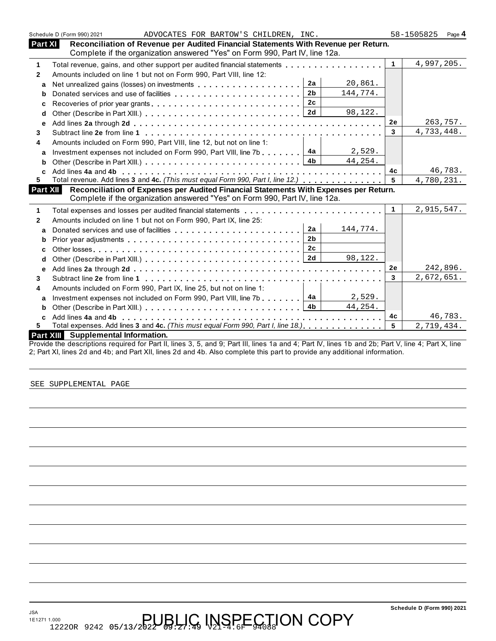|              | Schedule D (Form 990) 2021                                                                                                   |                |                      |
|--------------|------------------------------------------------------------------------------------------------------------------------------|----------------|----------------------|
| Part XI      | ADVOCATES FOR BARTOW'S CHILDREN, INC.<br>Reconciliation of Revenue per Audited Financial Statements With Revenue per Return. |                | 58-1505825<br>Page 4 |
|              | Complete if the organization answered "Yes" on Form 990, Part IV, line 12a.                                                  |                |                      |
| $\mathbf{1}$ | Total revenue, gains, and other support per audited financial statements                                                     | $\mathbf{1}$   | 4,997,205.           |
| $\mathbf{2}$ | Amounts included on line 1 but not on Form 990, Part VIII, line 12:                                                          |                |                      |
| a            | 2a<br>20,861.                                                                                                                |                |                      |
| b            | 2 <sub>b</sub><br>144,774.                                                                                                   |                |                      |
| c            | 2c                                                                                                                           |                |                      |
| d            | 98,122.                                                                                                                      |                |                      |
| e            |                                                                                                                              | 2e             | 263,757.             |
| 3            |                                                                                                                              | 3              | 4,733,448.           |
| 4            | Amounts included on Form 990, Part VIII, line 12, but not on line 1:                                                         |                |                      |
| a            | 2,529.<br>Investment expenses not included on Form 990, Part VIII, line 7b 4a                                                |                |                      |
| b            | 4 <sub>b</sub><br>44,254.                                                                                                    |                |                      |
| C            |                                                                                                                              | 4 <sub>c</sub> | 46,783.              |
| 5.           | Total revenue. Add lines 3 and 4c. (This must equal Form 990, Part I, line 12.)                                              | 5              | 4,780,231.           |
| Part XII     | Reconciliation of Expenses per Audited Financial Statements With Expenses per Return.                                        |                |                      |
|              | Complete if the organization answered "Yes" on Form 990, Part IV, line 12a.                                                  |                |                      |
| 1            |                                                                                                                              | $\mathbf{1}$   | 2,915,547.           |
| $\mathbf{2}$ | Amounts included on line 1 but not on Form 990, Part IX, line 25:                                                            |                |                      |
| a            | 2a<br>144,774.                                                                                                               |                |                      |
| b            | 2 <sub>b</sub>                                                                                                               |                |                      |
| C            | 2c                                                                                                                           |                |                      |
| d            | 98,122.                                                                                                                      |                |                      |
| е            |                                                                                                                              | 2е             | 242,896.             |
| 3            |                                                                                                                              | 3              | 2,672,651.           |
| 4            | Amounts included on Form 990, Part IX, line 25, but not on line 1:                                                           |                |                      |
| a            | 4a<br>2,529.<br>Investment expenses not included on Form 990, Part VIII, line 7b                                             |                |                      |
| b            | 4 <sub>b</sub><br>44,254.                                                                                                    |                |                      |
| C            |                                                                                                                              | 4c             | 46,783.              |
| 5            | Total expenses. Add lines 3 and 4c. (This must equal Form 990, Part I, line 18.)                                             | 5              | 2,719,434.           |
|              |                                                                                                                              |                |                      |

Provide the descriptions required for Part II, lines 3, 5, and 9; Part III, lines 1a and 4; Part IV, lines 1b and 2b; Part V, line 4; Part X, line 2; Part XI, lines 2d and 4b; and Part XII, lines 2d and 4b. Also complete this part to provide any additional information.

SEE SUPPLEMENTAL PAGE

JSA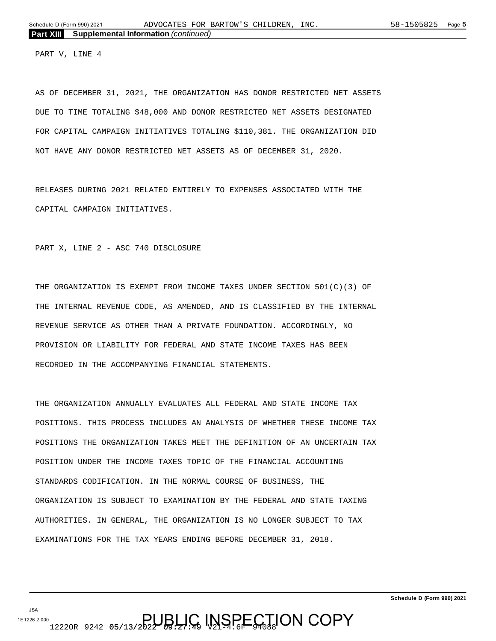PART V, LINE 4

AS OF DECEMBER 31, 2021, THE ORGANIZATION HAS DONOR RESTRICTED NET ASSETS DUE TO TIME TOTALING \$48,000 AND DONOR RESTRICTED NET ASSETS DESIGNATED FOR CAPITAL CAMPAIGN INITIATIVES TOTALING \$110,381. THE ORGANIZATION DID NOT HAVE ANY DONOR RESTRICTED NET ASSETS AS OF DECEMBER 31, 2020.

RELEASES DURING 2021 RELATED ENTIRELY TO EXPENSES ASSOCIATED WITH THE CAPITAL CAMPAIGN INITIATIVES.

PART X, LINE 2 - ASC 740 DISCLOSURE

THE ORGANIZATION IS EXEMPT FROM INCOME TAXES UNDER SECTION 501(C)(3) OF THE INTERNAL REVENUE CODE, AS AMENDED, AND IS CLASSIFIED BY THE INTERNAL REVENUE SERVICE AS OTHER THAN A PRIVATE FOUNDATION. ACCORDINGLY, NO PROVISION OR LIABILITY FOR FEDERAL AND STATE INCOME TAXES HAS BEEN RECORDED IN THE ACCOMPANYING FINANCIAL STATEMENTS.

THE ORGANIZATION ANNUALLY EVALUATES ALL FEDERAL AND STATE INCOME TAX POSITIONS. THIS PROCESS INCLUDES AN ANALYSIS OF WHETHER THESE INCOME TAX POSITIONS THE ORGANIZATION TAKES MEET THE DEFINITION OF AN UNCERTAIN TAX POSITION UNDER THE INCOME TAXES TOPIC OF THE FINANCIAL ACCOUNTING STANDARDS CODIFICATION. IN THE NORMAL COURSE OF BUSINESS, THE ORGANIZATION IS SUBJECT TO EXAMINATION BY THE FEDERAL AND STATE TAXING AUTHORITIES. IN GENERAL, THE ORGANIZATION IS NO LONGER SUBJECT TO TAX EXAMINATIONS FOR THE TAX YEARS ENDING BEFORE DECEMBER 31, 2018.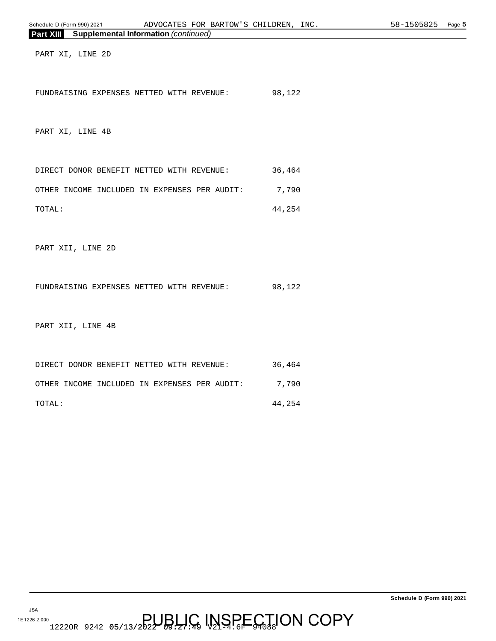| Schedule D (Form 990) 2021<br>ADVOCATES FOR BARTOW'S CHILDREN, INC. |        | 58-1505825<br>Page 5 |
|---------------------------------------------------------------------|--------|----------------------|
| <b>Supplemental Information (continued)</b><br>Part XIII            |        |                      |
| PART XI, LINE 2D                                                    |        |                      |
| FUNDRAISING EXPENSES NETTED WITH REVENUE:                           | 98,122 |                      |
| PART XI, LINE 4B                                                    |        |                      |
| DIRECT DONOR BENEFIT NETTED WITH REVENUE:                           | 36,464 |                      |
| OTHER INCOME INCLUDED IN EXPENSES PER AUDIT:                        | 7,790  |                      |
| TOTAL:                                                              | 44,254 |                      |
| PART XII, LINE 2D                                                   |        |                      |
| FUNDRAISING EXPENSES NETTED WITH REVENUE:                           | 98,122 |                      |
| PART XII, LINE 4B                                                   |        |                      |
| DIRECT DONOR BENEFIT NETTED WITH REVENUE:                           | 36,464 |                      |
| OTHER INCOME INCLUDED IN EXPENSES PER AUDIT:                        | 7,790  |                      |
| TOTAL:                                                              | 44,254 |                      |
|                                                                     |        |                      |
|                                                                     |        |                      |

JSA 1E1226 2.000 12220R 9242 05/13/2022 09:27 49 V2194.6F CODY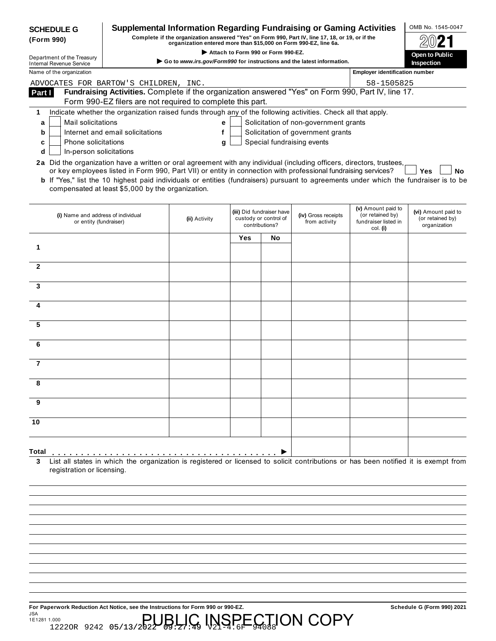| <b>SCHEDULE G</b><br>(Form 990)       |                                                              |                                                   | <b>Supplemental Information Regarding Fundraising or Gaming Activities</b><br>Complete if the organization answered "Yes" on Form 990, Part IV, line 17, 18, or 19, or if the<br>organization entered more than \$15,000 on Form 990-EZ, line 6a.                                                                                                                                        |     |                                                                      |                                       |                                                                            |                                                         |
|---------------------------------------|--------------------------------------------------------------|---------------------------------------------------|------------------------------------------------------------------------------------------------------------------------------------------------------------------------------------------------------------------------------------------------------------------------------------------------------------------------------------------------------------------------------------------|-----|----------------------------------------------------------------------|---------------------------------------|----------------------------------------------------------------------------|---------------------------------------------------------|
| Department of the Treasury            |                                                              |                                                   |                                                                                                                                                                                                                                                                                                                                                                                          |     | Attach to Form 990 or Form 990-EZ.                                   |                                       |                                                                            | Open to Public                                          |
| <b>Internal Revenue Service</b>       |                                                              |                                                   | $\triangleright$ Go to www.irs.gov/Form990 for instructions and the latest information.                                                                                                                                                                                                                                                                                                  |     |                                                                      |                                       |                                                                            | <b>Inspection</b>                                       |
| Name of the organization              |                                                              |                                                   |                                                                                                                                                                                                                                                                                                                                                                                          |     |                                                                      |                                       | <b>Employer identification number</b>                                      |                                                         |
| ADVOCATES FOR BARTOW'S CHILDREN, INC. |                                                              |                                                   |                                                                                                                                                                                                                                                                                                                                                                                          |     |                                                                      |                                       | 58-1505825                                                                 |                                                         |
| Part I                                |                                                              |                                                   | Fundraising Activities. Complete if the organization answered "Yes" on Form 990, Part IV, line 17.<br>Form 990-EZ filers are not required to complete this part.                                                                                                                                                                                                                         |     |                                                                      |                                       |                                                                            |                                                         |
| 1                                     |                                                              |                                                   | Indicate whether the organization raised funds through any of the following activities. Check all that apply.                                                                                                                                                                                                                                                                            |     |                                                                      |                                       |                                                                            |                                                         |
| a                                     | Mail solicitations                                           |                                                   | e                                                                                                                                                                                                                                                                                                                                                                                        |     |                                                                      | Solicitation of non-government grants |                                                                            |                                                         |
| b                                     | Internet and email solicitations                             |                                                   | f                                                                                                                                                                                                                                                                                                                                                                                        |     |                                                                      | Solicitation of government grants     |                                                                            |                                                         |
| c                                     | <b>Phone solicitations</b>                                   |                                                   | g                                                                                                                                                                                                                                                                                                                                                                                        |     |                                                                      | Special fundraising events            |                                                                            |                                                         |
| d                                     | In-person solicitations                                      |                                                   |                                                                                                                                                                                                                                                                                                                                                                                          |     |                                                                      |                                       |                                                                            |                                                         |
|                                       |                                                              | compensated at least \$5,000 by the organization. | 2a Did the organization have a written or oral agreement with any individual (including officers, directors, trustees,<br>or key employees listed in Form 990, Part VII) or entity in connection with professional fundraising services?<br><b>b</b> If "Yes," list the 10 highest paid individuals or entities (fundraisers) pursuant to agreements under which the fundraiser is to be |     |                                                                      |                                       |                                                                            | <b>Yes</b><br>Nο                                        |
|                                       | (i) Name and address of individual<br>or entity (fundraiser) |                                                   | (ii) Activity                                                                                                                                                                                                                                                                                                                                                                            |     | (iii) Did fundraiser have<br>custody or control of<br>contributions? | (iv) Gross receipts<br>from activity  | (v) Amount paid to<br>(or retained by)<br>fundraiser listed in<br>col. (i) | (vi) Amount paid to<br>(or retained by)<br>organization |
|                                       |                                                              |                                                   |                                                                                                                                                                                                                                                                                                                                                                                          | Yes | No                                                                   |                                       |                                                                            |                                                         |
| 1                                     |                                                              |                                                   |                                                                                                                                                                                                                                                                                                                                                                                          |     |                                                                      |                                       |                                                                            |                                                         |
|                                       |                                                              |                                                   |                                                                                                                                                                                                                                                                                                                                                                                          |     |                                                                      |                                       |                                                                            |                                                         |
| $\mathbf{2}$                          |                                                              |                                                   |                                                                                                                                                                                                                                                                                                                                                                                          |     |                                                                      |                                       |                                                                            |                                                         |
| 3                                     |                                                              |                                                   |                                                                                                                                                                                                                                                                                                                                                                                          |     |                                                                      |                                       |                                                                            |                                                         |
|                                       |                                                              |                                                   |                                                                                                                                                                                                                                                                                                                                                                                          |     |                                                                      |                                       |                                                                            |                                                         |
| 4                                     |                                                              |                                                   |                                                                                                                                                                                                                                                                                                                                                                                          |     |                                                                      |                                       |                                                                            |                                                         |
|                                       |                                                              |                                                   |                                                                                                                                                                                                                                                                                                                                                                                          |     |                                                                      |                                       |                                                                            |                                                         |
| 5                                     |                                                              |                                                   |                                                                                                                                                                                                                                                                                                                                                                                          |     |                                                                      |                                       |                                                                            |                                                         |
|                                       |                                                              |                                                   |                                                                                                                                                                                                                                                                                                                                                                                          |     |                                                                      |                                       |                                                                            |                                                         |
| 6                                     |                                                              |                                                   |                                                                                                                                                                                                                                                                                                                                                                                          |     |                                                                      |                                       |                                                                            |                                                         |
|                                       |                                                              |                                                   |                                                                                                                                                                                                                                                                                                                                                                                          |     |                                                                      |                                       |                                                                            |                                                         |
| 7                                     |                                                              |                                                   |                                                                                                                                                                                                                                                                                                                                                                                          |     |                                                                      |                                       |                                                                            |                                                         |
|                                       |                                                              |                                                   |                                                                                                                                                                                                                                                                                                                                                                                          |     |                                                                      |                                       |                                                                            |                                                         |
| 8                                     |                                                              |                                                   |                                                                                                                                                                                                                                                                                                                                                                                          |     |                                                                      |                                       |                                                                            |                                                         |
|                                       |                                                              |                                                   |                                                                                                                                                                                                                                                                                                                                                                                          |     |                                                                      |                                       |                                                                            |                                                         |
| 9                                     |                                                              |                                                   |                                                                                                                                                                                                                                                                                                                                                                                          |     |                                                                      |                                       |                                                                            |                                                         |
| 10                                    |                                                              |                                                   |                                                                                                                                                                                                                                                                                                                                                                                          |     |                                                                      |                                       |                                                                            |                                                         |
|                                       |                                                              |                                                   |                                                                                                                                                                                                                                                                                                                                                                                          |     |                                                                      |                                       |                                                                            |                                                         |
| Total<br>3                            | registration or licensing.                                   |                                                   | List all states in which the organization is registered or licensed to solicit contributions or has been notified it is exempt from                                                                                                                                                                                                                                                      |     |                                                                      |                                       |                                                                            |                                                         |

**For Paperwork Reduction Act Notice, see the Instructions for Form 990 or 990-EZ.** Schedule G (Form 990) 2021 JSA 1E1281 1.000 12220R 9242 05/13/2022 09:27 49 V2194.6F CTION COPY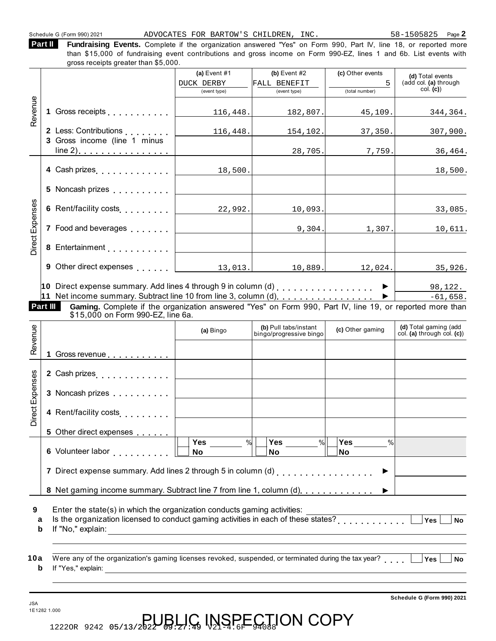Schedule G (Form 990) 2021 ADVOCATES FOR BARTOW'S CHILDREN, INC. 58-1505825 Page **2** 

**Fundraising Events.** Complete if the organization answered "Yes" on Form 990, Part IV, line 18, or reported more than \$15,000 of fundraising event contributions and gross income on Form 990-EZ, lines 1 and 6b. List events with **Part II** 

|                 |                                                                                                                                                                                                                                   | (a) Event $#1$<br><b>DUCK DERBY</b><br>(event type) | $(b)$ Event #2<br>FALL BENEFIT<br>(event type)   | (c) Other events<br>5<br>(total number) | (d) Total events<br>(add col. (a) through<br>col. (c) |
|-----------------|-----------------------------------------------------------------------------------------------------------------------------------------------------------------------------------------------------------------------------------|-----------------------------------------------------|--------------------------------------------------|-----------------------------------------|-------------------------------------------------------|
| Revenue         |                                                                                                                                                                                                                                   | 116, 448.                                           | 182,807.                                         | 45, 109.                                | 344,364.                                              |
|                 | 2 Less: Contributions<br>3 Gross income (line 1 minus                                                                                                                                                                             | 116,448.                                            | 154,102.                                         | 37, 350.                                | 307,900.                                              |
|                 |                                                                                                                                                                                                                                   |                                                     | 28,705.                                          | 7,759.                                  | 36,464.                                               |
|                 | 4 Cash prizes                                                                                                                                                                                                                     | 18,500.                                             |                                                  |                                         | 18,500.                                               |
|                 | 5 Noncash prizes                                                                                                                                                                                                                  |                                                     |                                                  |                                         |                                                       |
|                 | 6 Rent/facility costs                                                                                                                                                                                                             | 22,992.                                             | 10,093.                                          |                                         | 33,085.                                               |
|                 | 7 Food and beverages <b>Fig. 1.1.1.</b>                                                                                                                                                                                           | <u> 1980 - Johann Barbara, martxa alemaniar a</u>   |                                                  | 9,304.                                  | 1,307.<br>10,611.                                     |
| Direct Expenses |                                                                                                                                                                                                                                   |                                                     |                                                  |                                         |                                                       |
|                 | 9 Other direct expenses   13,013.                                                                                                                                                                                                 |                                                     | 10,889.                                          | 12,024.                                 | 35,926.                                               |
|                 |                                                                                                                                                                                                                                   |                                                     |                                                  |                                         | $-61,658.$                                            |
|                 | 11 Net income summary. Subtract line 10 from line 3, column (d). ▶ │<br>Part III<br>Gaming. Complete if the organization answered "Yes" on Form 990, Part IV, line 19, or reported more than<br>\$15,000 on Form 990-EZ, line 6a. |                                                     |                                                  |                                         |                                                       |
|                 |                                                                                                                                                                                                                                   | (a) Bingo                                           | (b) Pull tabs/instant<br>bingo/progressive bingo | (c) Other gaming                        | (d) Total gaming (add                                 |
|                 | 1 Gross revenue <b>contract contract</b>                                                                                                                                                                                          |                                                     |                                                  |                                         |                                                       |
|                 | 2 Cash prizes                                                                                                                                                                                                                     | <u> 1980 - Johann Barbara, martxa al</u>            |                                                  |                                         | col. (a) through col. (c))                            |
|                 | 3 Noncash prizes                                                                                                                                                                                                                  |                                                     |                                                  |                                         |                                                       |
| ect Expenses    | 4 Rent/facility costs                                                                                                                                                                                                             |                                                     |                                                  |                                         |                                                       |
|                 | 5 Other direct expenses                                                                                                                                                                                                           |                                                     |                                                  |                                         |                                                       |
|                 |                                                                                                                                                                                                                                   | Yes<br>%<br>No                                      | <b>Yes</b><br>$\frac{9}{6}$<br>No                | <b>Yes</b><br>$\%$<br><b>No</b>         |                                                       |
|                 | 7 Direct expense summary. Add lines 2 through 5 in column (d) [1] [1] [1] Direct expense summary. Add lines 2 through 5 in column (d)                                                                                             |                                                     |                                                  |                                         |                                                       |
|                 | 8 Net gaming income summary. Subtract line 7 from line 1, column (d)                                                                                                                                                              |                                                     |                                                  |                                         |                                                       |
| а<br>b          | Enter the state(s) in which the organization conducts gaming activities:<br>Is the organization licensed to conduct gaming activities in each of these states?<br>If "No," explain:                                               | <u> 1989 - Johann Barbara, martxa alemaniar arg</u> |                                                  |                                         | Yes<br><b>No</b>                                      |

**Schedule G (Form 990) 2021**

12220R 9242 05/13/2022 09:27 49 V2194.6F CODY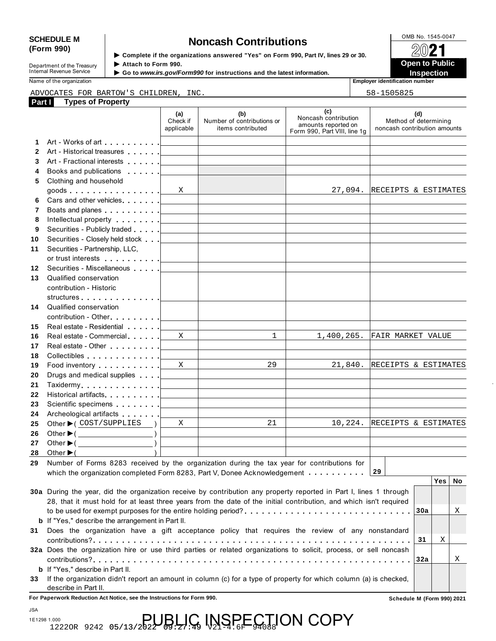# SCHEDULE M **Noncash Contributions**<br>
(Form 990) **Security if the exergivenisms areward "Yes" an Earn 990 Part IV lines 29 or 29.** 2013.

Department of the Treasury<br>
Internal Revenue Service<br> **Internal Revenue Service**<br> **Co to www.irs.gov/Form** 

**Examplete if the organizations answered "Yes" on Form 990, Part IV, lines 29 or 30.** ★ Attach to Form 990.

 **Open to Public**  ▶ Go to *www.irs.gov/Form990* for instructions and the latest information.<br>■ Inspection

Name of the organization **Employer identification number Employer identification number** 

|                 | ADVOCATES FOR BARTOW'S CHILDREN, INC.                                                                                                                                                                                         |                               | 58-1505825                                                                                                            |                                                                                    |                                                              |  |
|-----------------|-------------------------------------------------------------------------------------------------------------------------------------------------------------------------------------------------------------------------------|-------------------------------|-----------------------------------------------------------------------------------------------------------------------|------------------------------------------------------------------------------------|--------------------------------------------------------------|--|
| Part I          | <b>Types of Property</b>                                                                                                                                                                                                      | (a)<br>Check if<br>applicable | (b)<br>Number of contributions or<br>items contributed                                                                | (c)<br>Noncash contribution<br>amounts reported on<br>Form 990, Part VIII, line 1g | (d)<br>Method of determining<br>noncash contribution amounts |  |
| 1               |                                                                                                                                                                                                                               |                               |                                                                                                                       |                                                                                    |                                                              |  |
|                 | 2 Art - Historical treasures                                                                                                                                                                                                  |                               |                                                                                                                       |                                                                                    |                                                              |  |
| 3               | Art - Fractional interests [1994]                                                                                                                                                                                             | the contract of the contract  |                                                                                                                       |                                                                                    |                                                              |  |
| 4               | Books and publications [19]                                                                                                                                                                                                   |                               |                                                                                                                       |                                                                                    |                                                              |  |
|                 | 5 Clothing and household                                                                                                                                                                                                      |                               |                                                                                                                       |                                                                                    |                                                              |  |
|                 | goods $\ldots$ $\ldots$ $\ldots$ $\ldots$ $\ldots$                                                                                                                                                                            | X                             | the control of the control of the control of the control of                                                           |                                                                                    | 27,094. RECEIPTS & ESTIMATES                                 |  |
| 6               | Cars and other vehicles.                                                                                                                                                                                                      |                               | the control of the control of the control of the control of the control of                                            |                                                                                    |                                                              |  |
| 7               | Boats and planes experience of the set of the set of the set of the set of the set of the set of the set of the set of the set of the set of the set of the set of the set of the set of the set of the set of the set of the |                               | the control of the control of the control of the control of the control of                                            |                                                                                    |                                                              |  |
| 8               | Intellectual property [                                                                                                                                                                                                       |                               | the control of the control of the control of the control of the control of                                            |                                                                                    |                                                              |  |
| 9               | Securities - Publicly traded                                                                                                                                                                                                  |                               | <u> 1989 - John Harry Harry Harry Harry Harry Harry Harry Harry Harry Harry Harry Harry Harry Harry Harry Harry H</u> |                                                                                    |                                                              |  |
| 10              | Securities - Closely held stock                                                                                                                                                                                               |                               |                                                                                                                       |                                                                                    |                                                              |  |
| 11              | Securities - Partnership, LLC,                                                                                                                                                                                                |                               |                                                                                                                       |                                                                                    |                                                              |  |
|                 |                                                                                                                                                                                                                               |                               |                                                                                                                       |                                                                                    |                                                              |  |
| 12 <sup>°</sup> | Securities - Miscellaneous                                                                                                                                                                                                    |                               |                                                                                                                       |                                                                                    |                                                              |  |
| 13              | Qualified conservation                                                                                                                                                                                                        |                               |                                                                                                                       |                                                                                    |                                                              |  |
|                 | contribution - Historic                                                                                                                                                                                                       |                               |                                                                                                                       |                                                                                    |                                                              |  |
|                 | structures [19]                                                                                                                                                                                                               |                               |                                                                                                                       |                                                                                    |                                                              |  |
| 14              | Qualified conservation                                                                                                                                                                                                        |                               |                                                                                                                       |                                                                                    |                                                              |  |
|                 | $contribution - Other$                                                                                                                                                                                                        |                               |                                                                                                                       |                                                                                    |                                                              |  |
| 15              |                                                                                                                                                                                                                               |                               |                                                                                                                       |                                                                                    |                                                              |  |
| 16              | Real estate - Commercial                                                                                                                                                                                                      | X                             | $\mathbf{1}$                                                                                                          | 1,400,265.                                                                         | FAIR MARKET VALUE                                            |  |
| 17              | Real estate - Other                                                                                                                                                                                                           |                               |                                                                                                                       |                                                                                    |                                                              |  |
| 18              |                                                                                                                                                                                                                               |                               |                                                                                                                       |                                                                                    |                                                              |  |
| 19              | Food inventory                                                                                                                                                                                                                | X                             | 29                                                                                                                    | 21,840.                                                                            | RECEIPTS & ESTIMATES                                         |  |
| 20              | Drugs and medical supplies                                                                                                                                                                                                    |                               | <u> 1980 - Andrea Aonaichte ann an t-Aonaichte ann an t-Aonaichte ann an t-Aonaichte ann an t-Aonaichte ann an t-</u> |                                                                                    |                                                              |  |
| 21              | Taxidermy <u>  _ _ _ _ _</u> _                                                                                                                                                                                                |                               | the control of the control of the control of the control of the control of                                            |                                                                                    |                                                              |  |
| 22              | Historical artifacts [19]                                                                                                                                                                                                     |                               | the control of the control of the control of the control of the control of                                            |                                                                                    |                                                              |  |
| 23              | Scientific specimens [1994]                                                                                                                                                                                                   |                               |                                                                                                                       |                                                                                    |                                                              |  |
| 24              | Archeological artifacts [1996]                                                                                                                                                                                                |                               |                                                                                                                       |                                                                                    |                                                              |  |
| 25              | Other $\blacktriangleright$ ( COST/SUPPLIES )                                                                                                                                                                                 | X                             | 21                                                                                                                    | 10,224.                                                                            | RECEIPTS & ESTIMATES                                         |  |
| 26              | Other $\blacktriangleright$ ( $\_\_\_\_\_\_\_\_$ )                                                                                                                                                                            |                               |                                                                                                                       |                                                                                    |                                                              |  |
| 27              | Other $\blacktriangleright$ (                                                                                                                                                                                                 |                               |                                                                                                                       |                                                                                    |                                                              |  |
| 28              | Other $\blacktriangleright$ (                                                                                                                                                                                                 |                               |                                                                                                                       |                                                                                    |                                                              |  |
| 29              | Number of Forms 8283 received by the organization during the tax year for contributions for                                                                                                                                   |                               |                                                                                                                       |                                                                                    |                                                              |  |
|                 | which the organization completed Form 8283, Part V, Donee Acknowledgement                                                                                                                                                     |                               |                                                                                                                       |                                                                                    | 29                                                           |  |
|                 |                                                                                                                                                                                                                               |                               |                                                                                                                       |                                                                                    | Yes   No                                                     |  |
|                 | 30a During the year, did the organization receive by contribution any property reported in Part I, lines 1 through                                                                                                            |                               |                                                                                                                       |                                                                                    |                                                              |  |
|                 | 28, that it must hold for at least three years from the date of the initial contribution, and which isn't required                                                                                                            |                               |                                                                                                                       |                                                                                    |                                                              |  |
|                 | to be used for exempt purposes for the entire holding period?                                                                                                                                                                 |                               |                                                                                                                       |                                                                                    | Χ<br>30a                                                     |  |
|                 | <b>b</b> If "Yes," describe the arrangement in Part II.                                                                                                                                                                       |                               |                                                                                                                       |                                                                                    |                                                              |  |
| 31              | Does the organization have a gift acceptance policy that requires the review of any nonstandard                                                                                                                               |                               |                                                                                                                       |                                                                                    |                                                              |  |
|                 |                                                                                                                                                                                                                               |                               |                                                                                                                       |                                                                                    | 31<br>Χ                                                      |  |
|                 | 32a Does the organization hire or use third parties or related organizations to solicit, process, or sell noncash                                                                                                             |                               |                                                                                                                       |                                                                                    |                                                              |  |
|                 |                                                                                                                                                                                                                               |                               |                                                                                                                       |                                                                                    | 32a<br>Χ                                                     |  |
|                 | <b>b</b> If "Yes," describe in Part II.                                                                                                                                                                                       |                               |                                                                                                                       |                                                                                    |                                                              |  |
|                 | If the organization didn't report an amount in column (c) for a type of property for which column (a) is checked,                                                                                                             |                               |                                                                                                                       |                                                                                    |                                                              |  |
| 33              |                                                                                                                                                                                                                               |                               |                                                                                                                       |                                                                                    |                                                              |  |

describe in Part II. **For Paperwork Reduction Act Notice, see the Instructions for Form 990. Schedule M (Form 990) 2021**

JSA

1E1298 1.000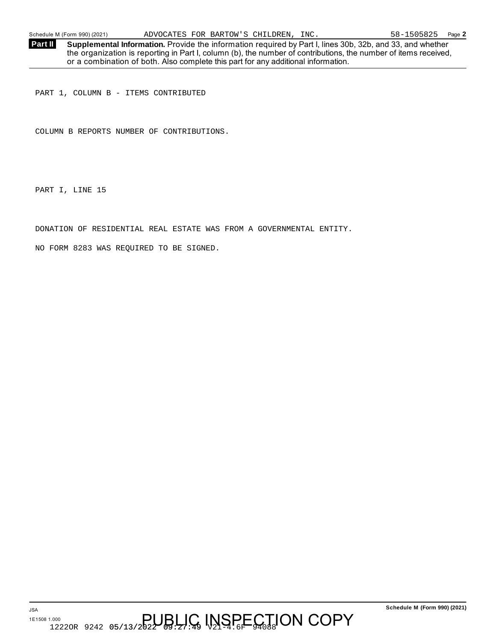Schedule M (Form 990) (2021) ADVOCATES FOR BARTOW'S CHILDREN, INC. 58-1505825 Page **2** 

**Supplemental Information.** Provide the information required by Part I, lines 30b, 32b, and 33, and whether the organization is reporting in Part I, column (b), the number of contributions, the number of items received, or a combination of both. Also complete this part for any additional information. **Part II** 

PART 1, COLUMN B - ITEMS CONTRIBUTED

COLUMN B REPORTS NUMBER OF CONTRIBUTIONS.

PART I, LINE 15

DONATION OF RESIDENTIAL REAL ESTATE WAS FROM A GOVERNMENTAL ENTITY.

NO FORM 8283 WAS REQUIRED TO BE SIGNED.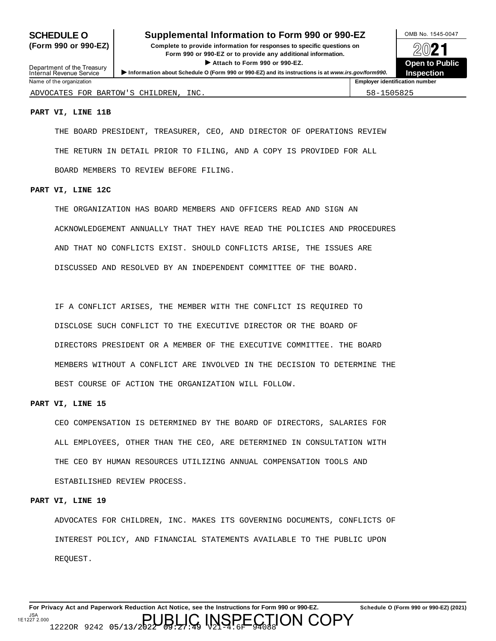### **SCHEDULE O** Supplemental Information to Form 990 or 990-EZ MB No. 1545-0047

**(Form 990 or 990-EZ) Complete to provide information for responses to specific questions on** plete to provide information for responses to specific questions on  $\bigotimes_{\mathbb{Z}}\mathbb{Q}$  21 **I Attach to Form 990 or 990-EZ.**<br>
■ Attach to Form 990 or 990-EZ.<br>
■ Presenting the Company of 990-EZ.



| Department of the Treasury<br>Internal Revenue Service | <b>P</b> Attach to Form 990 or 990-EZ.<br>Information about Schedule O (Form 990 or 990-EZ) and its instructions is at www.irs.gov/form990. | <b>Open to Pu</b><br><b>Inspection</b> |
|--------------------------------------------------------|---------------------------------------------------------------------------------------------------------------------------------------------|----------------------------------------|
| Name of the organization                               |                                                                                                                                             | <b>Employer identification number</b>  |
| ADVOCATES FOR BARTOW'S CHILDREN.                       | INC.                                                                                                                                        | 58-1505825                             |

#### **PART VI, LINE 11B**

THE BOARD PRESIDENT, TREASURER, CEO, AND DIRECTOR OF OPERATIONS REVIEW THE RETURN IN DETAIL PRIOR TO FILING, AND A COPY IS PROVIDED FOR ALL BOARD MEMBERS TO REVIEW BEFORE FILING.

#### **PART VI, LINE 12C**

THE ORGANIZATION HAS BOARD MEMBERS AND OFFICERS READ AND SIGN AN ACKNOWLEDGEMENT ANNUALLY THAT THEY HAVE READ THE POLICIES AND PROCEDURES AND THAT NO CONFLICTS EXIST. SHOULD CONFLICTS ARISE, THE ISSUES ARE DISCUSSED AND RESOLVED BY AN INDEPENDENT COMMITTEE OF THE BOARD.

IF A CONFLICT ARISES, THE MEMBER WITH THE CONFLICT IS REQUIRED TO DISCLOSE SUCH CONFLICT TO THE EXECUTIVE DIRECTOR OR THE BOARD OF DIRECTORS PRESIDENT OR A MEMBER OF THE EXECUTIVE COMMITTEE. THE BOARD MEMBERS WITHOUT A CONFLICT ARE INVOLVED IN THE DECISION TO DETERMINE THE BEST COURSE OF ACTION THE ORGANIZATION WILL FOLLOW.

#### **PART VI, LINE 15**

CEO COMPENSATION IS DETERMINED BY THE BOARD OF DIRECTORS, SALARIES FOR ALL EMPLOYEES, OTHER THAN THE CEO, ARE DETERMINED IN CONSULTATION WITH THE CEO BY HUMAN RESOURCES UTILIZING ANNUAL COMPENSATION TOOLS AND ESTABILISHED REVIEW PROCESS.

#### **PART VI, LINE 19**

ADVOCATES FOR CHILDREN, INC. MAKES ITS GOVERNING DOCUMENTS, CONFLICTS OF INTEREST POLICY, AND FINANCIAL STATEMENTS AVAILABLE TO THE PUBLIC UPON REQUEST.